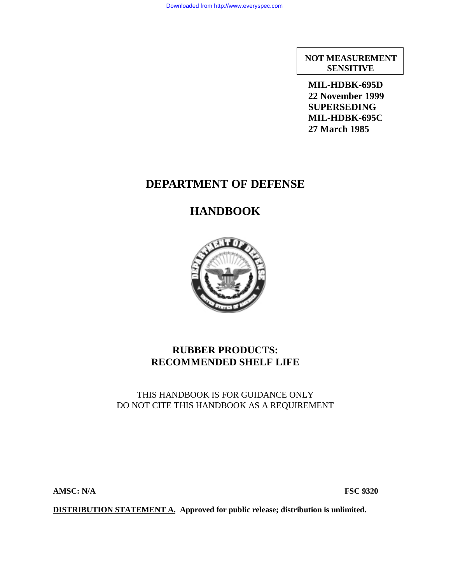**NOT MEASUREMENT SENSITIVE**

**MIL-HDBK-695D 22 November 1999 SUPERSEDING MIL-HDBK-695C 27 March 1985**

# **DEPARTMENT OF DEFENSE**

# **HANDBOOK**



# **RUBBER PRODUCTS: RECOMMENDED SHELF LIFE**

# THIS HANDBOOK IS FOR GUIDANCE ONLY DO NOT CITE THIS HANDBOOK AS A REQUIREMENT

**AMSC: N/A FSC 9320**

**DISTRIBUTION STATEMENT A. Approved for public release; distribution is unlimited.**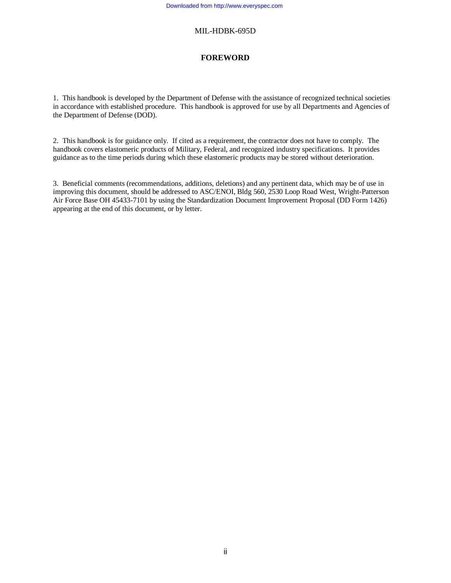### **FOREWORD**

1. This handbook is developed by the Department of Defense with the assistance of recognized technical societies in accordance with established procedure. This handbook is approved for use by all Departments and Agencies of the Department of Defense (DOD).

2. This handbook is for guidance only. If cited as a requirement, the contractor does not have to comply. The handbook covers elastomeric products of Military, Federal, and recognized industry specifications. It provides guidance as to the time periods during which these elastomeric products may be stored without deterioration.

3. Beneficial comments (recommendations, additions, deletions) and any pertinent data, which may be of use in improving this document, should be addressed to ASC/ENOI, Bldg 560, 2530 Loop Road West, Wright-Patterson Air Force Base OH 45433-7101 by using the Standardization Document Improvement Proposal (DD Form 1426) appearing at the end of this document, or by letter.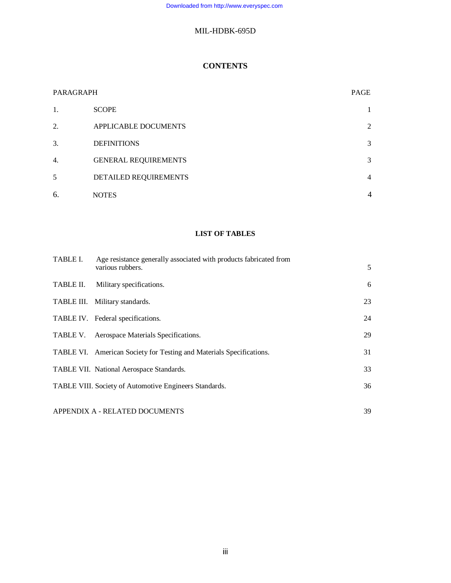# **CONTENTS**

| PARAGRAPH |                             | PAGE           |
|-----------|-----------------------------|----------------|
| 1.        | <b>SCOPE</b>                |                |
| 2.        | APPLICABLE DOCUMENTS        | 2              |
| 3.        | <b>DEFINITIONS</b>          | 3              |
| 4.        | <b>GENERAL REQUIREMENTS</b> | 3              |
| 5         | DETAILED REQUIREMENTS       | $\overline{4}$ |
| 6.        | <b>NOTES</b>                | $\overline{4}$ |

## **LIST OF TABLES**

| TABLE I.  | Age resistance generally associated with products fabricated from<br>various rubbers. | 5  |
|-----------|---------------------------------------------------------------------------------------|----|
| TABLE II. | Military specifications.                                                              | 6  |
|           | TABLE III. Military standards.                                                        | 23 |
|           | TABLE IV. Federal specifications.                                                     | 24 |
|           | TABLE V. Aerospace Materials Specifications.                                          | 29 |
|           | TABLE VI. American Society for Testing and Materials Specifications.                  | 31 |
|           | TABLE VII. National Aerospace Standards.                                              | 33 |
|           | TABLE VIII. Society of Automotive Engineers Standards.                                | 36 |
|           | APPENDIX A - RELATED DOCUMENTS                                                        | 39 |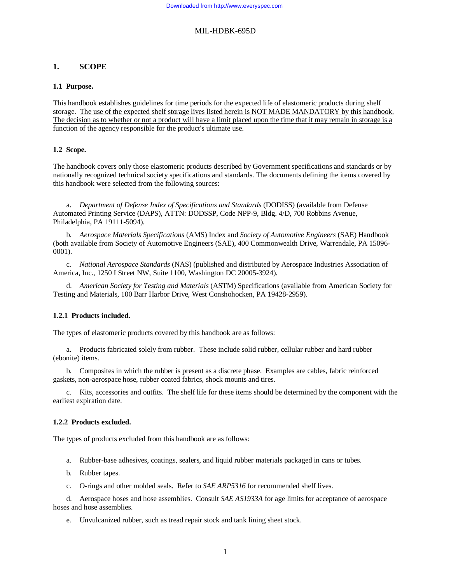### **1. SCOPE**

### **1.1 Purpose.**

This handbook establishes guidelines for time periods for the expected life of elastomeric products during shelf storage. The use of the expected shelf storage lives listed herein is NOT MADE MANDATORY by this handbook. The decision as to whether or not a product will have a limit placed upon the time that it may remain in storage is a function of the agency responsible for the product's ultimate use.

### **1.2 Scope.**

The handbook covers only those elastomeric products described by Government specifications and standards or by nationally recognized technical society specifications and standards. The documents defining the items covered by this handbook were selected from the following sources:

a. *Department of Defense Index of Specifications and Standards* (DODISS) (available from Defense Automated Printing Service (DAPS), ATTN: DODSSP, Code NPP-9, Bldg. 4/D, 700 Robbins Avenue, Philadelphia, PA 19111-5094).

b. *Aerospace Materials Specifications* (AMS) Index and *Society of Automotive Engineers* (SAE) Handbook (both available from Society of Automotive Engineers (SAE), 400 Commonwealth Drive, Warrendale, PA 15096- 0001).

c. *National Aerospace Standards* (NAS) (published and distributed by Aerospace Industries Association of America, Inc., 1250 I Street NW, Suite 1100, Washington DC 20005-3924).

d. *American Society for Testing and Materials* (ASTM) Specifications (available from American Society for Testing and Materials, 100 Barr Harbor Drive, West Conshohocken, PA 19428-2959).

### **1.2.1 Products included.**

The types of elastomeric products covered by this handbook are as follows:

a. Products fabricated solely from rubber. These include solid rubber, cellular rubber and hard rubber (ebonite) items.

b. Composites in which the rubber is present as a discrete phase. Examples are cables, fabric reinforced gaskets, non-aerospace hose, rubber coated fabrics, shock mounts and tires.

c. Kits, accessories and outfits. The shelf life for these items should be determined by the component with the earliest expiration date.

### **1.2.2 Products excluded.**

The types of products excluded from this handbook are as follows:

- a. Rubber-base adhesives, coatings, sealers, and liquid rubber materials packaged in cans or tubes.
- b. Rubber tapes.
- c. O-rings and other molded seals. Refer to *SAE ARP5316* for recommended shelf lives.

d. Aerospace hoses and hose assemblies. Consult *SAE AS1933A* for age limits for acceptance of aerospace hoses and hose assemblies.

e. Unvulcanized rubber, such as tread repair stock and tank lining sheet stock.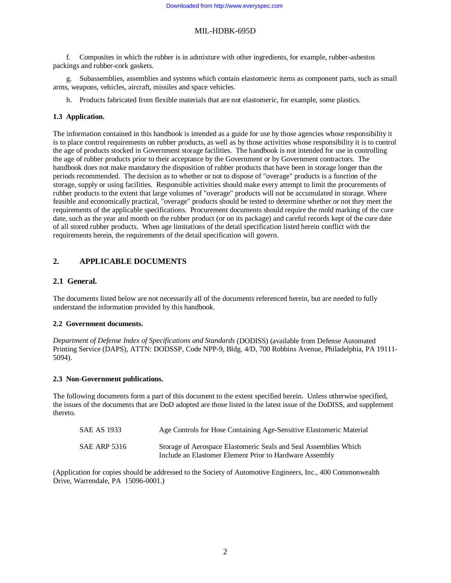f. Composites in which the rubber is in admixture with other ingredients, for example, rubber-asbestos packings and rubber-cork gaskets.

g. Subassemblies, assemblies and systems which contain elastometric items as component parts, such as small arms, weapons, vehicles, aircraft, missiles and space vehicles.

h. Products fabricated from flexible materials that are not elastomeric, for example, some plastics.

### **1.3 Application.**

The information contained in this handbook is intended as a guide for use by those agencies whose responsibility it is to place control requirements on rubber products, as well as by those activities whose responsibility it is to control the age of products stocked in Government storage facilities. The handbook is not intended for use in controlling the age of rubber products prior to their acceptance by the Government or by Government contractors. The handbook does not make mandatory the disposition of rubber products that have been in storage longer than the periods recommended. The decision as to whether or not to dispose of "overage" products is a function of the storage, supply or using facilities. Responsible activities should make every attempt to limit the procurements of rubber products to the extent that large volumes of "overage" products will not be accumulated in storage. Where feasible and economically practical, "overage" products should be tested to determine whether or not they meet the requirements of the applicable specifications. Procurement documents should require the mold marking of the cure date, such as the year and month on the rubber product (or on its package) and careful records kept of the cure date of all stored rubber products. When age limitations of the detail specification listed herein conflict with the requirements herein, the requirements of the detail specification will govern.

### **2. APPLICABLE DOCUMENTS**

### **2.1 General.**

The documents listed below are not necessarily all of the documents referenced herein, but are needed to fully understand the information provided by this handbook.

### **2.2 Government documents.**

*Department of Defense Index of Specifications and Standards* (DODISS) (available from Defense Automated Printing Service (DAPS), ATTN: DODSSP, Code NPP-9, Bldg. 4/D, 700 Robbins Avenue, Philadelphia, PA 19111- 5094).

### **2.3 Non-Government publications.**

The following documents form a part of this document to the extent specified herein. Unless otherwise specified, the issues of the documents that are DoD adopted are those listed in the latest issue of the DoDISS, and supplement thereto.

| SAE AS 1933         | Age Controls for Hose Containing Age-Sensitive Elastomeric Material |
|---------------------|---------------------------------------------------------------------|
| <b>SAE ARP 5316</b> | Storage of Aerospace Elastomeric Seals and Seal Assemblies Which    |
|                     | Include an Elastomer Element Prior to Hardware Assembly             |

(Application for copies should be addressed to the Society of Automotive Engineers, Inc., 400 Commonwealth Drive, Warrendale, PA 15096-0001.)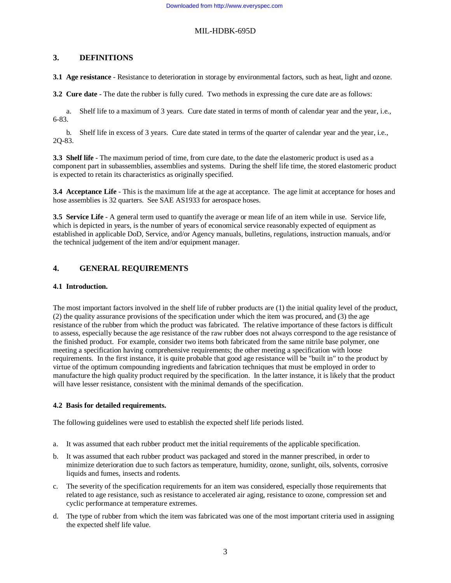### **3. DEFINITIONS**

**3.1 Age resistance** - Resistance to deterioration in storage by environmental factors, such as heat, light and ozone.

**3.2 Cure date** - The date the rubber is fully cured. Two methods in expressing the cure date are as follows:

a. Shelf life to a maximum of 3 years. Cure date stated in terms of month of calendar year and the year, i.e., 6-83.

b. Shelf life in excess of 3 years. Cure date stated in terms of the quarter of calendar year and the year, i.e., 2Q-83.

**3.3 Shelf life** - The maximum period of time, from cure date, to the date the elastomeric product is used as a component part in subassemblies, assemblies and systems. During the shelf life time, the stored elastomeric product is expected to retain its characteristics as originally specified.

**3.4 Acceptance Life** - This is the maximum life at the age at acceptance. The age limit at acceptance for hoses and hose assemblies is 32 quarters. See SAE AS1933 for aerospace hoses.

**3.5 Service Life** - A general term used to quantify the average or mean life of an item while in use. Service life, which is depicted in years, is the number of years of economical service reasonably expected of equipment as established in applicable DoD, Service, and/or Agency manuals, bulletins, regulations, instruction manuals, and/or the technical judgement of the item and/or equipment manager.

### **4. GENERAL REQUIREMENTS**

### **4.1 Introduction.**

The most important factors involved in the shelf life of rubber products are (1) the initial quality level of the product, (2) the quality assurance provisions of the specification under which the item was procured, and (3) the age resistance of the rubber from which the product was fabricated. The relative importance of these factors is difficult to assess, especially because the age resistance of the raw rubber does not always correspond to the age resistance of the finished product. For example, consider two items both fabricated from the same nitrile base polymer, one meeting a specification having comprehensive requirements; the other meeting a specification with loose requirements. In the first instance, it is quite probable that good age resistance will be "built in" to the product by virtue of the optimum compounding ingredients and fabrication techniques that must be employed in order to manufacture the high quality product required by the specification. In the latter instance, it is likely that the product will have lesser resistance, consistent with the minimal demands of the specification.

### **4.2 Basis for detailed requirements.**

The following guidelines were used to establish the expected shelf life periods listed.

- a. It was assumed that each rubber product met the initial requirements of the applicable specification.
- b. It was assumed that each rubber product was packaged and stored in the manner prescribed, in order to minimize deterioration due to such factors as temperature, humidity, ozone, sunlight, oils, solvents, corrosive liquids and fumes, insects and rodents.
- c. The severity of the specification requirements for an item was considered, especially those requirements that related to age resistance, such as resistance to accelerated air aging, resistance to ozone, compression set and cyclic performance at temperature extremes.
- d. The type of rubber from which the item was fabricated was one of the most important criteria used in assigning the expected shelf life value.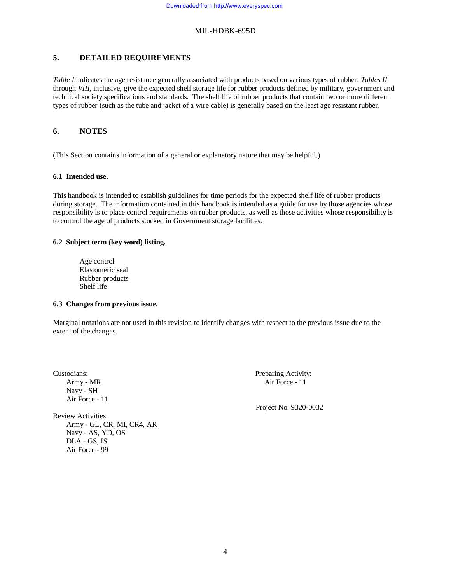## **5. DETAILED REQUIREMENTS**

*Table I* indicates the age resistance generally associated with products based on various types of rubber. *Tables II* through *VIII*, inclusive, give the expected shelf storage life for rubber products defined by military, government and technical society specifications and standards. The shelf life of rubber products that contain two or more different types of rubber (such as the tube and jacket of a wire cable) is generally based on the least age resistant rubber.

### **6. NOTES**

(This Section contains information of a general or explanatory nature that may be helpful.)

### **6.1 Intended use.**

This handbook is intended to establish guidelines for time periods for the expected shelf life of rubber products during storage. The information contained in this handbook is intended as a guide for use by those agencies whose responsibility is to place control requirements on rubber products, as well as those activities whose responsibility is to control the age of products stocked in Government storage facilities.

### **6.2 Subject term (key word) listing.**

Age control Elastomeric seal Rubber products Shelf life

### **6.3 Changes from previous issue.**

Marginal notations are not used in this revision to identify changes with respect to the previous issue due to the extent of the changes.

Navy - SH Air Force - 11

Review Activities: Army - GL, CR, MI, CR4, AR Navy - AS, YD, OS DLA - GS, IS Air Force - 99

Custodians: Preparing Activity: Army - MR Air Force - 11

Project No. 9320-0032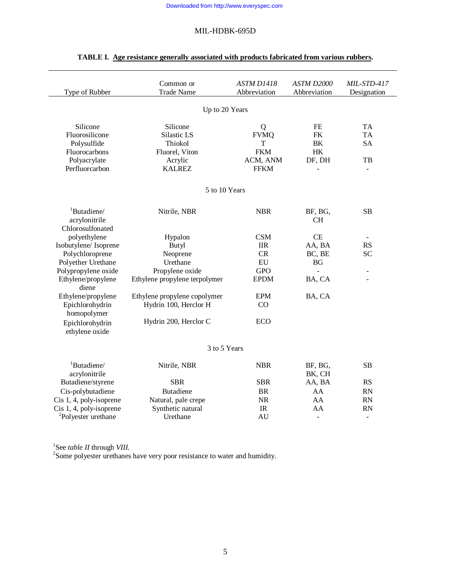| Type of Rubber                       | Common or<br><b>Trade Name</b> | <b>ASTM D1418</b><br>Abbreviation | ASTM D2000<br>Abbreviation | MIL-STD-417<br>Designation |
|--------------------------------------|--------------------------------|-----------------------------------|----------------------------|----------------------------|
|                                      | Up to 20 Years                 |                                   |                            |                            |
|                                      |                                |                                   |                            |                            |
| Silicone                             | Silicone                       | Q                                 | FE                         | <b>TA</b>                  |
| Fluorosilicone                       | Silastic LS                    | <b>FVMQ</b>                       | <b>FK</b>                  | <b>TA</b>                  |
| Polysulfide                          | Thiokol                        | T                                 | BK                         | <b>SA</b>                  |
| Fluorocarbons                        | Fluorel, Viton                 | <b>FKM</b>                        | HK                         |                            |
| Polyacrylate                         | Acrylic                        | ACM, ANM                          | DF, DH                     | TB                         |
| Perfluorcarbon                       | <b>KALREZ</b>                  | <b>FFKM</b>                       |                            | ÷.                         |
|                                      | 5 to 10 Years                  |                                   |                            |                            |
| <sup>1</sup> Butadiene/              | Nitrile, NBR                   | <b>NBR</b>                        | BF, BG,                    | SB                         |
| acrylonitrile                        |                                |                                   | <b>CH</b>                  |                            |
| Chlorosulfonated                     |                                |                                   |                            |                            |
| polyethylene                         | Hypalon                        | <b>CSM</b>                        | CE                         |                            |
| Isobutylene/Isoprene                 | Butyl                          | <b>IIR</b>                        | AA, BA                     | RS                         |
| Polychloroprene                      | Neoprene                       | <b>CR</b>                         | BC, BE                     | <b>SC</b>                  |
| Polyether Urethane                   | Urethane                       | EU                                | <b>BG</b>                  |                            |
| Polypropylene oxide                  | Propylene oxide                | <b>GPO</b>                        |                            | $\blacksquare$             |
| Ethylene/propylene<br>diene          | Ethylene propylene terpolymer  | <b>EPDM</b>                       | BA, CA                     |                            |
| Ethylene/propylene                   | Ethylene propylene copolymer   | <b>EPM</b>                        | BA, CA                     |                            |
| Epichlorohydrin<br>homopolymer       | Hydrin 100, Herclor H          | CO                                |                            |                            |
| Epichlorohydrin<br>ethylene oxide    | Hydrin 200, Herclor C          | ECO                               |                            |                            |
|                                      |                                |                                   |                            |                            |
|                                      | 3 to 5 Years                   |                                   |                            |                            |
| ${}^{1}$ Butadiene/<br>acrylonitrile | Nitrile, NBR                   | <b>NBR</b>                        | BF, BG,<br>BK, CH          | <b>SB</b>                  |
| Butadiene/styrene                    | <b>SBR</b>                     | <b>SBR</b>                        | AA, BA                     | <b>RS</b>                  |
| Cis-polybutadiene                    | <b>Butadiene</b>               | <b>BR</b>                         | AA                         | RN                         |
| Cis 1, 4, poly-isoprene              | Natural, pale crepe            | NR                                | AA                         | <b>RN</b>                  |
| Cis 1, 4, poly-isoprene              | Synthetic natural              | IR                                | AA                         | <b>RN</b>                  |
| <sup>2</sup> Polyester urethane      | Urethane                       | AU                                | $\overline{\phantom{a}}$   | $\blacksquare$             |
|                                      |                                |                                   |                            |                            |

# **TABLE I. Age resistance generally associated with products fabricated from various rubbers.**

<sup>1</sup>See *table II* through *VIII*.<br><sup>2</sup> Some polyester urethanes have very poor resistance to water and humidity.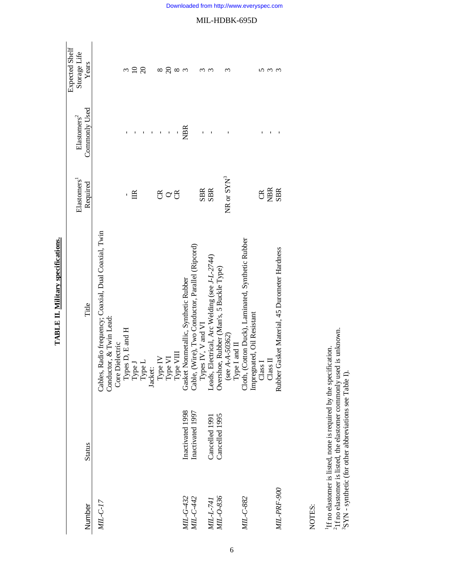| Expected Shelf<br>Storage Life<br>Years   | $10^{10}$<br>$\tilde{\xi}$<br>$\infty$                                                                                                                                                                                                                                                 | $\frac{8}{8}$<br>$\mathfrak{g}$                                                          | $\epsilon$<br>ω<br>ς                                                                                                                                      | $\epsilon$<br>$\epsilon$                                                                                                                               |
|-------------------------------------------|----------------------------------------------------------------------------------------------------------------------------------------------------------------------------------------------------------------------------------------------------------------------------------------|------------------------------------------------------------------------------------------|-----------------------------------------------------------------------------------------------------------------------------------------------------------|--------------------------------------------------------------------------------------------------------------------------------------------------------|
| Commonly Used<br>${\rm El}$ astomers $^2$ |                                                                                                                                                                                                                                                                                        | <b>NBR</b><br>$\mathbf{I}$                                                               |                                                                                                                                                           |                                                                                                                                                        |
| Elastomers <sup>1</sup><br>Required       | g<br>旨                                                                                                                                                                                                                                                                                 | $\circ$                                                                                  | NR or SYN <sup>3</sup><br><b>SBR</b><br><b>SBR</b>                                                                                                        | NBR<br>SBR<br>g                                                                                                                                        |
| Title                                     | Cables, Radio frequency; Coaxial, Dual Coaxial, Twin<br>Conductor, & Twin Lead:<br>$\begin{array}{l} \text{Core Dielectric}\\ \text{Types D, E and H}\\ \text{Type J}\\ \text{Type L}\\ \text{Jacket:}\\ \text{Type L}\\ \text{Type V}\\ \text{Type VI}\\ \text{Type VII} \end{array}$ | Gasket Nonmetallic, Synthetic Rubber<br>Cable, (Wire), Two Conductor, Parallel (Ripcord) | Leads, Electrical, Arc Welding (see J-L-2744)<br>Overshoe, Rubber (Man's, 5 Buckle Type)<br>Types IV, V and VI<br>(see $A - A - 50362$ )<br>Type I and II | Cloth, (Cotton Duck), Laminated, Synthetic Rubber<br>Rubber Gasket Material, 45 Durometer Hardness<br>Impregnated, Oil Resistant<br>Class I<br>Class I |
| <b>Status</b>                             |                                                                                                                                                                                                                                                                                        | Inactivated 1998<br>Inactivated 1997                                                     | Cancelled 1995<br>Cancelled 1991                                                                                                                          |                                                                                                                                                        |
| Number                                    | $MIL-C-17$                                                                                                                                                                                                                                                                             | MIL-G-432<br>MIL-C-442                                                                   | MIL-L-741<br>MIL-0-836                                                                                                                                    | MIL-PRF-900<br>MIL-C-882                                                                                                                               |

TABLE II. Military specifications. **TABLE II. Military specifications.**

NOTES:

6

<sup>1</sup>If no elastomer is listed, none is required by the specification.<br><sup>2</sup>1f no elastomer is listed, the elastomer commonly used is unknown.<br><sup>3</sup>SYN - synthetic (for other abbreviations see Table I). 21f no elastomer is listed, the elastomer commonly used is unknown. 1If no elastomer is listed, none is required by the specification. 3SYN - synthetic (for other abbreviations see Table I).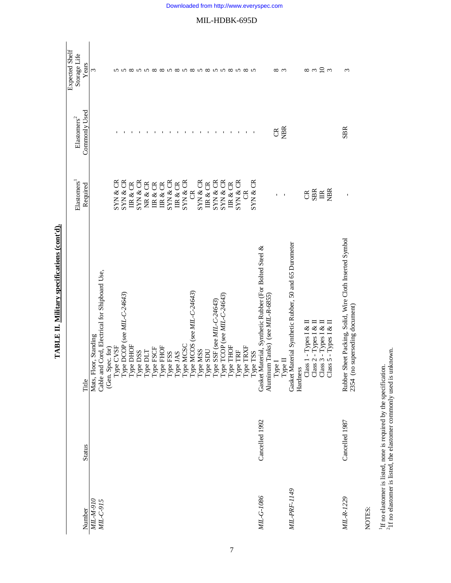|              |                |                                                                                                                                                                                                                                                                       | Elastomers     | ${\rm Elastomers}^2$ | Expected Shelf<br>Storage Life |
|--------------|----------------|-----------------------------------------------------------------------------------------------------------------------------------------------------------------------------------------------------------------------------------------------------------------------|----------------|----------------------|--------------------------------|
| Number       | <b>Status</b>  | Title                                                                                                                                                                                                                                                                 | Required       | Commonly Used        | Years                          |
| MIL-M-910    |                | Mats, Floor, Standing                                                                                                                                                                                                                                                 |                |                      | 3                              |
| MIL-C-915    |                | Cable and Cord, Electrical for Shipboard Use,                                                                                                                                                                                                                         |                |                      |                                |
|              |                | (Gen. Spec. for)                                                                                                                                                                                                                                                      |                |                      |                                |
|              |                |                                                                                                                                                                                                                                                                       | SYN & CR       |                      |                                |
|              |                |                                                                                                                                                                                                                                                                       | SYN & CR       |                      |                                |
|              |                |                                                                                                                                                                                                                                                                       | IR & CR        |                      | ∞                              |
|              |                |                                                                                                                                                                                                                                                                       | SYN & CR       |                      | $\Omega$                       |
|              |                |                                                                                                                                                                                                                                                                       | NR & CR        |                      | $\Omega$                       |
|              |                | Type CVSF<br>Type DCOP (see MIL-C-24643)<br>Type DHOF<br>Type DSS<br>Type RSCF<br>Type RSS<br>Type RSS<br>Type MSS<br>Type MSS<br>Type NSS<br>Type TCOP (see MIL-C-24643)<br>Type TCOP (see MIL-C-24643)<br>Type TCOP (see MIL-C-24643)<br>Type TCOP (see MIL-C-24643 | IR & CR        |                      | $\infty$                       |
|              |                |                                                                                                                                                                                                                                                                       | IR & CR        |                      | $\infty$                       |
|              |                |                                                                                                                                                                                                                                                                       | SYN & CR       |                      |                                |
|              |                |                                                                                                                                                                                                                                                                       | IR & CR        |                      | ${}^{\circ}$                   |
|              |                |                                                                                                                                                                                                                                                                       | SYN & CR       |                      | ທ                              |
|              |                |                                                                                                                                                                                                                                                                       | $\mathfrak{B}$ |                      | $\infty$                       |
|              |                |                                                                                                                                                                                                                                                                       | SYN & CR       |                      | S                              |
|              |                |                                                                                                                                                                                                                                                                       | IR & CR        |                      | $\infty$                       |
|              |                |                                                                                                                                                                                                                                                                       | SYN & CR       |                      | $\Omega$                       |
|              |                |                                                                                                                                                                                                                                                                       | SYN & CR       |                      | $\Omega$                       |
|              |                |                                                                                                                                                                                                                                                                       | IIR & CR       |                      | ${}^{\circ}$                   |
|              |                |                                                                                                                                                                                                                                                                       | SYN & CR       |                      |                                |
|              |                |                                                                                                                                                                                                                                                                       | g              |                      | ∞                              |
|              |                |                                                                                                                                                                                                                                                                       | SYN & CR       |                      |                                |
| MIL-G-1086   | Cancelled 1992 | Gasket Material, Synthetic Rubber (For Bolted Steel &                                                                                                                                                                                                                 |                |                      |                                |
|              |                | Aluminum Tanks) (see MIL-R-6855)                                                                                                                                                                                                                                      |                |                      |                                |
|              |                | ${\rm Type~I}$                                                                                                                                                                                                                                                        | $\mathbf{I}$   | g                    | ∞                              |
|              |                | Type $\Pi$                                                                                                                                                                                                                                                            | $\mathbf I$    | <b>NBR</b>           | $\sim$                         |
| MIL-PRF-1149 |                | Gasket Material Synthetic Rubber, 50 and 65 Durometer                                                                                                                                                                                                                 |                |                      |                                |
|              |                | Hardness                                                                                                                                                                                                                                                              |                |                      |                                |
|              |                |                                                                                                                                                                                                                                                                       |                |                      | $\infty$ m                     |
|              |                |                                                                                                                                                                                                                                                                       | CER            |                      |                                |
|              |                |                                                                                                                                                                                                                                                                       | $\mathbb{E}$   |                      |                                |
|              |                | $\begin{array}{c} \textrm{Class 1 - Types I & \& H \\ \textrm{Class 2 - Types I} & \& H \\ \textrm{Class 3 - Types I} & \& H \\ \textrm{Class 5 - Types I} & \& H \\ \textrm{Class 6 - Types I} & \& H \end{array}$                                                   | <b>NBIR</b>    |                      | $\frac{1}{2}$                  |
| MIL-R-1229   | Cancelled 1987 | Rubber Sheet Packing, Solid, Wire Cloth Inserted Symbol<br>o superseding document)<br>2354 (n                                                                                                                                                                         | Ţ              | <b>SBR</b>           | 3                              |
|              |                |                                                                                                                                                                                                                                                                       |                |                      |                                |

TABLE II. Military specifications (cont'd). **TABLE II. Military specifications (cont'd).**

NOTES:

 $^{1}\text{H}$  no elastomer is listed, none is required by the specification.  $^{2}$  If no elastomer is listed, the elastomer commonly used is unknown. 1If no elastomer is listed, none is required by the specification.

 $21f$  no elastomer is listed, the elastomer commonly used is unknown.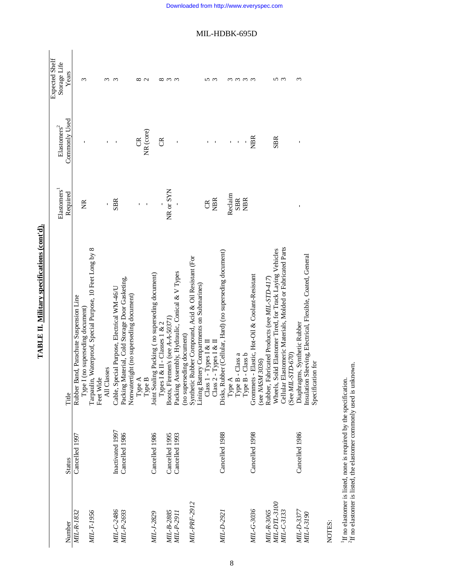|                          |                  |                                                               |                         |                          | <b>Expected Shelf</b> |
|--------------------------|------------------|---------------------------------------------------------------|-------------------------|--------------------------|-----------------------|
|                          |                  |                                                               | Elastomers <sup>1</sup> | ${\rm El}$ astomers $^2$ | Storage Life          |
| Number                   | <b>Status</b>    | Title                                                         | Required                | Commonly Used            | Years                 |
| $MIL-R-1832$             | Cancelled 1997   | Rubber Band, Parachute Suspension Line                        |                         |                          |                       |
|                          |                  | (no superseding document)<br>Type I                           | E                       |                          | 3                     |
| MIL-T-1956               |                  | Waterproof, Special Purpose, 10 Feet Long by 8<br>Tarpaulin,  |                         |                          |                       |
|                          |                  | Feet Wide                                                     |                         |                          |                       |
|                          |                  | All Classes                                                   |                         |                          | ς                     |
| MIL-C-2486               | Inactivated 1997 | Cable, Special Purpose, Electrical WM-46/U                    | <b>SBR</b>              |                          | S                     |
| MIL-P-2693               | Cancelled 1986   | Packing Material, Cold Storage Door Gasketing,                |                         |                          |                       |
|                          |                  | Nonwatertight (no superseding document)                       |                         |                          |                       |
|                          |                  |                                                               |                         | g                        | ∞                     |
|                          |                  | Type A<br>Type                                                |                         | NR (core)                | $\mathbf{\Omega}$     |
| MIL-J-2829               | Cancelled 1986   | Joint Sealing Packing (no superseding document)               |                         |                          |                       |
|                          |                  | Types I & II - Classes 1 & 2                                  |                         | E                        | ∞                     |
| MIL-B-2885<br>MIL-P-2911 | Cancelled 1995   | Boots, Firemen's (see A-A-50371)                              | $NR$ or $SYN$           |                          | $\epsilon$            |
|                          | Cancelled 1993   | Packing Assembly, Hydraulic, Conical & V Types                |                         |                          | $\epsilon$            |
|                          |                  | (no superseding document)                                     |                         |                          |                       |
| MIL-PRF-2912             |                  | Synthetic Rubber Compound, Acid & Oil Resistant (For          |                         |                          |                       |
|                          |                  | Lining Battery Compartments on Submarines)                    |                         |                          |                       |
|                          |                  | $-T$ ypes I & II<br>Class 1                                   | g                       |                          | ഗ                     |
|                          |                  | $Class 2 - Types 1 & R \Pi$                                   | <b>NBR</b>              |                          | $\epsilon$            |
| MIL-D-2921               | Cancelled 1988   | Disks, Rubber (Cellular, Hard) (no superseding document)      |                         |                          |                       |
|                          |                  | Type A<br>Type B - Class a<br>Type B - Class b                | Reclaim                 |                          |                       |
|                          |                  |                                                               | <b>SBR</b>              |                          | $\omega$              |
|                          |                  |                                                               | <b>NBR</b>              |                          | $\omega$ $\omega$     |
| MIL-G-3036               | Cancelled 1998   | Grommets - Elastic, Hot-Oil & Coolant-Resistant               |                         | <b>NBR</b>               |                       |
|                          |                  | (see NASM 3036)                                               |                         |                          |                       |
| MIL-R-3065               |                  | Rubber, Fabricated Products (see MIL-STD-417)                 |                         |                          |                       |
| MIL-DTL-3100             |                  | Wheels, Solid Elastomer Tired, for Track Laying Vehicles      |                         | <b>SBR</b>               | 5                     |
| MIL-C-3133               |                  | Cellular Elastomeric Materials, Molded or Fabricated Parts    |                         |                          | $\infty$              |
|                          |                  | (See $MIL$ - $STD$ - $670$ )                                  |                         |                          |                       |
| MIL-D-3377               | Cancelled 1986   | Diaphragms, Synthetic Rubber                                  |                         |                          | $\omega$              |
| <i>MIL-1-3190</i>        |                  | Sleeving, Electrical, Flexible, Coated, General<br>Insulation |                         |                          |                       |
|                          |                  | Specification for                                             |                         |                          |                       |

# TABLE II. Military specifications (cont'd). **TABLE II. Military specifications (cont'd).**

NOTES:

 $^1\rm H$  no elastomer is listed, none is required by the specification.  $^2\rm H$  no elastonter is listed, the elastomer commonly used is unknown.  ${}^{2}$ If no elastonter is listed, the elastomer commonly used is unknown. 1If no elastomer is listed, none is required by the specification.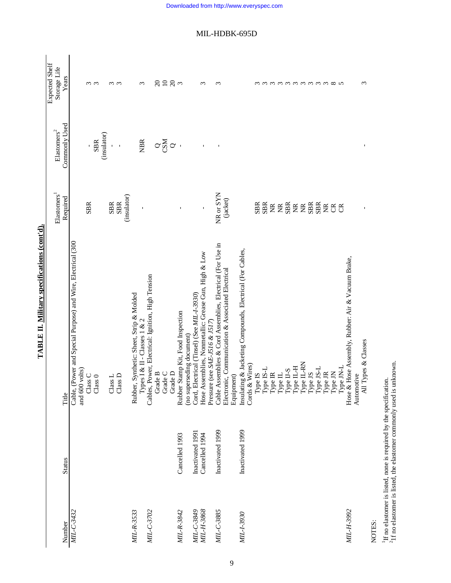|              |                  |                                                                                                                                                                                              | Elastomers <sup>1</sup> | ${\rm Elastomers}^2$      | Expected Shelf<br>Storage Life |
|--------------|------------------|----------------------------------------------------------------------------------------------------------------------------------------------------------------------------------------------|-------------------------|---------------------------|--------------------------------|
| Number       | <b>Status</b>    | Title                                                                                                                                                                                        | Required                | Commonly Used             | Years                          |
| MIL-C-3432   |                  | Cable, (Power and Special Purpose) and Wire, Electrical (300<br>and 600 volts)<br>Class C                                                                                                    | <b>SBR</b>              |                           |                                |
|              |                  | Class 0                                                                                                                                                                                      |                         | (insulator)<br><b>SBR</b> | ო ო                            |
|              |                  | $\textsc{Class}\, \mathsf{L}$                                                                                                                                                                |                         |                           |                                |
|              |                  | $\overline{\text{as}}$ D<br>$\frac{1}{2}$                                                                                                                                                    | SBR<br>SBR              | $\mathbf{I}$              | ო ო                            |
|              |                  |                                                                                                                                                                                              | (insulator)             |                           |                                |
| $MIL-R-3533$ |                  | Synthetic: Sheet, Strip & Molded<br>Types I & II - Classes 1 & 2<br>Rubber,                                                                                                                  |                         | <b>NBR</b>                | 3                              |
| MIL-C-3702   |                  | Cables, Power, Electrical: Ignition, High Tension<br>Grade B                                                                                                                                 |                         |                           |                                |
|              |                  | Grade C                                                                                                                                                                                      |                         | $\sim$ g $\sim$           | $\Omega$                       |
|              |                  | Grade D                                                                                                                                                                                      |                         |                           | $\frac{10}{28}$ m              |
| MIL-R-3842   | Cancelled 1993   | Rubber Stamp Kit, Food Inspection                                                                                                                                                            |                         |                           |                                |
|              |                  | (no superseding document)                                                                                                                                                                    |                         |                           |                                |
| MIL-C-3849   | Inactivated 1991 | Cord, Electrical (Tinsel) (See MIL-1-3930)                                                                                                                                                   |                         |                           |                                |
| MIL-H-3868   | Cancelled 1994   | Hose Assemblies, Nonmetallic: Grease Gun, High & Low<br>Pressure (see SAE-J516 & J517)                                                                                                       | $\mathbf I$             |                           | 3                              |
| MIL-C-3885   | Inactivated 1999 | Cable Assemblies & Cord Assemblies, Electrical (For Use in                                                                                                                                   | NR or SYN               |                           | S                              |
|              |                  | Electronic, Communication & Associated Electrical<br>Equipment)                                                                                                                              | (jacket)                |                           |                                |
| MIL-1-3930   | Inactivated 1999 | Insulating & Jacketing Compounds, Electrical (For Cables,<br>Wires)<br>Cords $&$                                                                                                             |                         |                           |                                |
|              |                  | $\begin{array}{l} {\rm Type~IS}\\ {\rm Type~IS-L}\\ {\rm Type~II}\\ {\rm Type~II-S}\\ {\rm Type~II-S}\\ {\rm Type~II-S}\\ {\rm Type~II-H}\\ {\rm Type~II-H}\\ {\rm PPE~II-KN}\\ \end{array}$ | <b>SBR</b>              |                           |                                |
|              |                  |                                                                                                                                                                                              | <b>SBR</b>              |                           |                                |
|              |                  |                                                                                                                                                                                              |                         |                           |                                |
|              |                  |                                                                                                                                                                                              | EEE                     |                           |                                |
|              |                  |                                                                                                                                                                                              |                         |                           |                                |
|              |                  |                                                                                                                                                                                              | EEEEE                   |                           | mmmmmmmm                       |
|              |                  | Type JS<br>Type JS-L                                                                                                                                                                         |                         |                           |                                |
|              |                  |                                                                                                                                                                                              |                         |                           |                                |
|              |                  | ${\rm Type\ JN}$<br>${\rm Type\, IR}$                                                                                                                                                        | $\widetilde{\Xi}$       |                           |                                |
|              |                  | Type JN-L                                                                                                                                                                                    | ජි ජි                   |                           | $\infty$ v                     |
| MIL-H-3992   |                  | Hose & Hose Assembly, Rubber: Air & Vacuum Brake,                                                                                                                                            |                         |                           |                                |
|              |                  | All Types & Classes<br>Automotive                                                                                                                                                            |                         | $\blacksquare$            | $\epsilon$                     |
| NIOTEC.      |                  |                                                                                                                                                                                              |                         |                           |                                |

TABLE II. Military specifications (cont'd). **TABLE II. Military specifications (cont'd).**

NOTES:

<sup>1</sup>If no elastomer is listed, none is required by the specification.<br><sup>2</sup>1f no elastomer is listed, the elastomer commonly used is unknown.  $21f$  no elastomer is listed, the elastomer commonly used is unknown. 1If no elastomer is listed, none is required by the specification.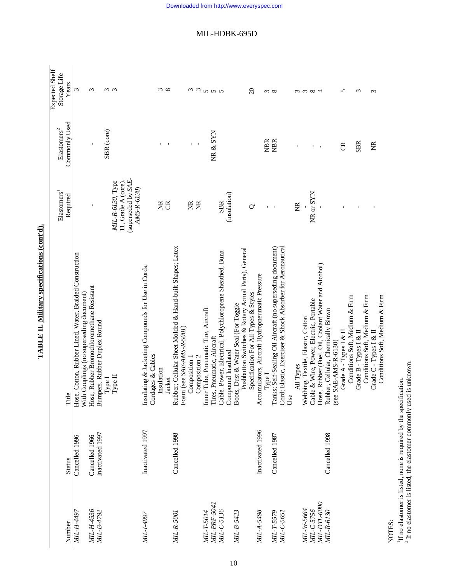| Expected Shelf<br>Storage Life | Years         | 3                                                                                                   | 3                                         |                                        | $\omega$ $\omega$                       |                                    |                                                    |                   | $\frac{3}{2}$        |                                                          |                           |               |               |                                      | mmnnn                      |                                                                                |                                      |                                                     | $\Omega$                             |                                                | $\infty$     |                                                                                                                          |     | ω         | $\epsilon$                        | ${}^{\circ}$                            | 4                                                   |                                                               | 5                      |                                | S                      |                                | 3                      |                                |
|--------------------------------|---------------|-----------------------------------------------------------------------------------------------------|-------------------------------------------|----------------------------------------|-----------------------------------------|------------------------------------|----------------------------------------------------|-------------------|----------------------|----------------------------------------------------------|---------------------------|---------------|---------------|--------------------------------------|----------------------------|--------------------------------------------------------------------------------|--------------------------------------|-----------------------------------------------------|--------------------------------------|------------------------------------------------|--------------|--------------------------------------------------------------------------------------------------------------------------|-----|-----------|-----------------------------------|-----------------------------------------|-----------------------------------------------------|---------------------------------------------------------------|------------------------|--------------------------------|------------------------|--------------------------------|------------------------|--------------------------------|
| ${\rm Elastomers}^2$           | Commonly Used |                                                                                                     |                                           | SBR (core)                             |                                         |                                    |                                                    |                   |                      |                                                          |                           |               |               |                                      | NR & SYN                   |                                                                                |                                      |                                                     |                                      |                                                | <b>NBR</b>   | <b>NBR</b>                                                                                                               |     |           |                                   | $\Gamma$                                | $\mathbf{I}$                                        |                                                               | ජි                     |                                | <b>SBR</b>             |                                | ž                      |                                |
| Elastomers <sup>1</sup>        | Required      |                                                                                                     |                                           |                                        | 11, Grade A (core),<br>MIL-R-6130, Type | (superseded by SAE-<br>AMS-R-6130) |                                                    |                   | ž<br>g               |                                                          |                           | ž             | E             |                                      |                            | (insulation)<br><b>SBR</b>                                                     |                                      |                                                     | ℺                                    |                                                | $\mathbf{I}$ |                                                                                                                          |     | ž         |                                   | NR or SYN                               |                                                     |                                                               |                        |                                |                        |                                |                        |                                |
|                                | Title         | Hose, Cotton, Rubber Lined, Water, Braided Construction<br>With Couplings (no superseding document) | Hose, Rubber Bromochloromethane Resistant | Bumpers, Rubber Duplex Round<br>Type I | Type II                                 |                                    | Insulating & Jacketing Compounds for Use in Cords, | Cordages & Cables | Insulation<br>Jacket | Rubber; Cellular Sheet Molded & Hand-built Shapes; Latex | Foam (see SAE-AMS-R-5001) | Composition 1 | Composition 2 | Inner Tube, Pneumatic Tire, Aircraft | Tires, Pneumatic, Aircraft | Cable, Power, Electrical, Polychloroprene Sheathed, Buna<br>Compound Insulated | Boots, Dust & Water Seal (For Toggle | Pushbutton Switches & Rotary Actual Parts), General | Specification For All Types & Styles | Accumulators, Aircraft Hydropneumatic Pressure | Type I       | Cord; Elastic, Exerciser & Shock Absorber for Aeronautical<br>Tanks; Self-Sealing Oil Aircraft (no superseding document) | Use | All Types | Webbing, Textile, Elastic, Cotton | Cable & Wire, Power, Electric, Portable | Hose, Rubber (Fuel, Oil, Coolant Water and Alcohol) | Rubber, Cellular, Chemically Blown<br>SAE-AMS-R-6130)<br>(see | Grade A - Types I & II | Conditions Soft, Medium & Firm | Grade B - Types I & II | Conditions Soft, Medium & Firm | Grade C - Types I & II | Conditions Soft, Medium & Firm |
|                                | <b>Status</b> | Cancelled 1996                                                                                      | Cancelled 1966                            | Inactivated 1997                       |                                         |                                    | Inactivated 1997                                   |                   |                      | Cancelled 1998                                           |                           |               |               |                                      |                            |                                                                                |                                      |                                                     |                                      | Inactivated 1996                               |              | Cancelled 1987                                                                                                           |     |           |                                   |                                         |                                                     | Cancelled 1998                                                |                        |                                |                        |                                |                        |                                |
|                                | Number        | MIL-H-4497                                                                                          | MIL-H-4536<br>MIL-B-4792                  |                                        |                                         |                                    | MIL-1-4997                                         |                   |                      | <b>MIL-R-5001</b>                                        |                           |               |               | MIL-T-5014                           | MIL-PRF-5041               | MIL-C-5136                                                                     | MIL-B-5423                           |                                                     |                                      | MIL-A-5498                                     |              | MIL-T-5579<br>MIL-C-5651                                                                                                 |     |           | MIL-W-5664                        | MIL-C-5756                              | <b>МІL-DTL-6000</b>                                 | MIL-R-6130                                                    |                        |                                |                        |                                |                        |                                |

# TABLE II. Military specifications (cont'd). **TABLE II. Military specifications (cont'd).**

NOTES:<br><sup>1</sup>If no elastomer is listed, none is required by the specification.<br><sup>2</sup> If no elastomer is listed, the elastomer commonly used is unknown. 1If no elastomer is listed, none is required by the specification.  $2$  If no elastomer is listed, the elastomer commonly used is unknown.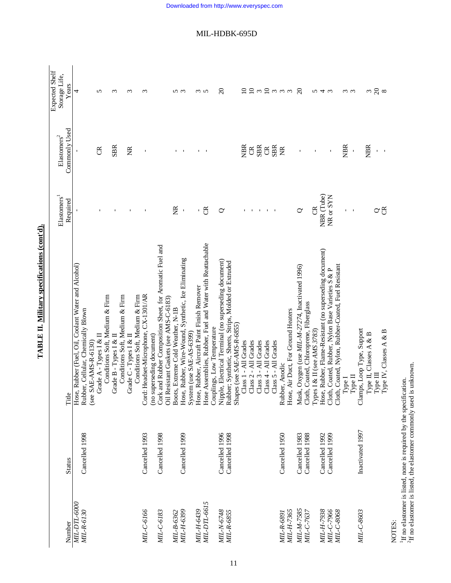|              |                                  |                                                           | Elastomers <sup>1</sup>   | ${\rm Elastomers}^2$ | Expected Shelf<br>Storage Life, |
|--------------|----------------------------------|-----------------------------------------------------------|---------------------------|----------------------|---------------------------------|
| Number       | <b>Status</b>                    | Title                                                     | Required                  | Commonly Used        | Years                           |
| MIL-DTL-600  |                                  | Hose, Rubber (Fuel, Oil, Coolant Water and Alcohol)       |                           |                      | 4                               |
| MIL-R-6130   | Cancelled 1998                   | Rubber, Cellular, Chemically Blown                        |                           |                      |                                 |
|              |                                  | (see SAE-AMS-R-6130)                                      |                           |                      |                                 |
|              |                                  | Grade A - Types I & II                                    |                           | g                    | 5                               |
|              |                                  | Conditions Soft, Medium & Firm                            |                           |                      |                                 |
|              |                                  | Grade B - Types I & II                                    |                           | <b>SBR</b>           | $\epsilon$                      |
|              |                                  | Conditions Soft, Medium & Firm                            |                           |                      |                                 |
|              |                                  | Grade C - Types I & II                                    |                           | E                    | $\epsilon$                      |
|              |                                  | Conditions Soft, Medium & Firm                            |                           |                      |                                 |
| MIL-C-6166   | Cancelled 1993                   | Cord: Headset-Microphone, CX-1301/AR                      |                           | Ţ                    | S                               |
|              |                                  | (no superseding document)                                 |                           |                      |                                 |
| MIL-C-6183   | Cancelled 1998                   | Cork and Rubber Composition Sheet, for Aromatic Fuel and  |                           |                      |                                 |
|              |                                  | Oil Resistant Gaskets (see AMS-C-6183)                    |                           |                      |                                 |
| МІL-В-6362   |                                  | Boots, Extreme Cold Weather, N-1B                         | ž                         |                      |                                 |
| MIL-H-6399   | Cancelled 1999                   | Hose, Rubber, Wire-Wound, Synthetic, Ice Eliminating      |                           | $\sim$ 1             | n w                             |
|              |                                  | System (use SAE-AS-6399)                                  |                           |                      |                                 |
| MIL-H-6439   |                                  | Hose, Rubber, Aircraft Paint Finish Remover               | $\mathbf{I}$              |                      |                                 |
| MIL-DTL-6615 |                                  | Hose Assemblies, Rubber, Fuel and Water with Reattachable | ජි                        |                      | ოო                              |
|              |                                  | Couplings, Low Temperature                                |                           |                      |                                 |
| MIL-N-6748   | Cancelled 1996                   | Nipple, Electrical Terminal (no superseding document)     | $\circ$                   |                      | $\Omega$                        |
| MIL-R-6855   | Cancelled 1998                   | Rubber; Synthetic, Sheets, Strips, Molded or Extruded     |                           |                      |                                 |
|              |                                  | Shapes (see SAE-AMS-R-6855)                               |                           |                      |                                 |
|              |                                  | Class 1 - All Grades                                      |                           | <b>REX</b>           |                                 |
|              |                                  | Class 2 - All Grades                                      | $\blacksquare$            | $\mathfrak{B}$       |                                 |
|              |                                  | Class 3 - All Grades                                      | $\mathbf{I}$              | <b>SBR</b>           |                                 |
|              |                                  | Class 4 - All Grades                                      | $\blacksquare$            | $\mathfrak{B}$       |                                 |
|              |                                  | Class 5 - All Grades                                      |                           | <b>SBR</b>           |                                 |
| MIL-R-6891   | Cancelled 1950                   | Rubber, Anodic                                            |                           | $\widetilde{z}$      |                                 |
| MIL-H-7365   |                                  | Hose, Air Duct, For Ground Heaters                        |                           |                      |                                 |
| MIL-M-7585   | Cancelled 1983                   | Mask, Oxygen (use MIL-M-27274, Inactivated 1996)          | $\mathbf{\infty}$         |                      | $\Omega$                        |
| MIL-C-7637   | Cancelled 1988                   | Cloth, Coated, Chloroprene, Fiberglass                    |                           |                      |                                 |
|              |                                  | Types I & II (see AMS 3783)                               | g                         |                      |                                 |
| MIL-H-7938   | Cancelled 1992<br>Cancelled 1999 | Hose, Rubber, Flame-Resistant (no superseding document)   | NBR (Tube)                |                      | うすい                             |
| MIL-C-7966   |                                  | Cloth, Coated, Rubber, Nylon Base Varieties S & P         | NR or SYN                 | $\mathbf I$          |                                 |
| MIL-C-8068   |                                  | Cloth, Coated, Nylon, Rubber-Coated, Fuel Resistant       |                           |                      |                                 |
|              |                                  | ${\rm Type\,I}$                                           |                           | <b>NBR</b>           | $\omega$ $\omega$               |
|              |                                  | Type II                                                   | $\mathbf{I}$              |                      |                                 |
| MIL-C-8603   | Inactivated 1997                 | Clamps, Loop Type, Support                                |                           |                      |                                 |
|              |                                  | Type II, Classes A & B                                    |                           | <b>NBR</b>           | 3                               |
|              |                                  | Type II                                                   |                           | $\mathbf{r}$         | $\frac{8}{8}$                   |
|              |                                  | Type IV, Classes A & B                                    | $\mathtt{\sim}\mathtt{g}$ |                      |                                 |

TABLE II. Military specifications (cont'd). **TABLE II. Military specifications (cont'd).**

11

NOTES:<br><sup>1</sup>If no elastomer is listed, none is required by the specification.<br><sup>2</sup>If no elastomer is listed, the elastomer commonly used is unknown. 1If no elastomer is listed, none is required by the specification.  ${}^{2}\text{H}$  no elastomer is listed, the elastomer commonly used is unknown.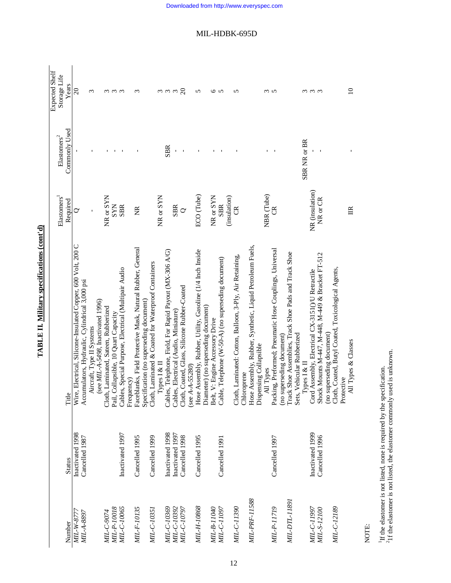|                            |                                    |                                                                                                                  |                             |                            | Expected Shelf    |
|----------------------------|------------------------------------|------------------------------------------------------------------------------------------------------------------|-----------------------------|----------------------------|-------------------|
|                            |                                    |                                                                                                                  | Elastomers <sup>1</sup>     | $E$ lastomers <sup>2</sup> | Storage Life      |
| Number                     | <b>Status</b>                      |                                                                                                                  | Required                    | Commonly Used              | Years             |
| MIL-W-8777                 | Inactivated 1998                   | Title<br>Wire, Electrical, Silicone-Insulated Copper, 600 Volt, 200 C<br>$\cdots$ and a contract of Notice 200 C | ℺                           |                            | $\Omega$          |
| MIL-A-8897                 | Cancelled 1987                     | Accumulators, Hydraulic, Cylindrical 3,000 psi                                                                   |                             |                            |                   |
|                            |                                    | Aircraft, Type II Systems                                                                                        |                             |                            | ω                 |
|                            |                                    | (see MIL-A-5498, Inactivated 1996)                                                                               |                             |                            |                   |
| MIL-C-9074                 |                                    | Cloth, Laminated, Sateen, Rubberized                                                                             | NR or SYN                   |                            |                   |
| MIL-P-10018                |                                    | Pail, Collapsible, 10 Quart Capacity                                                                             | <b>SYN</b>                  |                            | ო ო ო             |
| MIL-C-10065                | Inactivated 1997                   | Cables, Special Purpose, Electrical (Multipair Audio                                                             | <b>SBR</b>                  |                            |                   |
|                            |                                    | Frequency)                                                                                                       |                             |                            |                   |
| MIL-F-10135                | Cancelled 1995                     | Faceblanks, Field Protective Mask, Natural Rubber, General                                                       | E                           |                            | 3                 |
|                            |                                    | Specification (no superseding document)                                                                          |                             |                            |                   |
| MIL-C-10351                | Cancelled 1999                     | Cloth, Laminated & Coated for Waterproof Containers                                                              |                             |                            |                   |
|                            |                                    | Types I & II                                                                                                     | NR or SYN                   |                            |                   |
| MIL-C-10369                | Inactivated 1998                   | Cables, Telephone, Field, For Rapid Payout (MX-306 A/G)                                                          |                             | <b>SBR</b>                 | $\omega$ $\omega$ |
| MIL-C-10392                | Inactivated 1997                   | Cables, Electrical (Audio, Miniature)                                                                            | <b>SBR</b>                  |                            |                   |
| MIL-C-10797                | Cancelled 1998                     | Cloth, Coated, Glass, Silicone Rubber-Coated                                                                     | $\circ$                     |                            | $\Omega$          |
|                            |                                    | (see $A - 55280$ )                                                                                               |                             |                            |                   |
| MIL-H-10868                | Cancelled 1995                     | Hose Assembly, Rubber, Utility, Gasoline (1/4 Inch Inside                                                        | ECO (Tube)                  |                            | 5                 |
|                            |                                    | Diameter) (no superseding document)                                                                              |                             |                            |                   |
| NIL-B-11040                |                                    | Belt, V: Engine Accessory Drive                                                                                  | NR or SYN                   |                            | 6                 |
| MIL-C-11097                | Cancelled 1991                     | Cable, Telephone (W-50-A) (no superseding document)                                                              | <b>SBR</b>                  |                            | $\sim$            |
|                            |                                    |                                                                                                                  | (insulation)                |                            |                   |
| MIL-C-11390                |                                    | Cloth, Laminated: Cotton, Balloon, 3-Ply, Air Retaining,                                                         | g                           |                            | 5                 |
|                            |                                    | Chloroprene                                                                                                      |                             |                            |                   |
| MIL-PRF-11588              |                                    | Hose Assembly, Rubber, Synthetic, Liquid Petroleum Fuels,<br>Dispensing Collapsible                              |                             |                            |                   |
|                            |                                    | All Types                                                                                                        | NBR (Tube)                  |                            |                   |
| MIL-P-11719                | Cancelled 1997                     | Packing, Preformed; Pneumatic Hose Couplings, Universal                                                          |                             |                            | ო ო               |
|                            |                                    | (no superseding document)                                                                                        |                             |                            |                   |
| MIL-DTL-11891              |                                    | Track Shoe Assemblies, Track Shoe Pads and Track Shoe                                                            |                             |                            |                   |
|                            |                                    | Sets, Vehicular Rubberized                                                                                       |                             |                            |                   |
|                            |                                    | Types I & II                                                                                                     |                             | SBR NR or BR               |                   |
| MIL-C-11997<br>MIL-S-12100 | Inactivated 1999<br>Cancelled 1996 | Shock Mounts M-447, M-448, M-449 & Bracket FT-512<br>Cord Assembly, Electrical CX-3151()/U Retractile            | NR (insulation)<br>NR or CR |                            | ო ო ო             |
|                            |                                    | (no superseding document)                                                                                        |                             |                            |                   |
| MIL-C-12189                |                                    | Cloth, Coated, Butyl Coated, Toxicological Agents,                                                               |                             |                            |                   |
|                            |                                    | Protective                                                                                                       |                             |                            |                   |
|                            |                                    | All Types & Classes                                                                                              | $\mathbb{R}$                |                            | $\Omega$          |

TABLE II. Military specifications (cont'd) **TABLE II. Military specifications (cont'd)**

NOTE:

<sup>1</sup>If the elastomer is not listed, none is required by the specification.<br><sup>2</sup>1f the elastomer is not listed, the elastomer commonly used is unknown. 21f the elastomer is not listed, the elastomer commonly used is unknown. 1If the elastomer is not listed, none is required by the specification.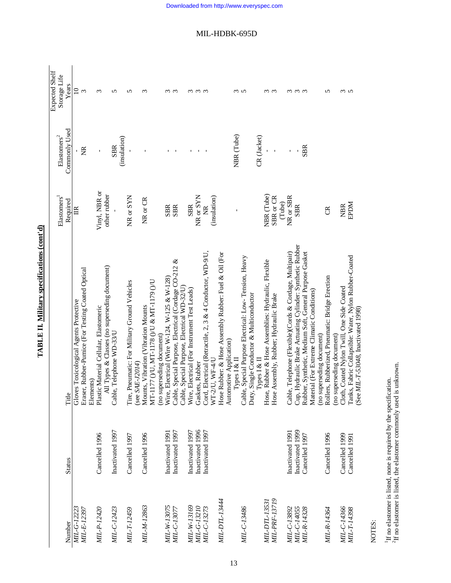| i                                           |
|---------------------------------------------|
| ;<br>i<br>i                                 |
| $\frac{1}{2}$<br>ij<br>$\ddot{\phantom{a}}$ |
| ľ                                           |
| ŗ<br>í                                      |
|                                             |

|                            |                                  |                                                                                                     |                           |                               | Expected Shelf    |
|----------------------------|----------------------------------|-----------------------------------------------------------------------------------------------------|---------------------------|-------------------------------|-------------------|
|                            |                                  |                                                                                                     | Elastomers <sup>1</sup>   | ${\rm El}$ astomers<br>$\sp2$ | Storage Life      |
| Number                     | <b>Status</b>                    | Title                                                                                               | Required                  | Commonly Used                 | Years             |
| MIL-G-12223                |                                  | Gloves Toxicological Agents Protective                                                              | $\mathbb{E}$              |                               | $\supseteq$       |
| МІІ-Е-12397                |                                  | Eraser, Rubber-Pumice (For Testing Coated Optical<br>Elements)                                      |                           | Ĕ                             | $\epsilon$        |
| MIL-P-12420                | Cancelled 1996                   | Plastic Material Cellular, Elastomeric                                                              | Vinyl, NBR or             | ı                             | 3                 |
| MIL-C-12423                | Inactivated 1997                 | All Types & Classes (no superseding document)<br>Cable, Telephone WD-33/U                           | other rubber              | <b>SBR</b>                    | 5                 |
|                            |                                  |                                                                                                     |                           | (insulation)                  |                   |
| MIL-T-12459                | Cancelled 1997                   | Tire, Pneumatic: For Military Ground Vehicles<br>(see $SAE$ - $J2014$ )                             | NR or SYN                 |                               | 5                 |
| MIL-M-12863                | Cancelled 1996                   | MT-1177 ()/U, MT-1178 ()/U & MT-1179 ()/U<br>Mounts, Vibration (Vibration Mounts                    | NR or CR                  |                               | $\infty$          |
|                            |                                  | (no superseding document)                                                                           |                           |                               |                   |
| MIL-W-13075                | Inactivated 1991                 | Wire, Electrical (Wire W-124, W-125 & W-128)                                                        | <b>SBR</b>                |                               | ო ო               |
| MIL-C-13077                | Inactivated 1997                 | Cable, Special Purpose, Electrical (Cordage CO-212 &<br>Cable, Special Purpose, Electrical WD-32/U) | <b>SBR</b>                |                               |                   |
| MIL-W-13169                | Inactivated 1997                 | Wire, Electrical (For Instrument Test Leads)                                                        | <b>SBR</b>                |                               | $\sim$            |
| MIL-G-13210                | Inactivated 1996                 | Gaskets, Rubber                                                                                     | NR or SYN                 |                               |                   |
| MIL-C-13273                | Inactivated 1997                 | Cord, Electrical (Retractile, 2, 3 & 4 Conductor, WD-9/U,                                           | ž                         |                               | $\omega$ $\omega$ |
|                            |                                  | WT-2/U, WF-4/U                                                                                      | (insulation)              |                               |                   |
| MIL-DTL-13444              |                                  | Hose Rubber: & Hose Assembly Rubber: Fuel & Oil (For                                                |                           |                               |                   |
|                            |                                  | Automotive Application)<br>Types I & II                                                             |                           | NBR (Tube)                    |                   |
| MIL-C-13486                |                                  | le, Special Purpose Electrical: Low-Tension, Heavy<br>Cabi                                          |                           |                               | ო ო               |
|                            |                                  | Duty, Single Conductor & Multiconductor                                                             |                           |                               |                   |
|                            |                                  | Types $I \& II$                                                                                     |                           | CR (Jacket)                   |                   |
| MIL-DTL-1353.              |                                  | Hose, Rubber & Hose Assemblies: Hydraulic, Flexible                                                 | NBR (Tube)                |                               | ო ო               |
| MIL-PRF-13719              |                                  | Hose Assembly, Rubber; Hydraulic Brake                                                              | $SBR$ or $CR$<br>(Tube)   |                               |                   |
| MIL-C-13892                | Inactivated 1991                 | Cable, Telephone (Flexible)(Cords & Cordage, Multipair)                                             | NR or SBR                 | f,                            |                   |
| MIL-C-14055                | Inactivated 1999                 | Cup, Hydraulic Brake Actuating Cylinder: Synthetic Rubber                                           | <b>SBR</b>                |                               | ო ო ო             |
| MIL-R-14328                | Cancelled 1997                   | Rubber, Synthetic, Medium Soft, General Purpose Gasket                                              |                           | <b>SBR</b>                    |                   |
|                            |                                  | Material (For Extreme Climatic Conditions)<br>(no superseding document)                             |                           |                               |                   |
| <i>MIL-R-14364</i>         | Cancelled 1996                   | Rollers, Rubberized, Pneumatic: Bridge Erection                                                     | ජි                        |                               | 5                 |
|                            |                                  | (no superseding document)                                                                           |                           |                               |                   |
| MIL-C-14366<br>MIL-T-14398 | Cancelled 1999<br>Cancelled 1991 | Tanks, Fabric Collapsible: Water, Nylon Rubber-Coated<br>Cloth, Coated Nylon Twill, One Side Coated | <b>NGGE</b><br><b>NBR</b> |                               | w w               |
|                            |                                  | (See MIL-T-53048, Inactivated 1998)                                                                 |                           |                               |                   |

NOTES:

 $^1\rm H$  no elastomer is listed, none is required by the specification.  $^2\rm H$  no elastomer is listed, the elastomer commonly used is unknown.  ${}^{2}\text{H}$  no elastomer is listed, the elastomer commonly used is unknown. 1If no elastomer is listed, none is required by the specification.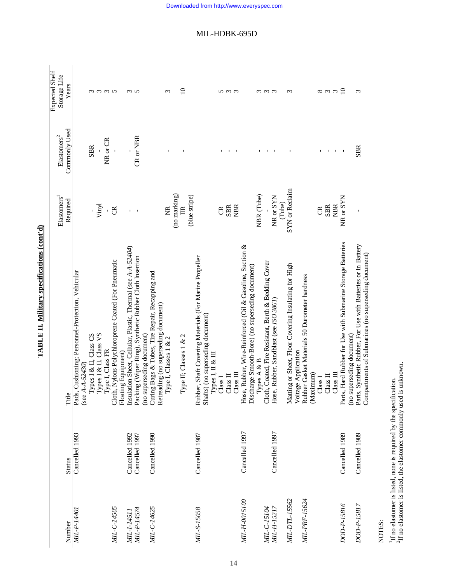| Number             | <b>Status</b>  | Title                                                                                                                 | Elastomers<br>Required | Commonly Used<br>${\rm El}$ astomers<br>$\sp2$ | Expected Shelf<br>Storage Life<br>Years |
|--------------------|----------------|-----------------------------------------------------------------------------------------------------------------------|------------------------|------------------------------------------------|-----------------------------------------|
| MIL-P-14401        | Cancelled 1993 | Pads, Cushioning; Personnel-Protection, Vehicular                                                                     |                        |                                                |                                         |
|                    |                | Types I & II, Class CS<br>(see $A - 52430$ )<br>T <sub>rman</sub> r e r                                               |                        | <b>SBR</b>                                     |                                         |
|                    |                | Types I & II, Class VS                                                                                                | Vinyl                  |                                                | mmm                                     |
|                    |                | Type I, Class FR                                                                                                      | $\mathbf{r}$           | NR or CR                                       |                                         |
| MIL-C-14505        |                | Cloth, Nylons Polychloroprene Coated (For Pneumatic                                                                   | $\mathfrak{S}$         |                                                |                                         |
| MIL-I-14511        | Cancelled 1992 | Insulation Sheet, Cellular, Plastic, Thermal (see A-A-52404)<br>Floating Equipment)                                   |                        |                                                |                                         |
| <i>MIL-P-14574</i> | Cancelled 1997 | Packing (Wiper Ring), Synthetic Rubber Cloth Insertion                                                                | $\mathbf{I}$           | $CR$ or $NBR$                                  | ო ო                                     |
|                    |                | (no superseding document)                                                                                             |                        |                                                |                                         |
| MIL-C-14625        | Cancelled 1990 | Curing Bags & Tubes, Tire Repair, Recapping and                                                                       |                        |                                                |                                         |
|                    |                | Retreading (no superseding document)                                                                                  |                        |                                                |                                         |
|                    |                | Type I, Classes 1 & 2<br>Л                                                                                            | $\widetilde{E}$        |                                                | 3                                       |
|                    |                |                                                                                                                       | (no marking)           |                                                |                                         |
|                    |                | Type II; Classes 1 & 2                                                                                                | $\mathbb{R}$           |                                                | $\Xi$                                   |
|                    |                |                                                                                                                       | (blue stripe)          |                                                |                                         |
| MIL-S-15058        | Cancelled 1987 | Rubber, Shaft Covering Materials (For Marine Propeller<br>Shafts) (no superseding document)<br>$I$ ypes I, II & III   |                        |                                                |                                         |
|                    |                | Class I                                                                                                               | g                      |                                                |                                         |
|                    |                |                                                                                                                       |                        |                                                |                                         |
|                    |                | $Class II$                                                                                                            | <b>SBR</b>             |                                                | <u>ທ ຕ ຕ</u>                            |
|                    |                | $\Box$ ass                                                                                                            | <b>NBR</b>             |                                                |                                         |
| MIL-H-0015100      | Cancelled 1997 | Hose, Rubber, Wire-Reinforced (Oil & Gasoline, Suction &<br>Discharge Smooth-Bore) (no superseding document)          |                        |                                                |                                         |
|                    |                | Types A & B                                                                                                           | NBR (Tube)             |                                                | $\epsilon$                              |
| MIL-C-15104        |                | Cloth, Coated, Fire Resistant, Berth & Bedding Cover                                                                  |                        |                                                | $\omega$ $\omega$                       |
| MIL-H-15217        | Cancelled 1997 | Hose, Rubber, Sandblast (see ISO 3861)                                                                                | NR or SYN              |                                                |                                         |
|                    |                |                                                                                                                       | (Tube)                 |                                                |                                         |
| MIL-DTL-15562      |                | Matting or Sheet, Floor Covering Insulating for High                                                                  | SYN or Reclaim         |                                                | $\epsilon$                              |
|                    |                | Voltage Application                                                                                                   |                        |                                                |                                         |
| MIL-PRF-15624      |                | Rubber Gasket Materials 50 Durometer hardness                                                                         |                        |                                                |                                         |
|                    |                | (Maximum)                                                                                                             |                        |                                                |                                         |
|                    |                | Class <sub>1</sub>                                                                                                    | g                      |                                                | ${}^{\circ}$                            |
|                    |                | $\Box$ ass $\Pi$                                                                                                      | <b>SBR</b>             | $\mathbf I$                                    | $\omega$ $\omega$                       |
|                    |                | $\frac{1}{2}$ ass $\frac{1}{2}$                                                                                       | <b>NBR</b>             | $\mathbf{u}$                                   |                                         |
| DOD-P-15816        | Cancelled 1989 | Parts, Hard Rubber for Use with Submarine Storage Batteries                                                           | NR or SYN              | $\blacksquare$                                 | $\overline{10}$                         |
| DOD-P-15817        |                | (no superseding document)                                                                                             |                        | <b>SBR</b>                                     |                                         |
|                    | Cancelled 1989 | Parts, Synthetic Rubber, For Use with Batteries or In Battery<br>Compartments of Submarines (no superseding document) |                        |                                                | 3                                       |

TABLE II. Military specifications (cont'd) **TABLE II. Military specifications (cont'd)**

NOTES:

 $^1\rm H$  no elastomer is listed, none is required by the specification.  $^2\rm H$  no elastomer is listed, the elastomer commonly used is unknown.  ${}^{2}\text{H}$  no elastomer is listed, the elastomer commonly used is unknown. 1If no elastomer is listed, none is required by the specification.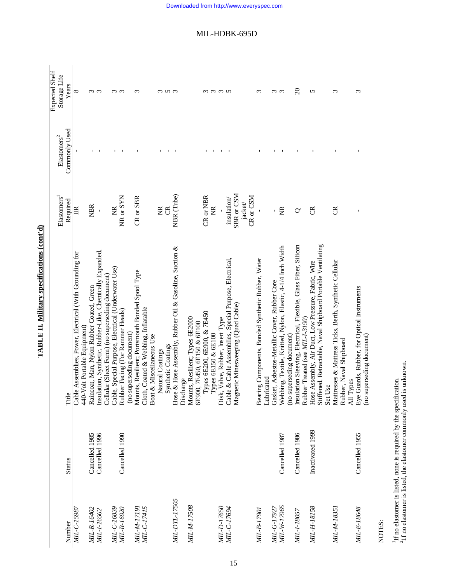|                            |                  |                                                                                                                     |                                 |                                             | Expected Shelf        |
|----------------------------|------------------|---------------------------------------------------------------------------------------------------------------------|---------------------------------|---------------------------------------------|-----------------------|
| Number                     | <b>Status</b>    | Title                                                                                                               | Elastomers<br>Required          | Commonly Used<br>$E$ lastomers <sup>2</sup> | Storage Life<br>Years |
| MIL-C-15987                |                  | Cable Assemblies, Power, Electrical (With Grounding for                                                             | 旨                               |                                             | ${}^{\circ}$          |
|                            |                  | 440-Volt Portable Equipment)                                                                                        |                                 |                                             |                       |
| MIL-R-16402                | Cancelled 1985   | Raincoat, Man, Nylon Rubber Coated, Green                                                                           | <b>NBR</b>                      |                                             | ო ო                   |
| MIL-1-16562                | Cancelled 1996   | Insulation, Synthetic, Rubber-Like, Chemically Expanded,<br>Cellular (Sheet Form) (no superseding document)         |                                 |                                             |                       |
| MIL-C-16839                |                  | Cable, Special Purpose, Electrical (Underwater Use)                                                                 | E                               |                                             |                       |
| MIL-R-16920                | Cancelled 1990   | Rubber Facing (For Rammer Heads)                                                                                    | NR or SYN                       |                                             | ო ო                   |
|                            |                  | (no superseding document)                                                                                           |                                 |                                             |                       |
| MIL-C-17415<br>MIL-M-17191 |                  | Mounts, Resilient; Portsmouth Bonded Spool Type<br>Cloth, Coated & Webbing, Inflatable                              | CR or SBR                       |                                             | r                     |
|                            |                  | Boat & Miscellaneous Use                                                                                            |                                 |                                             |                       |
|                            |                  | Natural Coatings                                                                                                    | Ž                               |                                             |                       |
|                            |                  | Synthetic Coatings                                                                                                  | $\mathfrak{S}$                  |                                             | $n \omega$            |
| MIL-DTL-17505              |                  | Hose & Hose Assembly, Rubber Oil & Gasoline, Suction &                                                              | NBR (Tube)                      |                                             |                       |
| MIL-M-17508                |                  | Mounts, Resilient; Types 6E2000<br>Discharge                                                                        |                                 |                                             |                       |
|                            |                  | 6E900, 7E450, 6E150 & 6E100                                                                                         |                                 |                                             |                       |
|                            |                  | Types 6E200, 6E900, & 7E450                                                                                         | CR or NBR                       |                                             |                       |
|                            |                  | Types 6E150 & 6E100                                                                                                 | Ž                               |                                             | ოოოო                  |
| MIL-D-17650                |                  | Disk, Valve, Rubber, Insert Type                                                                                    |                                 |                                             |                       |
| <i>MIL-C-17694</i>         |                  | Cable & Cable Assemblies, Special Purpose, Electrical,                                                              | insulation/                     |                                             |                       |
|                            |                  | Magnetic Minesweeping (Quad Cable)                                                                                  | SBR or CSM                      |                                             |                       |
|                            |                  |                                                                                                                     | $CR \text{ or } CSM$<br>jacket/ |                                             |                       |
| <i>MIL-B-17901</i>         |                  | Bearing Components, Bonded Synthetic Rubber, Water                                                                  |                                 |                                             | ς                     |
|                            |                  | Lubricated                                                                                                          |                                 |                                             |                       |
| <i>MIL-G-17927</i>         |                  | Gasket, Asbestos-Metallic Cover, Rubber Core                                                                        |                                 |                                             | ო ო                   |
| MIL-W-17965                | Cancelled 1987   | Webbing, Textile, Knitted, Nylon, Elastic, 4-1/4 Inch Width<br>(no superseding document)                            | E                               |                                             |                       |
| MIL-I-18057                | Cancelled 1986   | Insulation Sleeving, Electrical, Flexible, Glass Fiber, Silicon                                                     | 0                               |                                             | $\Omega$              |
|                            |                  | Rubber Treated (see MIL-1-3190)                                                                                     |                                 |                                             |                       |
| MIL-H-18158                | Inactivated 1999 | Stiffened, Retractable, Naval Shipboard Portable Ventilating<br>Hose Assembly, Air Duct, Low Pressure, Fabric, Wire | ජි                              |                                             | 5                     |
|                            |                  | Set Use                                                                                                             |                                 |                                             |                       |
| MIL-M-18351                |                  | Mattresses & Mattress Ticks, Berth, Synthetic Cellular<br>Rubber, Naval Shipboard                                   | g                               |                                             | $\epsilon$            |
|                            |                  | All Types                                                                                                           |                                 |                                             |                       |
| MIL-E-18648                | Cancelled 1955   | Eye Guards, Rubber, for Optical Instruments                                                                         |                                 |                                             | ξ                     |
|                            |                  | (no superseding document)                                                                                           |                                 |                                             |                       |

TABLE II. Military specifications (cont'd) **TABLE II. Military specifications (cont'd)**

NOTES:

 $^{1}$  If no elastomer is listed, none is required by the specification.  $^{2}$  If no elastomer is listed, the elastomer commonly used is unknown.  $21f$  no elastomer is listed, the elastomer commonly used is unknown. 1If no elastomer is listed, none is required by the specification.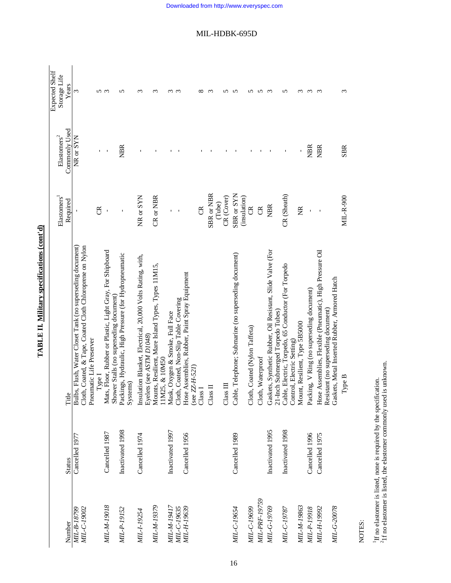|                            |                  |                                                                                                                                                   |                            |                             | Expected Shelf |
|----------------------------|------------------|---------------------------------------------------------------------------------------------------------------------------------------------------|----------------------------|-----------------------------|----------------|
|                            |                  |                                                                                                                                                   | Elastomers <sup>1</sup>    | ${\rm El}$ astomers<br>$^2$ | Storage Life   |
| Number                     | <b>Status</b>    | Title                                                                                                                                             | Required                   | Commonly Used               | Years          |
| MIL-C-19002<br>MIL-B-18799 | Cancelled 1977   | Bulbs, Flush, Water Closet Tank (no superseding document)<br>Cloth, Coated, & Tape, Coated Cloth Chloroprene on Nylon<br>Pneumatic Life Preserver |                            | NR or SYN                   | 3              |
|                            |                  | Type I                                                                                                                                            | ජි                         |                             | 5              |
| <b>MIL-M-19018</b>         | Cancelled 1987   | Mats, Floor, Rubber or Plastic, Light Gray, For Shipboard                                                                                         |                            |                             | $\epsilon$     |
| MIL-P-19152                | Inactivated 1998 | Packings, Hydraulic, High Pressure (for Hydropneumatic<br>Shower Stalls (no superseding document)<br>Systems)                                     |                            | <b>NBR</b>                  | n              |
| MIL-1-19254                | Cancelled 1974   | Insulation Blanket, Electrical, 20,000 Volts Rating, with,<br>Eyelets (see ASTM D1048)                                                            | NR or SYN                  |                             | S              |
| MIL-M-19379                |                  | Mounts, Resilient, Mare Island Types, Types 11M15,                                                                                                | $CR$ or $NBR$              |                             | S              |
| NIL-M-19417                | Inactivated 1997 | 11M25, & 10M50<br>Mask, Oxygen & Smoke, Full Face                                                                                                 |                            |                             |                |
| MIL-C-19635                |                  | Cloth, Coated, Non-Slip Table Covering                                                                                                            |                            |                             | $\sim$         |
| MIL-H-19639                | Cancelled 1956   | Hose Assemblies, Rubber, Paint Spray Equipment<br>ZZ-H-521)<br>(see                                                                               |                            |                             |                |
|                            |                  | Class <sub>I</sub>                                                                                                                                | g                          |                             |                |
|                            |                  | Class II                                                                                                                                          | SBR or NBR                 |                             | ς              |
|                            |                  |                                                                                                                                                   | (Tube)                     |                             |                |
|                            |                  | Class III                                                                                                                                         | CR (Cover)                 |                             |                |
| MIL-C-19654                | Cancelled 1989   | Cable, Telephone; Submarine (no superseding document)                                                                                             | SBR or SYN<br>(insulation) |                             |                |
| MIL-C-19699                |                  | Cloth, Coated (Nylon Taffeta)                                                                                                                     | g                          |                             |                |
| MIL-PRF-19759              |                  | Cloth, Waterproof                                                                                                                                 | g                          |                             |                |
| MIL-G-19769                | Inactivated 1995 | Gaskets, Synthetic Rubber, Oil Resistant, Slide Valve (For<br>21-Inch Submerged Torpedo Tubes)                                                    | <b>NBR</b>                 |                             | S              |
| MIL-C-19787                | Inactivated 1998 | Cable, Electric, Torpedo, 65 Conductor (For Torpedo<br>Control, Electric Setting)                                                                 | CR (Sheath)                |                             | ∽              |
| MIL-M-19863                |                  | Mount, Resilient, Type 5B5000                                                                                                                     | E                          |                             | S              |
| MIL-P-19918                | Cancelled 1996   | Packing, V Ring (no superseding document)                                                                                                         |                            | <b>NBR</b>                  | 3              |
| MIL-H-19992                | Cancelled 1975   | Hose Assemblies, Flexible (Pneumatic), High Pressure Oil<br>Resistant (no superseding document)                                                   | $\overline{1}$             | <b>NBR</b>                  | S              |
| MIL-G-20078                |                  | Gaskets, Metal Inserted Rubber, Armored Hatch                                                                                                     |                            |                             |                |
|                            |                  | Type B                                                                                                                                            | <b>MIL-R-900</b>           | <b>SBR</b>                  |                |

TABLE II. Military specifications (cont'd) **TABLE II. Military specifications (cont'd)**

NOTES:

<sup>1</sup>If no elastomer is listed, none is required by the specification.<br> $21f$  no elastomer is listed, the elastomer commonly used is unknown. 21f no elastomer is listed, the elastomer commonly used is unknown. 1If no elastomer is listed, none is required by the specification.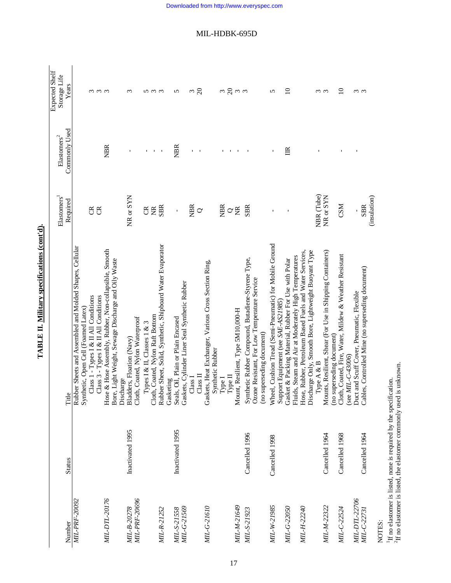|                            |                  |                                                                                                               | Elastomers            | ${\rm El}$ astomers<br>$^2$    | Expected Shelf        |
|----------------------------|------------------|---------------------------------------------------------------------------------------------------------------|-----------------------|--------------------------------|-----------------------|
| Number                     | <b>Status</b>    | Title                                                                                                         | Required              | Commonly Used                  | Storage Life<br>Years |
| MIL-PRF-20092              |                  | Rubber Sheets and Assembled and Molded Shapes, Cellular                                                       |                       |                                |                       |
|                            |                  | Synthetic, Open Cell (Foamed Latex)                                                                           |                       |                                |                       |
|                            |                  | Class 1 - Types I & II All Conditions                                                                         | g                     |                                | ოოო                   |
|                            |                  | Class 3 - Types I & II All Conditions                                                                         | g                     |                                |                       |
| MIL-DTL-20176              |                  | Hose & Hose Assembly, Rubber, Non-collapsible, Smooth<br>Bore, Light Weight, Sewage Discharge and Oily Waste  |                       | <b>NBR</b>                     |                       |
|                            |                  | Discharge                                                                                                     |                       |                                |                       |
| MIL-B-20278                | Inactivated 1995 | Bladders, Floation (Navy)                                                                                     | NR or SYN             |                                | $\epsilon$            |
| MIL-PRF-20696              |                  | Cloth, Coated, Nylon Waterproof                                                                               |                       |                                |                       |
|                            |                  | Types I & II, Classes 1 & 3                                                                                   | ජි                    | $\mathbf I$                    |                       |
|                            |                  | Cloth, Coated, Nylon Raft Bottom                                                                              | E                     | $\mathbf{I}$                   | <u>ທ ຕ ຕ</u>          |
| MIL-R-21252                |                  | Rubber Sheet, Solid, Synthetic, Shipboard Water Evaporator                                                    | <b>SBR</b>            | $\mathbf I$                    |                       |
|                            |                  | Gasketing                                                                                                     |                       |                                |                       |
| MIL-G-21569<br>MIL-S-21558 | Inactivated 1995 | Seals, Oil, Plain or Plain Encased                                                                            | ı                     | <b>NBR</b>                     | 5                     |
|                            |                  | Gaskets, Cylinder Liner Seal Synthetic Rubber                                                                 |                       |                                |                       |
|                            |                  | Class $\Pi$<br>Class <sub>I</sub>                                                                             | <b>NBR</b><br>$\circ$ | $\mathbf{I}$<br>$\blacksquare$ | $\Omega$<br>3         |
|                            |                  |                                                                                                               |                       |                                |                       |
| MIL-G-21610                |                  | Gaskets, Heat Exchanger, Various Cross Section Ring,<br>Synthetic Rubber                                      |                       |                                |                       |
|                            |                  | Type I                                                                                                        | <b>NBR</b>            |                                |                       |
|                            |                  | Туре П                                                                                                        |                       |                                |                       |
| MIL-M-21649                |                  | Mount, Resilient, Type 5M10,000-H                                                                             | σg                    |                                | ო  გო ო               |
| MIL-S-21923                | Cancelled 1996   | Synthetic Rubber Compound, Butadiene-Styrene Type,                                                            | <b>SBR</b>            |                                |                       |
|                            |                  | Ozone Resistant, For Low Temperature Service                                                                  |                       |                                |                       |
|                            |                  | (no superseding document)                                                                                     |                       |                                |                       |
| MIL-W-21985                | Cancelled 1998   | Wheel, Cushion Tread (Semi-Pneumatic) for Mobile Ground                                                       |                       |                                | 5                     |
|                            |                  | Support Equipment (see SAE-AS21985)                                                                           |                       |                                |                       |
| MIL-G-22050                |                  | Fluids, Steam and Air at Moderately High Temperatures<br>Gasket & Packing Material, Rubber For Use with Polar |                       | 旨                              | $\overline{10}$       |
| MIL-H-22240                |                  | Hose, Rubber, Petroleum Based Fuels and Water Services,                                                       |                       |                                |                       |
|                            |                  | Discharge Only, Smooth Bore, Lightweight Buoyant Type                                                         |                       |                                |                       |
|                            |                  | Type A & B                                                                                                    | NBR (Tube)            |                                | ო ო                   |
| MIL-M-22322                | Cancelled 1964   | Mounts, Resilient, Shear (For Use in Shipping Containers)                                                     | NR or SYN             |                                |                       |
|                            |                  | (no superseding document)                                                                                     |                       |                                |                       |
| MIL-C-22524                | Cancelled 1968   | Cloth, Coated, Fire, Water, Mildew & Weather Resistant<br>(see MIL-C-43006)                                   | <b>CSM</b>            |                                | $\Omega$              |
| MIL-DTL-22706              |                  | Duct and Scuff Cover, Pneumatic, Flexible                                                                     |                       |                                |                       |
| <i>MIL-C-22731</i>         | Cancelled 1964   | Cables, Controlled Mine (no superseding document)                                                             | <b>SBR</b>            |                                | ო ო                   |
|                            |                  |                                                                                                               | (insulation)          |                                |                       |

TABLE II. Military specifications (cont'd). **TABLE II. Military specifications (cont'd).**

NOTES:<br><sup>1</sup>If no elastomer is listed, none is required by the specification.<br><sup>2</sup>If no elastomer is listed, the elastomer commonly used is unknown. 1If no elastomer is listed, none is required by the specification.  ${}^{2}\text{H}$  no elastomer is listed, the elastomer commonly used is unknown.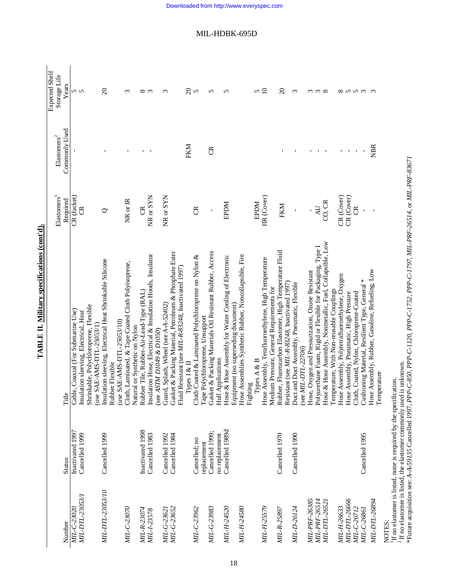# TABLE II. Military specifications (cont'd). **TABLE II. Military specifications (cont'd).**

Expected Shelf

Expected Shelf

|                    |                                                                             |                                                                                                                                   | $E$ lastomers <sup>1</sup> | ${\rm El}$ astomers<br>' | Storage Life           |
|--------------------|-----------------------------------------------------------------------------|-----------------------------------------------------------------------------------------------------------------------------------|----------------------------|--------------------------|------------------------|
| Number             | <b>Status</b>                                                               | Title                                                                                                                             | Required                   | Commonly Used            | Years                  |
| MIL-C-23020        | Inactivated 1997                                                            | Cable, Coaxial (For Submarine Use)                                                                                                | CR (Jacket)                |                          | <b>55</b>              |
| MIL-DTL-23053/1    | Cancelled 1999                                                              | Insulation sleeving, Electrical, Heat                                                                                             | ర్                         |                          |                        |
|                    |                                                                             | Shrinkable, Polychloroprene, Flexible<br>(use SAE-AMS-DTL-25053/1)                                                                |                            |                          |                        |
| MIL-DTL-23053/10   | Cancelled 1999                                                              | Insulation sleeving, Electrical Heat Shrinkable Silicone<br>Rubber Flexible                                                       | ℺                          |                          | $\Omega$               |
|                    |                                                                             | (use $SAE$ -AMS-DTL-25053/10)                                                                                                     |                            |                          |                        |
| MIL-C-23070        |                                                                             | Cloth, Laminated, & Tape Coated Cloth Polyisoprene,                                                                               | NR or IR                   |                          | $\epsilon$             |
|                    |                                                                             | Natural or Synthetic on Nylon                                                                                                     |                            |                          |                        |
| MIL-R-23074        | Inactivated 1998                                                            | Rubber Tile, Rubber-Air-Lead-Type (RAL)                                                                                           | g                          | $\mathbf{I}$             | $\infty$ $\infty$      |
| MIL-I-23578        | Cancelled 1983                                                              | Insulation Hose, Electrical & Insulation Hoods, Insulator<br>(see ASTM D1049 & D1050)                                             | NR or SYN                  | $\blacksquare$           |                        |
| MIL-G-23621        | Cancelled 1992                                                              | Guard, Splash, Wheel (see A-A-52402)                                                                                              | $NR$ or $SYN$              |                          | ω                      |
| MIL-G-23652        | Cancelled 1984                                                              | Gasket & Packing Material, Petroleum & Phosphate Ester                                                                            |                            |                          |                        |
|                    |                                                                             | Fluid Resistant (see MIL-R-83248, Inactivated 1997)<br>Types I & II                                                               |                            | FKM                      | $\Omega$               |
| MIL-C-23962        | Cancelled; no                                                               | Cloth Coated & Laminated Polychloroprene on Nylon &                                                                               | g                          |                          | 5                      |
|                    | replacement                                                                 | ape Polychloroprene, Unsupport                                                                                                    |                            |                          |                        |
| MIL-G-23983        | Cancelled 1999;<br>no replacement                                           | Gasket & Packing Materials Oil Resistant Rubber, Access<br>Hull Applications                                                      | ı                          | ජි                       | 5                      |
| MIL-H-24520        | Cancelled 1989d                                                             | Hose & Hose Assembly for Water Cooling of Electronic                                                                              | <b>NGGE</b>                |                          | 5                      |
| MIL-H-24580        |                                                                             | Hose Assemblies Synthetic Rubber, Noncollapsible, Fire<br>Equipment (no superseding document)                                     |                            |                          |                        |
|                    |                                                                             | Fighting                                                                                                                          |                            |                          |                        |
|                    |                                                                             | Types A & B                                                                                                                       | <b>RPDM</b>                |                          | 5                      |
| MIL-H-25579        |                                                                             | Hose Assembly, Terafluoroethylene, High Temperature                                                                               | IIR (Cover)                |                          | $\overline{10}$        |
|                    |                                                                             | Medium Pressure, General Requirements for                                                                                         |                            |                          |                        |
| MIL-R-25897        | Cancelled 1970                                                              | Rubber, Fluorocarbon Elastomer, High Temperature Fluid<br>Resistant (see MIL-R-83248, Inactivated 1997)                           | FKM                        |                          | $\Omega$               |
| <i>MIL-D-26124</i> | Cancelled 1990                                                              | Duct and Duct Assembly, Pneumatic, Flexible                                                                                       | $\mathbf{I}$               |                          | $\epsilon$             |
|                    |                                                                             | (see MIL-DTL-22706)                                                                                                               |                            |                          |                        |
| MIL-PRF-26385      |                                                                             | Hose, Oxygen and Pressurization, Ozone Resistant                                                                                  |                            |                          |                        |
| MIL-PRF-26514      |                                                                             | Polyurethane Foam, Rigid or Flexible for Packaging, Type I                                                                        | $\Delta U$                 | $\blacksquare$           | $\omega \omega \infty$ |
| MIL-DTL-2652.      |                                                                             | Hose & Hose Assembly, Nonmetallic, Fuel, Collapsible, Low<br>Temperature, With Non-reusable Couplings                             | CO, CR                     |                          |                        |
| MIL-H-26633        |                                                                             | Hose Assembly, Polytetrafluoroethylene, Oxygen                                                                                    | CR (Cover)                 |                          |                        |
| MIL-DTL-26666      |                                                                             | Hose Assembly, Pneumatic, High Pressure                                                                                           | CR (Cover)                 |                          |                        |
| MIL-C-26712        |                                                                             | Cloth, Coated, Nylon, Chloroprene-Coated                                                                                          | g                          | $\mathbf I$              | 8553                   |
| MIL-C-26861        | Cancelled 1995                                                              | Cushioning Material, Resilient Type, General *                                                                                    |                            |                          |                        |
| MIL-DTL-26894      |                                                                             | Hose Assembly, Rubber, Gasoline, Refueling, Low                                                                                   |                            | <b>NBR</b>               | $\omega$               |
|                    |                                                                             | Temperature                                                                                                                       |                            |                          |                        |
| NOTES:             | If no elastomer is listed, none is required by the specification.           |                                                                                                                                   |                            |                          |                        |
|                    | $^2\rm{If}$ no elastomer is listed, the elastomer commonly used is unknown. |                                                                                                                                   |                            |                          |                        |
|                    |                                                                             | *Future acquisition see: A-A-59135 Cancelled 1997, PPP-C-850, PPP-C-1120, PPP-C-1752, PPP-C-1797, MIL-PRF-26514, or MIL-PRF-83671 |                            |                          |                        |

# MIL-HDBK-695D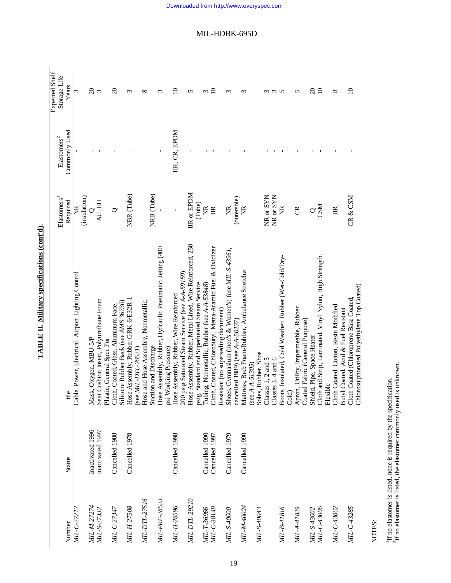| Ì              |  |
|----------------|--|
|                |  |
|                |  |
| í              |  |
|                |  |
|                |  |
|                |  |
|                |  |
| :              |  |
|                |  |
| :              |  |
|                |  |
| <br> <br> <br> |  |
|                |  |
|                |  |
| ŗ              |  |
| l              |  |
|                |  |

|               |                  |                                                          |                         |                      | Expected Shelf  |
|---------------|------------------|----------------------------------------------------------|-------------------------|----------------------|-----------------|
|               |                  |                                                          | Elastomers <sup>1</sup> | ${\rm Elastomers}^2$ | Storage Life    |
| Number        | <b>Status</b>    | $\ddot{\mathbf{O}}$<br>$\Xi$                             | Required                | Commonly Used        | Years           |
| MIL-C-27212   |                  | Cable, Power, Electrical, Airport Lighting Control       | E                       |                      | 3               |
|               |                  |                                                          | (insulation)            |                      |                 |
| MIL-M-27274   | Inactivated 1996 | Mask, Oxygen, MBU-5/P                                    |                         |                      | $\Omega$        |
| MIL-S-27332   | Inactivated 1997 | Seat Cushion Insert, Polyurethane Foam                   | $Q$<br>AU, EU           |                      | $\mathfrak{c}$  |
|               |                  | Plastic, General Spec For                                |                         |                      |                 |
| MIL-C-27347   | Cancelled 1988   | Cloth, Coated, Glass, Aluminum Face,                     | $\circ$                 |                      | $\Omega$        |
|               |                  | Silicone Rubber Back (see AMS 36730)                     |                         |                      |                 |
| MIL-H-27508   | Cancelled 1978   | Hose Assembly, Rubber GRK-6/E32R-1                       | NBR (Tube)              |                      | ς               |
|               |                  | (see $MIL-DTL-26521$ )                                   |                         |                      |                 |
| MIL-DTL-27516 |                  | Hose and Hose Assembly, Nonmetallic,                     |                         |                      | ∞               |
|               |                  | Suction and Discharge                                    | NRB (Tube)              |                      |                 |
| MIL-PRF-28523 |                  | Hose Assembly, Rubber, Hydraulic Pneumatic, Jetting (400 |                         |                      | ς               |
|               |                  | psi Working Pressure)                                    |                         |                      |                 |
| MIL-H-28596   | Cancelled 1998   | Hose Assembly, Rubber, Wire Reinforced                   |                         | IIR, CR, EPDM        | $\supseteq$     |
|               |                  | psig Saturated Steam Service (see A-A-59159)<br>200      |                         |                      |                 |
| MIL-DTL-29210 |                  | Hose Assembly, Rubber, Metal Lined, Wire Reinforced, 250 | IIR or EPDM             |                      | 5               |
|               |                  | psig, Standard and Superheated Steam Service             | (Tube)                  |                      |                 |
| MIL-T-36966   | Cancelled 1990   | Tubing, Nonmetallic, Rubber (see A-A-53848)              | Ĕ                       |                      | ς               |
| MIL-C-38149   | Cancelled 1997   | Cloth, Coated, Chlorobutyl, Metra-Aramid Fuel & Oxidizer | $\mathbb{R}$            |                      | $\overline{10}$ |
|               |                  | Resistant (no superseding document)                      |                         |                      |                 |
| MIL-S-40000   | Cancelled 1979   | Shoes, Gymnasium (men's & Women's) (use MIL-S-43961,     | $\widetilde{\Xi}$       |                      | S               |
|               |                  | cancelled 1989) (see A-A-50137)                          | (outersole)             |                      |                 |
| MIL-M-40024   | Cancelled 1990   | Mattress, Bed: Foam-Rubber, Ambulance Stretcher          | E                       |                      | ς               |
|               |                  | (see $A - 51305$ )                                       |                         |                      |                 |
| MIL-S-40043   |                  | ss, Rubber, Shoe<br>Sole                                 |                         |                      |                 |
|               |                  | Classes 1, 2 and 5                                       | NR or SYN               |                      |                 |
|               |                  | Classes 3, 4 and 6                                       | NR or SYN               |                      | $\omega$        |
| MIL-B-41816   |                  | Boots, Insulated, Cold Weather, Rubber (Wet-Cold/Dry-    | ž                       |                      | $\Omega$        |
|               |                  | Cold)                                                    |                         |                      |                 |
| MIL-A-41829   |                  | Apron, Utility, Impermeable, Rubber                      | ర్                      |                      | 5               |
|               |                  | Coated Fabric (General Purpose)                          |                         |                      |                 |
| MIL-S-43002   |                  | Shield, Pipe, Space Heater                               | $\rm \sim$              |                      | $\overline{c}$  |
| MIL-C-43006   |                  | Cloth and Strip, Laminated, Vinyl Nylon, High Strength,  | <b>CSM</b>              |                      | $\overline{10}$ |
|               |                  | Flexible                                                 |                         |                      |                 |
| MIL-C-43062   |                  | Cloth Coated, Cotton, Resin Modified                     | E                       |                      | ${}^{\circ}$    |
|               |                  | Butyl Coated, Acid & Fuel Resistant                      |                         |                      |                 |
| MIL-C-43285   |                  | Cloth Coated (Chloroprene Base Coated,                   | CR & CSM                |                      | $\subseteq$     |
|               |                  | Chlorosulphonated Polyethylene Top Coated)               |                         |                      |                 |

NOTES:

 $^1\rm H$  no elastomer is listed, none is required by the specification.  $^2\rm H$  no elastomer is listed, the elastomer commonly used is unknown.  ${}^{2}$ If no elastomer is listed, the elastomer commonly used is unknown. 1If no elastomer is listed, none is required by the specification.

MIL-HDBK-695D

19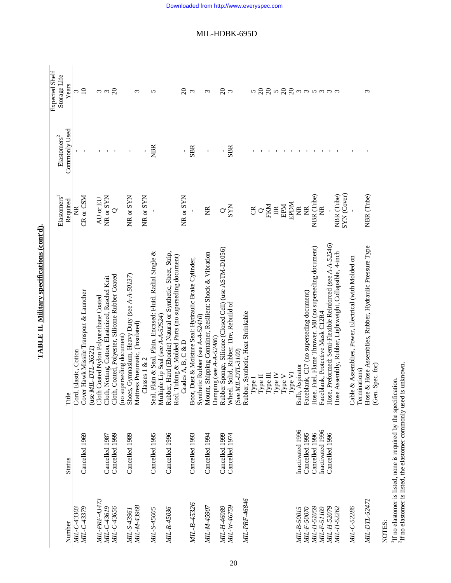| j                                                             |  |
|---------------------------------------------------------------|--|
|                                                               |  |
|                                                               |  |
|                                                               |  |
|                                                               |  |
|                                                               |  |
| l                                                             |  |
|                                                               |  |
|                                                               |  |
|                                                               |  |
|                                                               |  |
|                                                               |  |
|                                                               |  |
|                                                               |  |
|                                                               |  |
|                                                               |  |
|                                                               |  |
| č                                                             |  |
|                                                               |  |
|                                                               |  |
|                                                               |  |
|                                                               |  |
|                                                               |  |
| :                                                             |  |
|                                                               |  |
|                                                               |  |
|                                                               |  |
| ֧֦֧֦֧֖֖֧֧֧֧֖֧֧֖֧֧֖֚֚֚֚֚֚֚֚֚֚֚֚֚֚֚֚֚֚֚֚֚֚֚֚֚֚֝֝֓֝֬֝֓֝֬֝֓֝֬֝֬֝֬ |  |
|                                                               |  |
|                                                               |  |
|                                                               |  |
| $\frac{1}{2}$ is a set of $\frac{1}{2}$                       |  |
|                                                               |  |
|                                                               |  |
|                                                               |  |
|                                                               |  |
|                                                               |  |
| i                                                             |  |
|                                                               |  |
|                                                               |  |
|                                                               |  |

|               |                  |                                                            |                                  |                             | <b>Expected Shelf</b>                 |
|---------------|------------------|------------------------------------------------------------|----------------------------------|-----------------------------|---------------------------------------|
|               |                  |                                                            | Elastomers                       | ${\rm El}$ astomers<br>$^2$ | Storage Life                          |
| Number        | <b>Status</b>    | Title                                                      | Required                         | Commonly Used               | Years                                 |
| MIL-C-43303   |                  | Cord, Elastic, Cotton                                      | ž                                |                             |                                       |
| MIL-C-43379   | Cancelled 1969   | Cover Hawk Missile Transport & Launcher                    | CR or CSM                        |                             | $\frac{3}{10}$                        |
|               |                  | (use $MIL-DTL-26521$ )                                     |                                  |                             |                                       |
| MIL-PRF-43473 |                  | Cloth Coated Nylon Polyurethane Coated                     | AU or EU                         |                             | ოო $\frac{2}{3}$                      |
| MIL-C-43619   | Cancelled 1987   | Cloth, Netting, Cotton, Elasticized, Raschel Knit          | NR or SYN                        | л.                          |                                       |
| MIL-C-43656   | Cancelled 1999   | Cloth, Coated, Polyester, Silicone Rubber Coated           | $\circ$                          |                             |                                       |
|               |                  | (no superseding document)                                  |                                  |                             |                                       |
| MIL-S-43961   | Cancelled 1989   | Shoes, Gymnasium, Heavy Duty (see A-A-50137)               | NR or SYN                        |                             |                                       |
| MIL-M-43968   |                  | Mattress Pneumatic, (Insulated)                            |                                  |                             | ω                                     |
|               |                  | Classes $1 & 2$                                            | NR or SYN                        |                             |                                       |
| MIL-S-45005   | Cancelled 1995   | Seal, Plain & Seal, Plain, Encased: Fluid, Radial Single & |                                  | <b>NBR</b>                  | 5                                     |
|               |                  | Multiple Lip Seal (see A-A-52524)                          |                                  |                             |                                       |
| MIL-R-45036   | Cancelled 1996   | Rubber, Hard (Ebonite) Natural or Synthetic, Sheet, Strip, |                                  |                             |                                       |
|               |                  | Rod, Tubing & Molded Parts (no superseding document)       |                                  |                             |                                       |
|               |                  | Grades A, B, C & D                                         | NR or SYN                        |                             | $\delta$                              |
| MIL-B-45326   | Cancelled 1993   | Boot, Dust & Moisture Seal: Hydraulic Brake Cylinder,      |                                  | <b>SBR</b>                  | $\infty$                              |
|               |                  | Synthetic Rubber (see A-A-52410)                           |                                  |                             |                                       |
| MIL-M-45907   | Cancelled 1994   | Mount, Shipping Container, Resilient: Shock & Vibration    | E                                | ı                           | 3                                     |
|               |                  | Damping (see A-A-52486)                                    |                                  |                             |                                       |
| MIL-H-46089   | Cancelled 1999   | Rubber Sponge, Silicone (Closed Cell) (use ASTM-D1056)     |                                  | Ĭ.                          | $\Omega$                              |
| MIL-W-46759   | Cancelled 1974   | Wheel, Solid, Rubber, Tire, Rebuild of                     | $\alpha_{\rm SN}^{\rm X}$        | <b>SBR</b>                  | $\mathfrak{c}$                        |
|               |                  | (See $ML-DTL-3100$ )                                       |                                  |                             |                                       |
| MIL-PRF-46846 |                  | Rubber, Synthetic, Heat Shrinkable                         |                                  |                             |                                       |
|               |                  | Type I                                                     | E                                |                             |                                       |
|               |                  | Type II                                                    | $\circ$                          |                             |                                       |
|               |                  | Туре Ш                                                     | FKM                              |                             |                                       |
|               |                  | Type IV                                                    | $\mathbb{E}$                     |                             |                                       |
|               |                  | Type V                                                     | EPM                              |                             |                                       |
|               |                  | ${\rm Type}~{\rm VI}$                                      | <b>EPDM</b>                      |                             |                                       |
| MIL-B-50015   | Inactivated 1996 | Bulb, Aspirator                                            | $\widetilde{\Xi}$                |                             |                                       |
| MIL-F-50070   | Cancelled 1995   | Faceblank, C17 (no superseding document)                   | $\widetilde{\Xi}$                |                             |                                       |
| MIL-H-51059   | Cancelled 1996   | Hose, Fuel, Flame Thrower, M8 (no superseding document)    | NBR (Tube)                       |                             |                                       |
| MIL-F-51109   | Inactivated 1996 | Faceblank, Protective Mask C12R4                           | g                                |                             | <mark>ភេ</mark> ទ្ទិត ក្នុង កាត់<br>ស |
| MIL-H-52079   | Cancelled 1996   | Hose, Preformed: Semi-Flexible Reinforced (see A-A-52546)  |                                  |                             |                                       |
| MIL-H-52262   |                  | Hose Assembly, Rubber, Lightweight, Collapsible, 4-inch    | <b>SYN</b> (Cover)<br>NBR (Tube) |                             |                                       |
| MIL-C-52286   |                  | Cable & Assemblies, Power, Electrical (with Molded on      |                                  |                             |                                       |
|               |                  | Terminations)                                              |                                  |                             |                                       |
| MIL-DTL-52471 |                  | Hose & Hose Assemblies, Rubber, Hydraulic Pressure Type    | NBR (Tube)                       |                             | 3                                     |
|               |                  | (Gen. Spec. for)                                           |                                  |                             |                                       |

NOTES:<br><sup>1</sup>If no elastomer is listed, none is required by the specification.<br><sup>2</sup>If no elastomer is listed, the elastomer commonly used is unknown. 1If no elastomer is listed, none is required by the specification.  ${}^{2}$ If no elastomer is listed, the elastomer commonly used is unknown.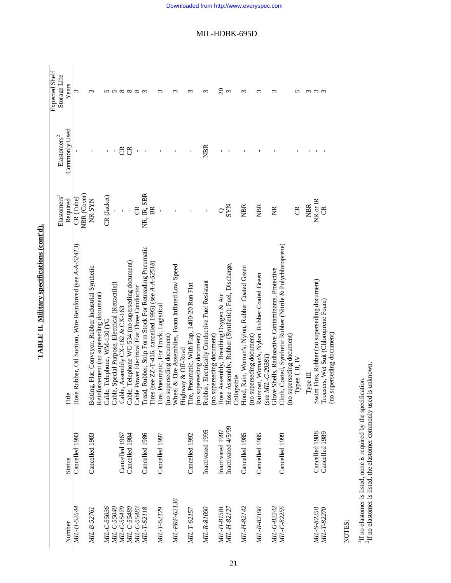|                    |                    |                                                                            |                         |                          | <b>Expected Shelf</b> |
|--------------------|--------------------|----------------------------------------------------------------------------|-------------------------|--------------------------|-----------------------|
|                    |                    |                                                                            | Elastomers <sup>1</sup> | ${\rm El}$ astomers $^2$ | Storage Life          |
| Number             | <b>Status</b>      | Title                                                                      | Required                | Commonly Used            | Years                 |
| MIL-H-52544        | Cancelled 1993     | Hose Rubber, Oil Suction, Wire Reinforced (see A-A-52413)                  | $CR$ (Tube)             |                          | 3                     |
|                    |                    |                                                                            | NBR (Cover)             |                          |                       |
| MIL-B-52761        | Cancelled 1983     | Belting, Flat: Conveyor, Rubber Industrial Synthetic                       | NR-SYN                  |                          | $\sim$                |
|                    |                    | Reinforcement (no superseding document)                                    |                         |                          |                       |
| MIL-C-55036        |                    | Cable, Telephone, WM-130 0/G                                               | CR (Jacket)             |                          |                       |
| MIL-C-55040        |                    | Cable, Special Purpose, Electrical (Retractile)I                           |                         |                          |                       |
| MIL-C-55479        | Cancelled 1967     | Cable, Assembly CX-162 & CX-163                                            |                         | ජි                       |                       |
| MIL-C-55480        | Cancelled 1984     | Cable, Telephone WC-534 (no superseding document)                          |                         | ජි                       |                       |
| MIL-C-55483        |                    | Cable Power Electrical Flat Three Conductor                                | g                       |                          | <u>ທ ທ ∞ ∞ ∞ ๓ ๓</u>  |
| MIL-T-62118        | Cancelled 1986     | Tread, Rubber, Strip Form Stock For Retreading Pneumatic                   | NR, IR, SBR             |                          |                       |
|                    |                    | Tires (see ZZ-T-416, cancelled 1995) (see A-A-52518)                       |                         |                          |                       |
| MIL-T-62129        | Cancelled 1997     | Tire, Pneumatic, For Truck, Logistical                                     |                         |                          | ç                     |
|                    |                    | (no superseding document)                                                  |                         |                          |                       |
| MIL-PRF-62136      |                    | Wheel & Tire Assemblies, Foam Inflated Low Speed                           |                         |                          | ç                     |
| MIL-T-62157        | Cancelled 1992     | Highway & Off-Road<br>Tire, Pneumatic, With Flap, 1400-20 Run Flat         |                         |                          | r                     |
|                    |                    | (no superseding document)                                                  |                         |                          |                       |
| MIL-R-81090        | Inactivated 1995   | Rubber, Electrically Conductive Fuel Resistant                             |                         | <b>NBR</b>               | ς                     |
|                    |                    | (no superseding document)                                                  |                         |                          |                       |
| MIL-H-81581        | Inactivated 1997   | Hose Assembly, Breathing Oxygen & Air                                      |                         |                          | $\Omega$              |
| MIL-H-82127        | Inactivated 4/5/99 | Hose Assembly, Rubber (Synthetic): Fuel, Discharge,                        | <b>SYN</b>              |                          | $\mathfrak{g}$        |
|                    |                    | Collapsible                                                                |                         |                          |                       |
| MIL-H-82142        | Cancelled 1985     | Hood, Rain, Woman's: Nylon, Rubber Coated Green                            | <b>NBR</b>              |                          | ξ                     |
| MIL-R-82190        | Cancelled 1985     | Raincoat, Woman's, Nylon, Rubber Coated Green<br>(no superseding document) | <b>NBR</b>              |                          | $\sim$                |
|                    |                    | (see MIL-C-29381)                                                          |                         |                          |                       |
| MIL-G-82242        |                    | Glove Shells, Radioactive Contaminants, Protective                         | Ĕ                       |                          | m                     |
| MIL-C-82255        | Cancelled 1999     | Cloth, Coated, Synthetic Rubber (Nitrile & Polychloroprene)                |                         |                          |                       |
|                    |                    | (no superseding document)                                                  |                         |                          |                       |
|                    |                    | Types I, II, IV                                                            | g                       |                          | ∽                     |
|                    |                    | Type II                                                                    | <b>NBR</b>              |                          | ω                     |
| MIL-S-82258        | Cancelled 1988     | Swim Fins, Rubber (no superseding document)                                | NR or IR                |                          | $\omega$              |
| <i>MIL-T-82270</i> | Cancelled 1989     | Trousers, Wet Suit (Chloroprene Foam)<br>(no superseding document)         | g                       |                          |                       |
|                    |                    |                                                                            |                         |                          |                       |

TABLE II. Military specifications (cont'd). **TABLE II. Military specifications (cont'd).**

NOTES:

 $^1\rm H$  no elastomer is listed, none is required by the specification.  $^2\rm H$  no elastomer is listed, the elastomer commonly used is unknown.  ${}^{2}$ If no elastomer is listed, the elastomer commonly used is unknown. 1If no elastomer is listed, none is required by the specification.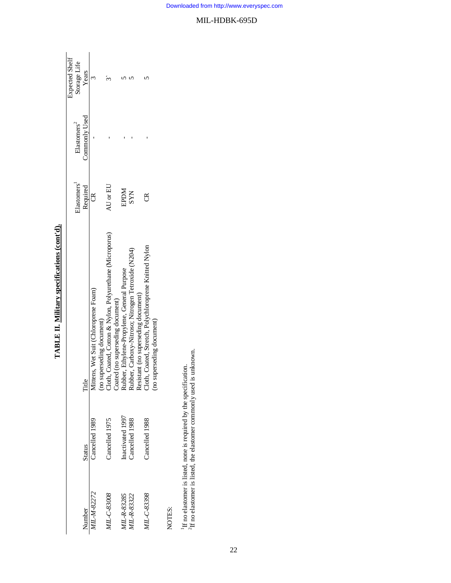|                    |                  |                                                                                                                                                                                                                                               |             |                         | <b>Expected Shelf</b> |
|--------------------|------------------|-----------------------------------------------------------------------------------------------------------------------------------------------------------------------------------------------------------------------------------------------|-------------|-------------------------|-----------------------|
|                    |                  |                                                                                                                                                                                                                                               | Elastomers  | Elastomers <sup>2</sup> | Storage Life          |
| Number             | Status           | Title                                                                                                                                                                                                                                         | Required    | Commonly Used           | Years                 |
| MIL-M-82272        | Cancelled 1989   | Mittens, Wet Suit (Chloroprene Foam)                                                                                                                                                                                                          | రో          |                         |                       |
|                    |                  |                                                                                                                                                                                                                                               |             |                         |                       |
| MIL-C-83008        | Cancelled 1975   | (no superseding document)<br>Cloth, Coated, Cotton & Nylon, Polyurethane (Microporus)<br>Coated (no superseding document)<br>Rubber, Ethylene-Propylene, General Purpose<br>Rubber, Carboxy-Nitroso; Nitrogen Tetroxide (N204)<br>Resistant ( | AU or EU    |                         |                       |
|                    |                  |                                                                                                                                                                                                                                               |             |                         |                       |
| <b>MIL-R-83285</b> | Inactivated 1997 |                                                                                                                                                                                                                                               | <b>NGGE</b> |                         |                       |
| IIL-R-83322        | Cancelled 1988   |                                                                                                                                                                                                                                               | <b>SYN</b>  |                         |                       |
|                    |                  |                                                                                                                                                                                                                                               |             |                         |                       |
| MIL-C-83398        | Cancelled 1988   | Cloth, Coated, Stretch, Polychloroprene Knitted Nylon                                                                                                                                                                                         |             |                         |                       |
|                    |                  | (no superseding document)                                                                                                                                                                                                                     |             |                         |                       |
|                    |                  |                                                                                                                                                                                                                                               |             |                         |                       |
| NOTES:             |                  |                                                                                                                                                                                                                                               |             |                         |                       |

TABLE II. Military specifications (cont'd). **TABLE II. Military specifications (cont'd).**

NOTES:

 $\frac{1}{2}$  If no elastomer is listed, none is required by the specification.  $\frac{2}{1}$  in elastomer is listed, the elastomer commonly used is unknown.  ${}^{2}\text{H}$  no elastomer is listed, the elastomer commonly used is unknown. 1If no elastomer is listed, none is required by the specification.

22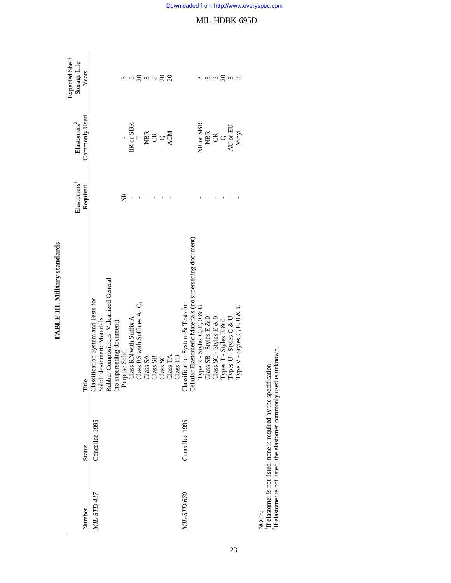|             |                |                                                                                                                                                             |              |                                                                                                                                                   | Expected Shelf |
|-------------|----------------|-------------------------------------------------------------------------------------------------------------------------------------------------------------|--------------|---------------------------------------------------------------------------------------------------------------------------------------------------|----------------|
|             |                |                                                                                                                                                             | Elastomers   | ${\rm El}$ astomers<br>$^2$                                                                                                                       | Storage Life   |
| Number      | <b>Status</b>  | Title                                                                                                                                                       | Required     | Commonly Used                                                                                                                                     | Years          |
| MIL-STD-417 | Cancelled 1995 | Classification System and Tests for<br>Solid Elastomeric Materials<br>Rubber Compositions, Vulcanized General<br>(no superseding document)<br>Purpose Solid |              |                                                                                                                                                   |                |
|             |                |                                                                                                                                                             |              |                                                                                                                                                   |                |
|             |                |                                                                                                                                                             |              |                                                                                                                                                   |                |
|             |                |                                                                                                                                                             |              |                                                                                                                                                   |                |
|             |                |                                                                                                                                                             | E            |                                                                                                                                                   |                |
|             |                | Class RN with Suffix A                                                                                                                                      | $\mathbf{I}$ | IIR or SBR                                                                                                                                        |                |
|             |                | Class RS with Suffices A <sub>1</sub> C <sub>1</sub>                                                                                                        | $\mathbf I$  |                                                                                                                                                   |                |
|             |                | Class SA                                                                                                                                                    |              |                                                                                                                                                   |                |
|             |                |                                                                                                                                                             |              |                                                                                                                                                   |                |
|             |                | $\begin{array}{c} \mathrm{Class~SB} \\ \mathrm{Class~SC} \\ \mathrm{Class~TA} \end{array}$                                                                  |              | $ \frac{1}{2}$ $\frac{1}{2}$ $\frac{1}{2}$ $\frac{1}{2}$ $\frac{1}{2}$ $\frac{1}{2}$                                                              |                |
|             |                |                                                                                                                                                             |              |                                                                                                                                                   |                |
|             |                | Class TB                                                                                                                                                    |              |                                                                                                                                                   |                |
| MIL-STD-670 | Cancelled 1995 | Classification System & Tests for<br>Cellular Elastomeric Materials (no superseding document)                                                               |              |                                                                                                                                                   |                |
|             |                |                                                                                                                                                             |              |                                                                                                                                                   |                |
|             |                | Type R - Styles C, E, 0 & U                                                                                                                                 |              | NR or SBR                                                                                                                                         |                |
|             |                |                                                                                                                                                             |              |                                                                                                                                                   |                |
|             |                |                                                                                                                                                             |              |                                                                                                                                                   | ოო Rოო         |
|             |                |                                                                                                                                                             |              |                                                                                                                                                   |                |
|             |                |                                                                                                                                                             |              |                                                                                                                                                   |                |
|             |                | Class SB - Styles E & 0<br>Class SC - Styles E & 0<br>Types T - Styles E & 0<br>Types U - Styles C & U<br>Type V - Styles C, E, 0 & U                       |              | $\begin{array}{c} \mathtt{MBR} \\ \mathtt{CR} \\ \mathtt{Q} \\ \mathtt{A} \mathtt{U} \, \mathtt{or} \, \mathtt{EU} \\ \mathtt{Winyl} \end{array}$ |                |
| NOTE.       |                |                                                                                                                                                             |              |                                                                                                                                                   |                |
|             |                |                                                                                                                                                             |              |                                                                                                                                                   |                |

**TABLE III. Military standards TABLE III. Military standards**

NOTE:<br><sup>1</sup>If elastomer is not listed, none is required by the specification.<br><sup>2</sup>If elastomer is not listed, the elastomer commonly used is unknown. 1If elastomer is not listed, none is required by the specification.  ${}^{2}$ If elastomer is not listed, the elastomer commonly used is unknown.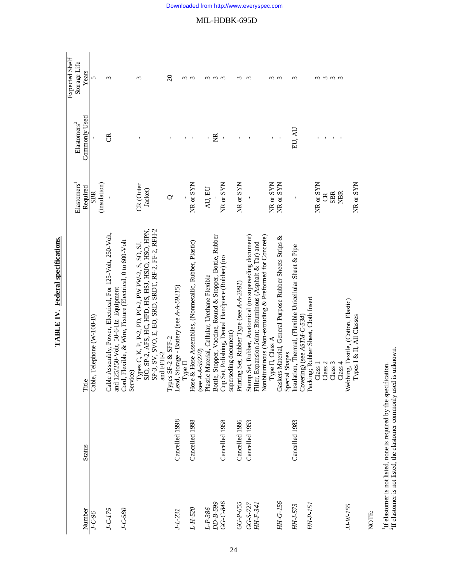|                |                |                                                                |                          |                          | Expected Shelf         |
|----------------|----------------|----------------------------------------------------------------|--------------------------|--------------------------|------------------------|
|                |                |                                                                | Elastomers <sup>1</sup>  | ${\rm El}$ astomers $^2$ | Storage Life           |
| Number         | <b>Status</b>  | Title                                                          | Required                 | Commonly Used            | Years                  |
| $J-C-96$       |                | Cable, Telephone (W-108-B)                                     | <b>SBR</b>               |                          | 5                      |
|                |                |                                                                | (insulation)             |                          |                        |
| $J-C-I75$      |                | e Assembly, Power, Electrical, For 125-Volt, 250-Volt,<br>Cabl |                          | E                        | $\epsilon$             |
|                |                | and 125/250-Volt, 50-6-Hz. Equipment                           |                          |                          |                        |
| $J - C - 580$  |                | Cord, Flexible, & Wire, Fixture (Electrical, 0 to 600-Volt     |                          |                          |                        |
|                |                | Service)                                                       |                          |                          |                        |
|                |                | Types C, K, P, P-2, PD, PO-2, PW PW-2, S, SO, SJ,              | CR (Outer                |                          | 3                      |
|                |                | SJO, SP-2, AFS, HC, HPD, HS, HSJ, HSJO, HSO, HPN,              | Jacket)                  |                          |                        |
|                |                | SP-3, SV, SVO, E, EO, SRD, SRDT, RF-2, FF-2, RFH-2             |                          |                          |                        |
|                |                | and FFH-2                                                      |                          |                          |                        |
|                |                |                                                                | ℺                        |                          | $\Omega$               |
| $J - L - 23I$  | Cancelled 1998 | Types SF-2 & SFF-2<br>Lead, Storage - Battery (see A-A-59215)  |                          |                          |                        |
|                |                | ${\rm Type~II}$                                                |                          |                          |                        |
| $L - H - 520$  | Cancelled 1998 | Hose & Hose Assemblies, (Nonmetallic, Rubber, Plastic)         | NR or SYN                |                          | ო ო                    |
|                |                | (see $A - 59270$ )                                             |                          |                          |                        |
| $L - P - 386$  |                | Plastic Material, Cellular, Urethane Flexible                  | AU, EU                   | $\mathbf{I}$             | $\sim$                 |
| DD-B-599       |                | le, Stopper, Vaccine, Round & Stopper, Bottle, Rubber<br>Bottl |                          | $\frac{a}{b}$            | $\omega$ $\omega$      |
| GG-C-846       | Cancelled 1958 | Set, Polishing, Dental Handpiece (Rubber) (no<br>Cup           | NR or SYN                |                          |                        |
|                |                | superseding document)                                          |                          |                          |                        |
| GG-P-655       | Cancelled 1996 | Printing Set, Rubber Type (see A-A-2991)                       | NR or SYN                |                          | $\sim$                 |
| $GG - S - 727$ | Cancelled 1953 | Stamp Set, Rubber, Anatomical (no superseding document)        | Ţ                        |                          | S                      |
| HH-F-341       |                | Filler, Expansion Joint: Bituminous (Asphalt & Tar) and        |                          |                          |                        |
|                |                | Nonbituminous (Non-extruding & Preformed for Concrete)         |                          |                          |                        |
|                |                | Type II, Class A                                               | NR or SYN                |                          | ო ო                    |
| HH-G-156       |                | Gaskets Material, General Purpose Rubber Sheets Strips &       | NR or SYN                |                          |                        |
|                |                | Special Shapes                                                 |                          |                          |                        |
| HH-1-573       | Cancelled 1983 | Insulation, Thermal, (Flexible Unicellular Sheet & Pipe        |                          | EU, AU                   | 3                      |
|                |                | Covering) (see ASTM-C-534)                                     |                          |                          |                        |
| HH-P-15.       |                | Packing; Rubber Sheet, Cloth Insert                            |                          |                          |                        |
|                |                | Class <sub>1</sub>                                             | $NR$ or $SYN$            |                          | ω                      |
|                |                | Class <sub>2</sub>                                             | $\widetilde{\mathbb{C}}$ |                          |                        |
|                |                | Class 3                                                        | <b>SBR</b>               |                          | $\omega \omega \omega$ |
|                |                | Class 4                                                        | <b>NBR</b>               |                          |                        |
| $JJ-W-155$     |                | Webbing, Textile, (Cotton, Elastic)                            |                          |                          |                        |
|                |                | Types I & II, All Classes                                      | NR or SYN                |                          |                        |

TABLE IV. Federal specifications. **TABLE IV. Federal specifications.**

NOTE:

<sup>1</sup>If elastomer is not listed, none is required by the specification.<br><sup>2</sup>If elastomer is not listed, the elastomer commonly used is unknown.  ${}^{2}$ If elastomer is not listed, the elastomer commonly used is unknown. 1If elastomer is not listed, none is required by the specification.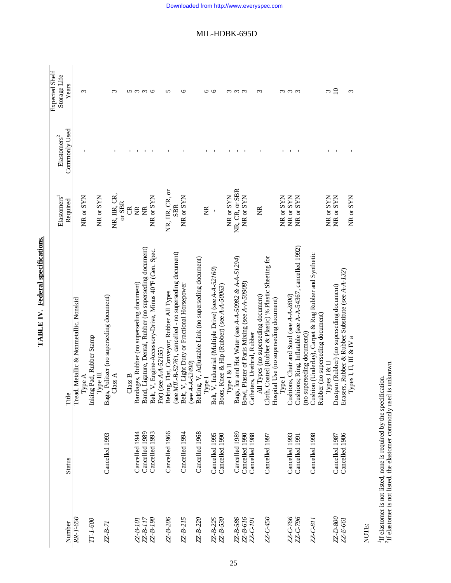| Number         | <b>Status</b>  | Title                                                                                             | Elastomers <sup>1</sup><br>Required | Commonly Used<br>${\rm El}$ astomers $^2$ | Expected Shelf<br>Storage Life<br>Years |
|----------------|----------------|---------------------------------------------------------------------------------------------------|-------------------------------------|-------------------------------------------|-----------------------------------------|
| RR-T-650       |                | Tread, Metallic & Nonmetallic, Nonskid<br>Type A                                                  | NR or SYN                           |                                           | 3                                       |
| TT-1-600       |                | g Pad, Rubber Stamp<br>Гуре Ш<br>Inkin                                                            | NR or SYN                           |                                           |                                         |
| $ZZ-B-7I$      | Cancelled 1993 | Bags, Politzer (no superseding document)                                                          |                                     |                                           |                                         |
|                |                | Class A                                                                                           | NR, IIR, CR,<br>or SBR              |                                           | ξ                                       |
|                |                | Class B                                                                                           | g                                   |                                           |                                         |
| ZZ-B-101       | Cancelled 1944 | Bandages, Rubber (no superseding document)                                                        | E                                   |                                           |                                         |
| $ZZ - B - I17$ | Cancelled 1989 | Band, Ligature, Dental, Rubber (no superseding document)                                          | Ě                                   |                                           | <u>ທ ຕ ຕ G</u>                          |
| ZZ-B-190       | Cancelled 1993 | Belt, V, Engine-Accessory-Drive, Minus 40°F (Gen. Spec.<br>For) (see A-A-52155)                   | NR or SYN                           |                                           |                                         |
| ZZ-B-206       | Cancelled 1966 | Belting, Flat, Conveyor; Rubber All Types                                                         | NR, IIR, CR, or                     |                                           | 5                                       |
|                |                | (see MIL-B-52761, cancelled - no superseding document)                                            | <b>SBR</b>                          |                                           |                                         |
| ZZ-B-215       | Cancelled 1994 | Belt, V, Light Duty or Fractional Horsepower<br>(see $A - A - 52490$ )                            | NR or SYN                           |                                           | $\circ$                                 |
| ZZ-B-220       | Cancelled 1968 | Belting, V, Adjustable Link (no superseding document)                                             |                                     |                                           |                                         |
|                |                | Type I                                                                                            | E                                   |                                           |                                         |
| ZZ-B-225       | Cancelled 1995 | Belt, V, Industrial (Multiple Drive) (see A-A-52160)                                              |                                     |                                           | 0 O                                     |
| $ZZ - B - 530$ | Cancelled 1990 | Boots, Knee & Hip (Rubber) (see A-A-50063)                                                        |                                     |                                           |                                         |
|                |                | Type I & II                                                                                       | NR or SYN                           |                                           |                                         |
| ZZ-B-586       | Cancelled 1989 | Bags, Ice and Hot Water (see A-A-50982 & A-A-51294)                                               | NR, CR, or SBR                      |                                           | $\omega$ $\omega$ $\omega$              |
| ZZ-B-616       | Cancelled 1990 | , Plaster of Paris Mixing (see A-A-50908)<br>Bowl                                                 | NR or SYN                           |                                           |                                         |
| ZZ-C-101       | Cancelled 1988 | Catheters, Urethral, Rubber                                                                       |                                     |                                           |                                         |
|                |                | All Types (no superseding document)                                                               | $\widetilde{\Xi}$                   |                                           | $\epsilon$                              |
| ZZ-C-450       | Cancelled 1997 | Cloth, Coated (Rubber & Plastic) % Plastic Sheeting for<br>Hospital Use (no superseding document) |                                     |                                           |                                         |
|                |                | Type I                                                                                            | NR or SYN                           |                                           |                                         |
| ZZ-C-766       | Cancelled 1993 | Cushions, Chair and Stool (see A-A-2800)                                                          | NR or SYN                           |                                           | $\omega$ $\omega$ $\omega$              |
| ZZ-C-796       | Cancelled 1991 | Cushions; Ring, Inflatable (see A-A-54367, cancelled 1992)                                        | NR or SYN                           |                                           |                                         |
|                |                | (no superseding document)                                                                         |                                     |                                           |                                         |
| ZZ-C-811       | Cancelled 1998 | Cushion (Underlay), Carpet & Rug Rubber and Synthetic                                             |                                     |                                           |                                         |
|                |                | Rubber (no superseding document)                                                                  |                                     |                                           |                                         |
|                |                | $[Y_{\text{pres}} 1 & \& 1]$                                                                      | NR or SYN                           |                                           | ω                                       |
| ZZ-D-800       | Cancelled 1987 | Dustpan (Rubber) (no superseding document)                                                        | NR or SYN                           |                                           | $\overline{10}$                         |
| ZZ-E-661       | Cancelled 1986 | Erasers, Rubber & Rubber Substitute (see A-A-132)                                                 |                                     |                                           |                                         |
|                |                | Types I, II, III & IV a                                                                           | NR or SYN                           |                                           | 3                                       |

TABLE IV. Federal specifications. **TABLE IV. Federal specifications.**

NOTE:

<sup>1</sup>If elastomer is not listed, none is required by the specification.<br><sup>2</sup>If elastomer is not listed, the elastomer commonly used is unknown.  ${}^{2}$ If elastomer is not listed, the elastomer commonly used is unknown. 1If elastomer is not listed, none is required by the specification.

Downloaded from http://www.everyspec.com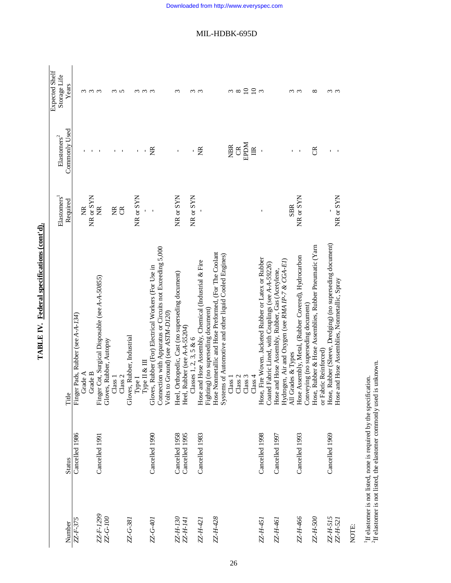| Years<br>$\begin{array}{c} 2 \ 3 \ 4 \end{array}$<br>ოოო<br>ოო<br>$\mathfrak{m}$<br>ო ო<br>${}^{\circ}$<br>ო ო<br>ო ო ო<br>ო ო<br>Commonly Used<br><b>RPDM</b><br><b>NBR</b><br>$\mathfrak{S}$<br>$\mathbb{R}$<br>ž<br>ž<br>g<br>$\mathbf{I}$<br>I,<br>I.<br>$\mathbf{I}$<br>ı<br>NR or SYN<br>NR or SYN<br>NR or SYN<br>NR or SYN<br>NR or SYN<br>NR or SYN<br>Required<br><b>SBR</b><br>$\widetilde{\Xi}$<br>$\widetilde{\Xi}$<br>E<br>$\mathfrak{S}$<br>Hose, Rubber (Sleeve, Dredging) (no superseding document)<br>Hose, Rubber & Hose Assemblies, Rubber Pneumatic (Yarn<br>Connection with Apparatus or Circuits not Exceeding 5,000<br>Hose Nonmetallic and Hose Preformed, (For The Coolant<br>Systems of Automotive and other liquid Cooled Engines)<br>Hose Assembly, Metal, (Rubber Covered), Hydrocarbon<br>Hose, Fire Woven. Jacketed Rubber or Latex or Rubber<br>Hydrogen, Air and Oxygen (see RMA IP-7 & CGA-EI)<br>Hose and Hose Assembly, Chemical (Industrial & Fire<br>Coated Fabric Lined, with Couplings (see A-A-59226)<br>Gloves, Rubber (For) Electrical Workers (For Use in<br>Hose and Hose Assembly, Rubber, Gas (Acetylene,<br>Heel, Orthopedic, Cast (no superseding document)<br>Finger Cot, Surgical Disposable (see A-A-50855)<br>Hose and Hose Assemblies, Nonmetallic, Spray<br>Conveying (no superseding document)<br>Fighting) (no superseding document)<br>Volts to Ground) (see ASTM-D120)<br>Finger Pads, Rubber (see A-A-134)<br>. Rubber (see $A - A - 55204$ )<br>Gloves, Rubber, Industrial<br>Classes 1, 2, 3, 5 $& 6$<br>Gloves, Rubber, Autopsy<br>or Fabric Reinforced)<br>All Grades & Types<br>Type $\Pi \& \Pi$<br>Grade A<br>Grade B<br>Class 3<br>Class 4<br>Class 1<br>Class 2<br>Class 1<br>Class 2<br>Type I<br>Title<br>Heel<br>Cancelled 1986<br>Cancelled 1998<br>Cancelled 1990<br>Cancelled 1958<br>Cancelled 1995<br>Cancelled 1993<br>Cancelled 1969<br>Cancelled 1983<br>Cancelled 1997<br>Cancelled 1991<br><b>Status</b> |  | Elastomers <sup>1</sup> | $E$ lastomers <sup>2</sup> | Expected Shelf<br>Storage Life |
|---------------------------------------------------------------------------------------------------------------------------------------------------------------------------------------------------------------------------------------------------------------------------------------------------------------------------------------------------------------------------------------------------------------------------------------------------------------------------------------------------------------------------------------------------------------------------------------------------------------------------------------------------------------------------------------------------------------------------------------------------------------------------------------------------------------------------------------------------------------------------------------------------------------------------------------------------------------------------------------------------------------------------------------------------------------------------------------------------------------------------------------------------------------------------------------------------------------------------------------------------------------------------------------------------------------------------------------------------------------------------------------------------------------------------------------------------------------------------------------------------------------------------------------------------------------------------------------------------------------------------------------------------------------------------------------------------------------------------------------------------------------------------------------------------------------------------------------------------------------------------------------------------------------------------------------------------------------------------------------------|--|-------------------------|----------------------------|--------------------------------|
|                                                                                                                                                                                                                                                                                                                                                                                                                                                                                                                                                                                                                                                                                                                                                                                                                                                                                                                                                                                                                                                                                                                                                                                                                                                                                                                                                                                                                                                                                                                                                                                                                                                                                                                                                                                                                                                                                                                                                                                             |  |                         |                            |                                |
|                                                                                                                                                                                                                                                                                                                                                                                                                                                                                                                                                                                                                                                                                                                                                                                                                                                                                                                                                                                                                                                                                                                                                                                                                                                                                                                                                                                                                                                                                                                                                                                                                                                                                                                                                                                                                                                                                                                                                                                             |  |                         |                            |                                |
|                                                                                                                                                                                                                                                                                                                                                                                                                                                                                                                                                                                                                                                                                                                                                                                                                                                                                                                                                                                                                                                                                                                                                                                                                                                                                                                                                                                                                                                                                                                                                                                                                                                                                                                                                                                                                                                                                                                                                                                             |  |                         |                            |                                |
|                                                                                                                                                                                                                                                                                                                                                                                                                                                                                                                                                                                                                                                                                                                                                                                                                                                                                                                                                                                                                                                                                                                                                                                                                                                                                                                                                                                                                                                                                                                                                                                                                                                                                                                                                                                                                                                                                                                                                                                             |  |                         |                            |                                |
|                                                                                                                                                                                                                                                                                                                                                                                                                                                                                                                                                                                                                                                                                                                                                                                                                                                                                                                                                                                                                                                                                                                                                                                                                                                                                                                                                                                                                                                                                                                                                                                                                                                                                                                                                                                                                                                                                                                                                                                             |  |                         |                            |                                |
|                                                                                                                                                                                                                                                                                                                                                                                                                                                                                                                                                                                                                                                                                                                                                                                                                                                                                                                                                                                                                                                                                                                                                                                                                                                                                                                                                                                                                                                                                                                                                                                                                                                                                                                                                                                                                                                                                                                                                                                             |  |                         |                            |                                |
|                                                                                                                                                                                                                                                                                                                                                                                                                                                                                                                                                                                                                                                                                                                                                                                                                                                                                                                                                                                                                                                                                                                                                                                                                                                                                                                                                                                                                                                                                                                                                                                                                                                                                                                                                                                                                                                                                                                                                                                             |  |                         |                            |                                |
|                                                                                                                                                                                                                                                                                                                                                                                                                                                                                                                                                                                                                                                                                                                                                                                                                                                                                                                                                                                                                                                                                                                                                                                                                                                                                                                                                                                                                                                                                                                                                                                                                                                                                                                                                                                                                                                                                                                                                                                             |  |                         |                            |                                |
|                                                                                                                                                                                                                                                                                                                                                                                                                                                                                                                                                                                                                                                                                                                                                                                                                                                                                                                                                                                                                                                                                                                                                                                                                                                                                                                                                                                                                                                                                                                                                                                                                                                                                                                                                                                                                                                                                                                                                                                             |  |                         |                            |                                |
|                                                                                                                                                                                                                                                                                                                                                                                                                                                                                                                                                                                                                                                                                                                                                                                                                                                                                                                                                                                                                                                                                                                                                                                                                                                                                                                                                                                                                                                                                                                                                                                                                                                                                                                                                                                                                                                                                                                                                                                             |  |                         |                            |                                |
|                                                                                                                                                                                                                                                                                                                                                                                                                                                                                                                                                                                                                                                                                                                                                                                                                                                                                                                                                                                                                                                                                                                                                                                                                                                                                                                                                                                                                                                                                                                                                                                                                                                                                                                                                                                                                                                                                                                                                                                             |  |                         |                            |                                |
|                                                                                                                                                                                                                                                                                                                                                                                                                                                                                                                                                                                                                                                                                                                                                                                                                                                                                                                                                                                                                                                                                                                                                                                                                                                                                                                                                                                                                                                                                                                                                                                                                                                                                                                                                                                                                                                                                                                                                                                             |  |                         |                            |                                |
|                                                                                                                                                                                                                                                                                                                                                                                                                                                                                                                                                                                                                                                                                                                                                                                                                                                                                                                                                                                                                                                                                                                                                                                                                                                                                                                                                                                                                                                                                                                                                                                                                                                                                                                                                                                                                                                                                                                                                                                             |  |                         |                            |                                |
|                                                                                                                                                                                                                                                                                                                                                                                                                                                                                                                                                                                                                                                                                                                                                                                                                                                                                                                                                                                                                                                                                                                                                                                                                                                                                                                                                                                                                                                                                                                                                                                                                                                                                                                                                                                                                                                                                                                                                                                             |  |                         |                            |                                |
|                                                                                                                                                                                                                                                                                                                                                                                                                                                                                                                                                                                                                                                                                                                                                                                                                                                                                                                                                                                                                                                                                                                                                                                                                                                                                                                                                                                                                                                                                                                                                                                                                                                                                                                                                                                                                                                                                                                                                                                             |  |                         |                            |                                |
|                                                                                                                                                                                                                                                                                                                                                                                                                                                                                                                                                                                                                                                                                                                                                                                                                                                                                                                                                                                                                                                                                                                                                                                                                                                                                                                                                                                                                                                                                                                                                                                                                                                                                                                                                                                                                                                                                                                                                                                             |  |                         |                            |                                |
|                                                                                                                                                                                                                                                                                                                                                                                                                                                                                                                                                                                                                                                                                                                                                                                                                                                                                                                                                                                                                                                                                                                                                                                                                                                                                                                                                                                                                                                                                                                                                                                                                                                                                                                                                                                                                                                                                                                                                                                             |  |                         |                            |                                |
|                                                                                                                                                                                                                                                                                                                                                                                                                                                                                                                                                                                                                                                                                                                                                                                                                                                                                                                                                                                                                                                                                                                                                                                                                                                                                                                                                                                                                                                                                                                                                                                                                                                                                                                                                                                                                                                                                                                                                                                             |  |                         |                            |                                |
|                                                                                                                                                                                                                                                                                                                                                                                                                                                                                                                                                                                                                                                                                                                                                                                                                                                                                                                                                                                                                                                                                                                                                                                                                                                                                                                                                                                                                                                                                                                                                                                                                                                                                                                                                                                                                                                                                                                                                                                             |  |                         |                            |                                |
|                                                                                                                                                                                                                                                                                                                                                                                                                                                                                                                                                                                                                                                                                                                                                                                                                                                                                                                                                                                                                                                                                                                                                                                                                                                                                                                                                                                                                                                                                                                                                                                                                                                                                                                                                                                                                                                                                                                                                                                             |  |                         |                            |                                |
|                                                                                                                                                                                                                                                                                                                                                                                                                                                                                                                                                                                                                                                                                                                                                                                                                                                                                                                                                                                                                                                                                                                                                                                                                                                                                                                                                                                                                                                                                                                                                                                                                                                                                                                                                                                                                                                                                                                                                                                             |  |                         |                            |                                |
|                                                                                                                                                                                                                                                                                                                                                                                                                                                                                                                                                                                                                                                                                                                                                                                                                                                                                                                                                                                                                                                                                                                                                                                                                                                                                                                                                                                                                                                                                                                                                                                                                                                                                                                                                                                                                                                                                                                                                                                             |  |                         |                            |                                |
|                                                                                                                                                                                                                                                                                                                                                                                                                                                                                                                                                                                                                                                                                                                                                                                                                                                                                                                                                                                                                                                                                                                                                                                                                                                                                                                                                                                                                                                                                                                                                                                                                                                                                                                                                                                                                                                                                                                                                                                             |  |                         |                            |                                |
|                                                                                                                                                                                                                                                                                                                                                                                                                                                                                                                                                                                                                                                                                                                                                                                                                                                                                                                                                                                                                                                                                                                                                                                                                                                                                                                                                                                                                                                                                                                                                                                                                                                                                                                                                                                                                                                                                                                                                                                             |  |                         |                            |                                |
|                                                                                                                                                                                                                                                                                                                                                                                                                                                                                                                                                                                                                                                                                                                                                                                                                                                                                                                                                                                                                                                                                                                                                                                                                                                                                                                                                                                                                                                                                                                                                                                                                                                                                                                                                                                                                                                                                                                                                                                             |  |                         |                            |                                |
|                                                                                                                                                                                                                                                                                                                                                                                                                                                                                                                                                                                                                                                                                                                                                                                                                                                                                                                                                                                                                                                                                                                                                                                                                                                                                                                                                                                                                                                                                                                                                                                                                                                                                                                                                                                                                                                                                                                                                                                             |  |                         |                            |                                |
|                                                                                                                                                                                                                                                                                                                                                                                                                                                                                                                                                                                                                                                                                                                                                                                                                                                                                                                                                                                                                                                                                                                                                                                                                                                                                                                                                                                                                                                                                                                                                                                                                                                                                                                                                                                                                                                                                                                                                                                             |  |                         |                            |                                |
|                                                                                                                                                                                                                                                                                                                                                                                                                                                                                                                                                                                                                                                                                                                                                                                                                                                                                                                                                                                                                                                                                                                                                                                                                                                                                                                                                                                                                                                                                                                                                                                                                                                                                                                                                                                                                                                                                                                                                                                             |  |                         |                            |                                |

TABLE IV. Federal specifications (cont'd). **TABLE IV. Federal specifications (cont'd).**

NOTE:

<sup>1</sup>If elastomer is not listed, none is required by the specification.  $2$ If elastomer is not listed, the elastomer commonly used is unknown.  ${}^{2}$ If elastomer is not listed, the elastomer commonly used is unknown. 1If elastomer is not listed, none is required by the specification.

MIL-HDBK-695D

26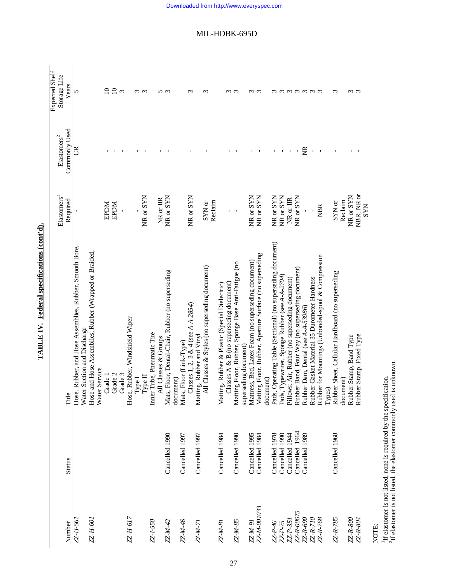| Number         | <b>Status</b>  | Title                                                                                | Elastomers<br>Required | Commonly Used<br>${\rm El}$ astomers<br>$\sp2$ | Expected Shelf<br>Storage Life<br>Years |
|----------------|----------------|--------------------------------------------------------------------------------------|------------------------|------------------------------------------------|-----------------------------------------|
| ZZ-H-561       |                | Hose, Rubber, and Hose Assemblies, Rubber, Smooth Bore,                              |                        | ජි                                             | 5                                       |
| ZZ-H-601       |                | Hose and Hose Assemblies, Rubber (Wrapped or Braided,<br>Water Suction and Discharge |                        |                                                |                                         |
|                |                | Water Service                                                                        |                        |                                                |                                         |
|                |                | Grade 1                                                                              | <b>MCGE</b>            |                                                | $\Omega$                                |
|                |                | Grade 2                                                                              | <b>EPDM</b>            |                                                | $\overline{10}$                         |
|                |                | Grade 3                                                                              |                        |                                                | $\sim$                                  |
| ZZ-H-617       |                | Hose, Rubber, Windshield Wiper                                                       |                        |                                                |                                         |
|                |                | ${\rm Type\,I}$                                                                      |                        |                                                | $\omega$ $\omega$                       |
|                |                | Type II                                                                              | NR or SYN              |                                                |                                         |
| ZZ-1-550       |                | Inner Tube, Pneumatic Tire                                                           |                        |                                                |                                         |
|                |                | All Classes & Groups                                                                 | NR or IIR              |                                                | n w                                     |
| ZZ-M-42        | Cancelled 1990 | Mats, Floor, Dental-Chair, Rubber (no superseding                                    | NR or SYN              |                                                |                                         |
| ZZ-M-46        | Cancelled 1997 | Mats, Floor (Link-Type)<br>document)                                                 |                        |                                                |                                         |
|                |                |                                                                                      |                        |                                                |                                         |
| $ZZ-M-7i$      | Cancelled 1997 | Classes 1, 2, 3 & 4 (see $A - A - 2854$ )<br>Matting, Rubber and Vinyl               | NR or SYN              |                                                | $\epsilon$                              |
|                |                |                                                                                      |                        |                                                |                                         |
|                |                | All Classes & Styles (no superseding document)                                       | Reclaim<br>SYN or      |                                                | S                                       |
| ZZ-M-81        | Cancelled 1984 | Matting, Rubber & Plastic (Special Dielectric)                                       |                        |                                                |                                         |
|                |                | Classes $A \& B$ (no superseding document)                                           | $\mathbf I$            |                                                |                                         |
| ZZ-M-85        | Cancelled 1990 | Matting Floor, Rubber, Sponge Base Anti-Fatigue (no                                  | $\blacksquare$         |                                                | ო ო                                     |
|                |                | superseding document)                                                                |                        |                                                |                                         |
| <b>ZZ-M-91</b> | Cancelled 1995 | Mattress, Bed, Latex Foam (no superseding document)                                  | NR or SYN              |                                                | $\omega$                                |
| ZZ-M-001033    | Cancelled 1984 | Matting Floor, Rubber, Aperture Surface (no superseding                              | NR or SYN              |                                                | $\epsilon$                              |
|                |                | document)                                                                            |                        |                                                |                                         |
| ZZ-P-46        | Cancelled 1978 | Pads, Operating Table (Sectional) (no superseding document)                          | NR or SYN              |                                                |                                         |
| $ZZ-P-75$      | Cancelled 1990 | Pads, Typewriter, Sponge Rubber (see A-A-2704)                                       | NR or SYN              | $\mathbf I$                                    |                                         |
| $ZZ-P-35I$     | Cancelled 1944 | Pillows: Air, Rubber (no superseding document)                                       | NR or IIR              |                                                |                                         |
| ZZ-R-00675     | Cancelled 1964 | Rubber Band, Four Way (no superseding document)                                      | NR or SYN              |                                                |                                         |
| ZZ-R-690       | Cancelled 1989 | Rubber Dam, Dental (see A-A-53986)                                                   | $\mathbf I$            | ž                                              | mmmmmm                                  |
| ZZ-R-710       |                | Rubber Gasket Material 35 Durometer Hardness                                         |                        | $\mathbf I$                                    |                                         |
| ZZ-R-768       |                | Rubber for Mountings (Unbonded-spool & Compression                                   | <b>NBR</b>             | $\mathbf{I}$                                   |                                         |
| ZZ-R-785       | Cancelled 1968 | Rubber Sheet, Cellular Hardboard (no superseding<br>Types)                           | SYN or                 |                                                | $\sim$                                  |
|                |                | document)                                                                            | Reclaim                |                                                |                                         |
| ZZ-R-800       |                | Rubber Stamp, Band Type                                                              | NR or SYN              |                                                |                                         |
| ZZ-R-804       |                | Rubber Stamp, Fixed Type                                                             | NBR, NR or             |                                                | $\omega$ $\omega$                       |
|                |                |                                                                                      | <b>SYN</b>             |                                                |                                         |

TABLE IV. Federal specifications (cont'd). **TABLE IV. Federal specifications (cont'd).**

NOTE:<br><sup>1</sup>If elastomer is not listed, none is required by the specification.<br><sup>2</sup>If elastomer is not listed, the elastomer commonly used is unknown. 1If elastomer is not listed, none is required by the specification.

 ${}^{2}$ If elastomer is not listed, the elastomer commonly used is unknown.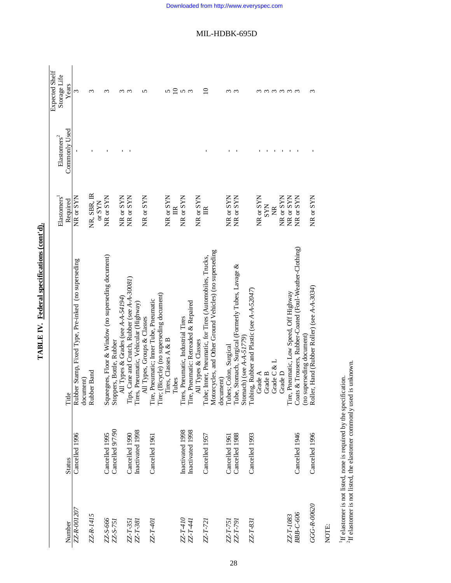|                      |                  |                                                                               |                                     |                                             | <b>Expected Shelf</b> |
|----------------------|------------------|-------------------------------------------------------------------------------|-------------------------------------|---------------------------------------------|-----------------------|
| Number               | <b>Status</b>    | Title                                                                         | Elastomers <sup>1</sup><br>Required | Commonly Used<br>$E$ lastomers <sup>2</sup> | Storage Life<br>Years |
| ZZ-R-001207          | Cancelled 1996   | Rubber Stamp, Fixed Type, Pre-inked (no superseding                           | NR or SYN                           |                                             | 3                     |
|                      |                  | document)                                                                     |                                     |                                             |                       |
| ZZ-R-1415            |                  | Rubber Band                                                                   | NR, SBR, IR<br>$\alpha$ SYN         |                                             | ω                     |
| ZZ-S-666             | Cancelled 1995   | Squeegees, Floor & Window (no superseding document)                           | NR or SYN                           |                                             | $\sim$                |
| ZZ-S-751             | Cancelled 9/7/90 | Stoppers, Bottle, Rubber                                                      |                                     |                                             |                       |
|                      |                  | All Types & Grades (see A-A-54194)                                            | NR or SYN                           |                                             | S                     |
| ZZ-T-351<br>ZZ-T-381 | Cancelled 1990   | Tips, Cane and Crutch, Rubber (see A-A-30081)                                 | NR or SYN                           |                                             | $\infty$              |
|                      | Inactivated 1998 | Tires, Pneumatic, Vehicular (Highway)                                         |                                     |                                             |                       |
|                      |                  | All Types, Groups & Classes                                                   | NR or SYN                           |                                             |                       |
| ZZ-T-401             | Cancelled 1961   | Tire, Pneumatic; Inner Tube, Pneumatic                                        |                                     |                                             |                       |
|                      |                  | Tire; (Bicycle) (no superseding document)                                     |                                     |                                             |                       |
|                      |                  | Tires, Classes A & B                                                          | NR or SYN                           |                                             | 5                     |
|                      |                  | Tubes                                                                         | $\mathbb{R}$                        |                                             |                       |
| $ZZ$ -7-410          | Inactivated 1998 | Tires, Pneumatic, Industrial Tires                                            | NR or SYN                           |                                             | $2n \sigma$           |
| ZZ-T-441             | Inactivated 1998 | Tire, Pneumatic: Retreaded & Repaired                                         |                                     |                                             |                       |
|                      |                  | All Types & Classes                                                           | NR or SYN                           |                                             |                       |
| $ZZT$ -721           | Cancelled 1957   | Tube; Inner, Pneumatic, for Tires (Automobiles, Trucks,                       | $\mathbb{E}$                        |                                             | ≘                     |
|                      |                  | Motorcycles, and Other Ground Vehicles) (no superseding                       |                                     |                                             |                       |
|                      |                  | document)                                                                     |                                     |                                             |                       |
| ZZ-T-751<br>ZZ-T-791 | Cancelled 1961   | Tubes; Colon, Surgical                                                        | NR or SYN                           |                                             | $\epsilon$            |
|                      | Cancelled 1988   | Tube, Stomach, Surgical (Formerly Tubes, Lavage &                             | NR or SYN                           |                                             | $\infty$              |
|                      |                  | Stomach) (see $A-A-51779$ )                                                   |                                     |                                             |                       |
| ZZ-T-831             | Cancelled 1993   | ing, Rubber and Plastic (see A-A-52047)<br>Tub                                |                                     |                                             |                       |
|                      |                  | Grade A                                                                       | NR or SYN                           |                                             |                       |
|                      |                  | Grade B                                                                       | <b>SYN</b>                          |                                             |                       |
|                      |                  | Grade C & L                                                                   | Ž                                   |                                             | ო ო                   |
|                      |                  | Grade D                                                                       | NR or SYN                           |                                             |                       |
| ZZ-T-1083            |                  | Tire, Pneumatic, Low Speed, Off Highway                                       | NR or SYN                           |                                             | ოოო                   |
| <b>BBB-C-606</b>     | Cancelled 1946   | Coats & Trousers, Rubber-Coated (Foul-Weather-Clothing)                       | NR or SYN                           |                                             |                       |
| GGG-R-00620          | Cancelled 1996   | ler, Hand (Rubber Roller) (see A-A-3034)<br>(no superseding document)<br>Roll | NR or SYN                           |                                             |                       |
|                      |                  |                                                                               |                                     |                                             |                       |

TABLE IV. Federal specifications (cont'd). **TABLE IV. Federal specifications (cont'd).**

NOTE:

 ${}^{1}\text{H}$  elastomer is not listed, none is required by the specification.  ${}^{2}\text{H}$  elastomer is not listed, the elastomer commonly used is unknown.  ${}^{2}$ If elastomer is not listed, the elastomer commonly used is unknown. 1If elastomer is not listed, none is required by the specification.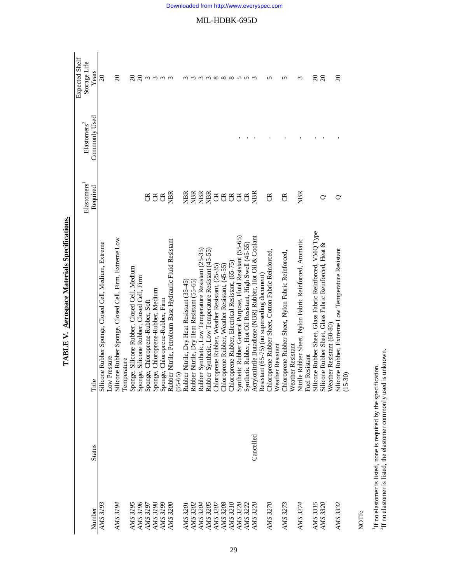| <b>Status</b> | Title                                                                               | Elastomers<br>Required           | Commonly Used<br>${\rm El}$ astomers<br>$\sp2$ | Expected Shelf<br>Storage Life<br>Years |
|---------------|-------------------------------------------------------------------------------------|----------------------------------|------------------------------------------------|-----------------------------------------|
|               | Silicone Rubber Sponge, Closed Cell, Medium, Extreme<br>Low Pressure                |                                  |                                                | $\overline{20}$                         |
|               | Silicone Rubber Sponge, Closed Cell, Firm, Extreme Low<br>Temperature               |                                  |                                                | $\Omega$                                |
|               | age, Silicone Rubber, Closed Cell, Medium<br>Spon                                   |                                  |                                                |                                         |
|               | ge, Silicone Rubber, Closed Cell, Firm<br>Spon                                      |                                  |                                                |                                         |
|               | ge, Chloroprene-Rubber, Soft<br>Spon                                                | g                                |                                                |                                         |
|               | ge, Chloroprene-Rubber, Medium<br>Sponge, Chloroprene-Rubber, Firm<br>Spon          | $\mathfrak{B}$<br>$\mathfrak{S}$ |                                                | $R$ $R$ ៣៣៣                             |
|               | Rubber Nitrile, Petroleum Base Hydraulic Fluid Resistant<br>$(55 - 65)$             | <b>NBR</b>                       |                                                | $\epsilon$                              |
|               | Rubber Nitrile, Dry Heat Resistant (35-45)                                          | NBR                              |                                                |                                         |
|               | Rubber Nitrile, Dry Heat Resistant (55-65)                                          |                                  |                                                |                                         |
|               | Rubber Synthetic, Low Temperature Resistant (25-35)                                 | <b>EEE</b><br>EEE                |                                                |                                         |
|               | Rubber Synthetic, Low Temperature Resistant (45-55)                                 |                                  |                                                |                                         |
|               | Chloroprene Rubber, Weather Resistant, (25-35)                                      |                                  |                                                | m m x x x                               |
|               | Chloroprene Rubber, Weather Resistant, (45-55)                                      | <b>ABA</b>                       |                                                |                                         |
|               | Chloroprene Rubber, Electrical Resistant, (65-75)                                   |                                  |                                                |                                         |
|               | Synthetic Rubber General Purpose, Fluid Resistant (55-65)                           |                                  |                                                | $\infty$ n n                            |
|               | Synthetic Rubber, Hot Oil Resistant, High Swell (45-55)                             | $\mathfrak{B}$                   |                                                |                                         |
|               | Acrylonitrile Butadiene (NBR) Rubber, Hot Oil & Coolant                             | <b>NBR</b>                       |                                                |                                         |
|               | Resistant (65-75) (no superseding document)                                         |                                  |                                                |                                         |
|               | Chloroprene Rubber Sheet, Cotton Fabric Reinforced,<br>Weather Resistant            | g                                |                                                | ∽                                       |
|               | Chloroprene Rubber Sheet, Nylon Fabric Reinforced                                   | g                                |                                                | 5                                       |
|               | Weather Resistant                                                                   |                                  |                                                |                                         |
|               | Nitrile Rubber Sheet, Nylon Fabric Reinforced, Aromatic                             | <b>NBR</b>                       |                                                | 3                                       |
|               | Resistant<br>Fuel                                                                   |                                  |                                                |                                         |
|               | Silicone Rubber Sheet, Glass Fabric Reinforced, VMQ Type                            |                                  |                                                | ສ ສ                                     |
|               | Silicone Rubber Sheet, Glass Fabric Reinforced, Heat &<br>Weather Resistant (60-80) | 0                                |                                                |                                         |
|               | Silicone Rubber, Extreme Low Temperature Resistant                                  |                                  |                                                | $\Omega$                                |
|               | $(15-30)$                                                                           |                                  |                                                |                                         |

TABLE V. Aerospace Materials Specifications. **TABLE V. Aerospace Materials Specifications.**

NOTE:

 $^1\rm H$  no elastomer is listed, none is required by the specification.  $^2\rm H$  no elastomer is listed, the elastomer commonly used is unknown.  ${}^{2}$ If no elastomer is listed, the elastomer commonly used is unknown. 1If no elastomer is listed, none is required by the specification.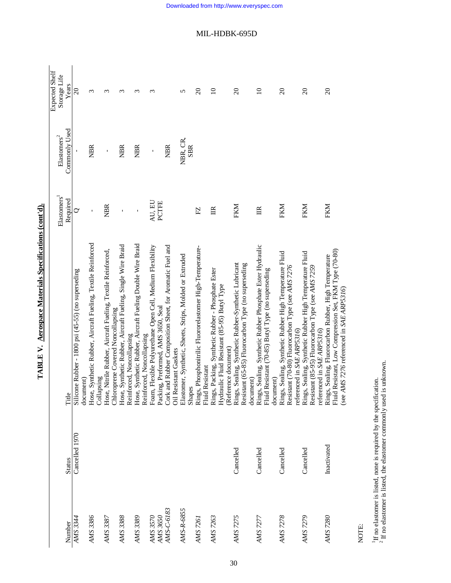|                      |                                 |                                                                                                                                                             |                         |                                              | Expected Shelf                    |
|----------------------|---------------------------------|-------------------------------------------------------------------------------------------------------------------------------------------------------------|-------------------------|----------------------------------------------|-----------------------------------|
| Number               |                                 | Title                                                                                                                                                       | Elastomers <sup>1</sup> | Commonly Used<br>${\rm El}$ astomers<br>$^2$ | Storage Life                      |
| AMS 3344             | Cancelled 1970<br><b>Status</b> | Silicone Rubber - 1800 psi (45-55) (no superseding                                                                                                          | Required<br>$\rm \sim$  |                                              | Years<br>$\overline{\mathcal{S}}$ |
|                      |                                 | document)                                                                                                                                                   |                         |                                              |                                   |
| AMS 3386             |                                 | Hose, Synthetic Rubber, Aircraft Fueling, Textile Reinforced<br>Collapsing                                                                                  | $\mathbf{I}$            | <b>NBR</b>                                   | 3                                 |
| AMS 3387             |                                 | Hose, Nitrile Rubber, Aircraft Fueling, Textile Reinforced,<br>Chloroprene Covered Noncollapsing                                                            | <b>NBR</b>              | ı                                            | $\epsilon$                        |
| AMS 3388             |                                 | Hose, Synthetic Rubber, Aircraft Fueling, Single Wire Braid<br>Reinforced, Noncollapsing                                                                    |                         | <b>NBR</b>                                   | 3                                 |
| AMS 3389             |                                 | Hose, Synthetic Rubber, Aircraft Fueling Double Wire Braid<br>Reinforced, Noncollapsing                                                                     | $\mathbf{I}$            | <b>NBR</b>                                   | 3                                 |
| AMS 3570<br>AMS 3650 |                                 | Foam, Flexible Polyurethane Open Cell, Medium Flexibility<br>Packing, Preformed, AMS 3650, Seal                                                             | AU, EU<br>PCTFE         | Ţ                                            | 3                                 |
| AMS-C-6183           |                                 | Cork and Rubber Composition Sheet, for Aromatic Fuel and<br>Resistant Gaskets<br><b>Jill</b>                                                                |                         | <b>NBR</b>                                   |                                   |
| AMS-R-6855           |                                 | Elastomer, Synthetic, Sheets, Strips, Molded or Extruded<br>Shapes                                                                                          |                         | NBR, CR,<br><b>SBR</b>                       | 5                                 |
| AMS 7261             |                                 | Rings, Phosphonitrilic Fluororelastomer High-Temperature-<br>Fluid Resistant                                                                                | E                       |                                              | $\Omega$                          |
| AMS 7263             |                                 | Rings, Packing, Synthetic Rubber - Phosphate Ester<br>Hydraulic Fluid Resistant (85-95) Butyl Type<br>(Reference document)                                  | 臣                       |                                              | $\Omega$                          |
| <b>AMS 7275</b>      | Cancelled                       | Rings, Sealing, Synthetic Rubber-Synthetic Lubricant<br>Resistant (65-85) Fluorocarbon Type (no superseding<br>document)                                    | FKM                     |                                              | $\Omega$                          |
| AMS 7277             | Cancelled                       | Rings, Sealing, Synthetic Rubber Phosphate Ester Hydraulic<br>Fluid Resistant (70-85) Butyl Type (no superseding<br>document)                               | $\mathbb{R}$            |                                              | $\Omega$                          |
| <b>AMS 7278</b>      | Cancelled                       | Rings, Sealing, Synthetic Rubber High Temperature Fluid<br>Resistant (70-80) Fluorocarbon Type (see AMS 7276<br>referenced in SAE ARP5316)                  | FKM                     |                                              | $\Omega$                          |
| AMS 7279             | Cancelled                       | Rings, Sealing, Synthetic Rubber High Temperature Fluid<br>Resistant (85-95) Fluorocarbon Type (see AMS 7259<br>referenced in SAE ARP5316)                  | FKM                     |                                              | $\Omega$                          |
| AMS 7280             | Inactivated                     | Fluid Resistant, Low Compression Set, FKM Type (70-80)<br>Rings, Sealing, Fluorocarbon Rubber, High Temperature<br>(see AMS 7276 referenced in SAE ARP5316) | FKM                     |                                              | $\Omega$                          |

TABLE V. Acrospace Materials Specifications (cont'd). **TABLE V. Aerospace Materials Specifications (cont'd).**

NOTE:

 $^1\rm H$  no elastomer is listed, none is required by the specification.  $^2\rm H$  no elastomer is listed, the elastomer commonly used is unknown.  $2$  If no elastomer is listed, the elastomer commonly used is unknown. 1If no elastomer is listed, none is required by the specification.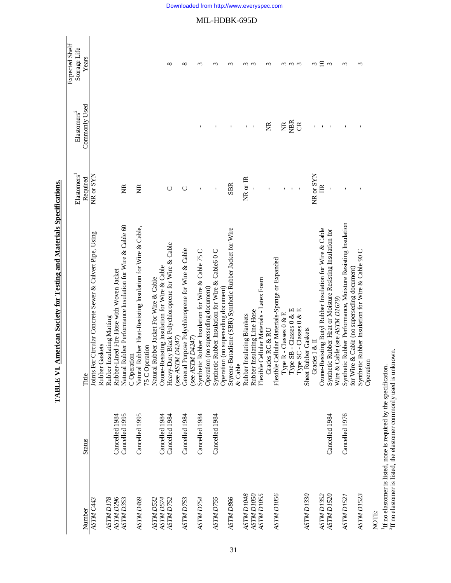|                        |                |                                                                          |                                     |                                              | <b>Expected Shelf</b>      |
|------------------------|----------------|--------------------------------------------------------------------------|-------------------------------------|----------------------------------------------|----------------------------|
| Number                 | <b>Status</b>  | Title                                                                    | Elastomers <sup>1</sup><br>Required | Commonly Used<br>$\rm \mathbf{Elastomers}^2$ | Storage Life<br>Years      |
| ASTM C443              |                | Joints For Circular Concrete Sewer & Culvert Pipe, Using                 | NR or SYN                           |                                              |                            |
|                        |                | Gaskets<br>Rubber <sub>(</sub>                                           |                                     |                                              |                            |
| ASTM D178              |                | insulating Matting<br>Rubber I                                           |                                     |                                              |                            |
| ASTM <sub>D296</sub>   | Cancelled 1984 | Rubber-Lined Fire Hose with Woven Jacket                                 |                                     |                                              |                            |
| ASTM D353              | Cancelled 1995 | Natural Rubber Performance Insulation for Wire & Cable 60<br>C Operation | E                                   |                                              |                            |
| ASTM D469              | Cancelled 1995 | Natural Rubber Heat-Resisting Insulation for Wire & Cable,               | ž                                   |                                              |                            |
|                        |                | 75 C Operation                                                           |                                     |                                              |                            |
| ASTM D532              |                | Natural Rubber Jacket For Wire & Cable                                   |                                     |                                              |                            |
|                        |                |                                                                          |                                     |                                              |                            |
| ASTM D574<br>ASTM D752 | Cancelled 1984 | Ozone-Resisting Insulation for Wire & Cable                              | U                                   |                                              | ${}^{\circ}$               |
|                        | Cancelled 1984 | Heavy-Duty Black Polychloroprene for Wire & Cable<br>(see ASTM $D4247$ ) |                                     |                                              |                            |
| ASTM D753              | Cancelled 1984 | General Purpose Polychloroprene for Wire & Cable                         | ◡                                   |                                              | ∞                          |
|                        |                | (see ASTM D4247)                                                         |                                     |                                              |                            |
| ASTM D754              | Cancelled 1984 | Synthetic Rubber Insulation for Wire & Cable 75 C                        |                                     |                                              | S                          |
|                        |                | Operation (no superseding document)                                      |                                     |                                              |                            |
| ASTM D755              | Cancelled 1984 | Synthetic Rubber Insulation for Wire & Cable60C                          |                                     |                                              | $\epsilon$                 |
|                        |                | Operation (no superseding document)                                      |                                     |                                              |                            |
| ASTM D866              |                | Styrene-Butadiene (SBR) Synthetic Rubber Jacket for Wire                 | <b>SBR</b>                          |                                              | ς                          |
|                        |                | & Cable                                                                  |                                     |                                              |                            |
| <b>ASTM DI048</b>      |                | Rubber Insulating Blankets                                               | NR or IR                            |                                              |                            |
| ASTM D1050             |                | Rubber Insulating Line Hose                                              |                                     | $\overline{\phantom{a}}$                     | ო ო                        |
| ASTM D1055             |                | Flexible Cellular Materials - Latex Foam                                 |                                     |                                              |                            |
|                        |                | Grades RC & RU                                                           |                                     | ž                                            | S                          |
| ASTM D1056             |                | Flexible Cellular Materials-Sponge or Expanded                           |                                     |                                              |                            |
|                        |                | Type R - Classes 0 & E                                                   |                                     | ž                                            |                            |
|                        |                | Type SB - Classes 0 & E                                                  |                                     | <b>NBR</b>                                   | $\omega$ $\omega$ $\omega$ |
|                        |                | Type SC - Classes 0 & E                                                  |                                     | $\mathfrak{S}$                               |                            |
| ASTM D1330             |                | Sheet Rubber Gaskets                                                     |                                     |                                              |                            |
|                        |                | Grades $I \& II$                                                         | NR or SYN                           |                                              | 3                          |
| ASTM DI352             |                | Ozone-Resisting Butyl Rubber Insulation for Wire & Cable                 | 旨                                   |                                              | $\overline{0}$             |
| ASTM DI520             | Cancelled 1984 | Synthetic Rubber Heat or Moisture Resisting Insulation for               |                                     |                                              | $\mathfrak{g}$             |
|                        |                | Wire & Cable (see ASTM D1679)                                            |                                     |                                              |                            |
| ASTM DI521             | Cancelled 1976 | Synthetic Rubber Performance, Moisture Resisting Insulation              |                                     |                                              | $\epsilon$                 |
|                        |                | & Cable (no superseding document)<br>for Wire                            |                                     |                                              |                            |
| ASTM D1523             |                | Synthetic Rubber Insulation for Wire & Cable 90 C                        |                                     |                                              | ς                          |
|                        |                | Operation                                                                |                                     |                                              |                            |

TABLE VI. American Society for Testing and Materials Specifications. **TABLE VI. American Society for Testing and Materials Specifications.**

NOTE:

 $^1\rm H$  no elastomer is listed, none is required by the specification.  $^2\rm H$  no elastomer is listed, the elastomer commonly used is unknown. 1If no elastomer is listed, none is required by the specification.

 ${}^{2}\text{H}$  no elastomer is listed, the elastomer commonly used is unknown.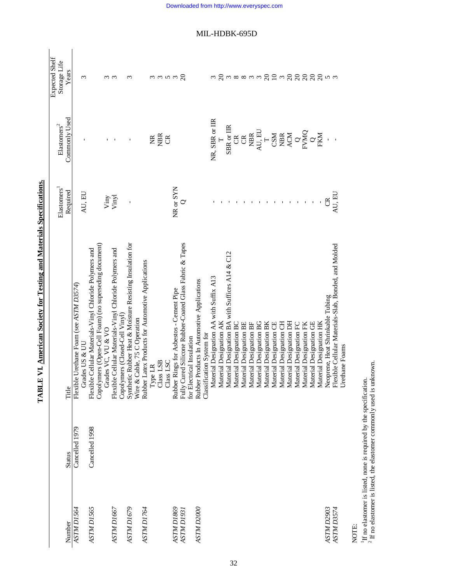| Number                          | <b>Status</b>  | Title                                                                                                                                  | Elastomers <sup>1</sup><br>Required | Commonly Used<br>${\rm El}$ astomers<br>$^2$                                                                                                                                                                                                                                                                                                                                                                                                                   | Expected Shelf<br>Storage Life<br>Years |
|---------------------------------|----------------|----------------------------------------------------------------------------------------------------------------------------------------|-------------------------------------|----------------------------------------------------------------------------------------------------------------------------------------------------------------------------------------------------------------------------------------------------------------------------------------------------------------------------------------------------------------------------------------------------------------------------------------------------------------|-----------------------------------------|
| ASTM D1564                      | Cancelled 1979 | Urethane Foam (see ASTM D3574)<br>Grades US & UU<br>Flexible                                                                           | AU, EU                              |                                                                                                                                                                                                                                                                                                                                                                                                                                                                | 3                                       |
| ASTM D1565                      | Cancelled 1998 | Copolymers (Open-Cell Foam) (no superseding document)<br>Flexible Cellular Materials-Vinyl Chloride Polymers and<br>Grades VC, VU & VO |                                     |                                                                                                                                                                                                                                                                                                                                                                                                                                                                |                                         |
| ASTM D1667                      |                | Flexible Cellular Materials-Vinyl Chloride Polymers and                                                                                | Viny<br>Vinyl                       |                                                                                                                                                                                                                                                                                                                                                                                                                                                                | $\omega$ $\omega$                       |
| ASTM D1679                      |                | Synthetic Rubber Heat & Moisture Resisting Insulation for<br>Copolymers (Closed-Cell Vinyl)<br>Wire & Cable, 75 C Operation            |                                     |                                                                                                                                                                                                                                                                                                                                                                                                                                                                | $\sim$                                  |
| ASTM D1764                      |                | Rubber Latex Products for Automotive Applications                                                                                      |                                     |                                                                                                                                                                                                                                                                                                                                                                                                                                                                |                                         |
|                                 |                | Class LSB<br>Type LR                                                                                                                   |                                     | <b>WEG</b>                                                                                                                                                                                                                                                                                                                                                                                                                                                     | mmnma                                   |
|                                 |                | Class LSC                                                                                                                              |                                     |                                                                                                                                                                                                                                                                                                                                                                                                                                                                |                                         |
| ASTM D1869<br><b>ASTM D1931</b> |                | Fully Cured Silicone Rubber-Coated Glass Fabric & Tapes<br>Rubber Rings for Asbestos - Cement Pipe                                     | NR or SYN                           |                                                                                                                                                                                                                                                                                                                                                                                                                                                                |                                         |
| ASTM D2000                      |                | Rubber Products In Automotive Applications<br>for Electrical Insulation                                                                |                                     |                                                                                                                                                                                                                                                                                                                                                                                                                                                                |                                         |
|                                 |                | Classification System for                                                                                                              |                                     |                                                                                                                                                                                                                                                                                                                                                                                                                                                                |                                         |
|                                 |                | Material Designation AA with Suffix A13                                                                                                |                                     | NR, SBR or IIR                                                                                                                                                                                                                                                                                                                                                                                                                                                 |                                         |
|                                 |                | Material Designation AK                                                                                                                |                                     |                                                                                                                                                                                                                                                                                                                                                                                                                                                                |                                         |
|                                 |                | Material Designation BA with Suffices A14 & C12                                                                                        |                                     | SBR or IIR                                                                                                                                                                                                                                                                                                                                                                                                                                                     | 3 2 38833 2 1 2 3 2 2 2 2 2 4 3         |
|                                 |                | Material Designation BC                                                                                                                |                                     | $\mathfrak{g}$ $\mathfrak{g}$                                                                                                                                                                                                                                                                                                                                                                                                                                  |                                         |
|                                 |                | Material Designation BE                                                                                                                |                                     |                                                                                                                                                                                                                                                                                                                                                                                                                                                                |                                         |
|                                 |                | Material Designation BF                                                                                                                |                                     |                                                                                                                                                                                                                                                                                                                                                                                                                                                                |                                         |
|                                 |                | Material Designation BG                                                                                                                |                                     | $\begin{array}{l} \mathtt{MBR} \\ \mathtt{A}\mathtt{U}, \mathtt{EU} \\ \mathtt{CSM} \\ \mathtt{CSM} \\ \mathtt{MBR} \\ \mathtt{ACM} \\ \mathtt{ACM} \\ \mathtt{FCM} \\ \mathtt{WOM} \\ \mathtt{C} \\ \mathtt{WOM} \\ \mathtt{C} \\ \mathtt{WOM} \\ \mathtt{C} \\ \mathtt{WOM} \\ \mathtt{C} \\ \mathtt{WOM} \\ \mathtt{C} \\ \mathtt{WOM} \\ \mathtt{C} \\ \mathtt{WOM} \\ \mathtt{C} \\ \mathtt{WOM} \\ \mathtt{C} \\ \mathtt{WOM} \\ \mathtt{C} \\ \mathtt{$ |                                         |
|                                 |                | Material Designation BK                                                                                                                |                                     |                                                                                                                                                                                                                                                                                                                                                                                                                                                                |                                         |
|                                 |                | Material Designation CE                                                                                                                |                                     |                                                                                                                                                                                                                                                                                                                                                                                                                                                                |                                         |
|                                 |                | Material Designation CH                                                                                                                |                                     |                                                                                                                                                                                                                                                                                                                                                                                                                                                                |                                         |
|                                 |                | Material Designation DH                                                                                                                |                                     |                                                                                                                                                                                                                                                                                                                                                                                                                                                                |                                         |
|                                 |                | Material Designation FC                                                                                                                |                                     |                                                                                                                                                                                                                                                                                                                                                                                                                                                                |                                         |
|                                 |                | Material Designation FK                                                                                                                |                                     |                                                                                                                                                                                                                                                                                                                                                                                                                                                                |                                         |
|                                 |                | Material Designation GE                                                                                                                |                                     |                                                                                                                                                                                                                                                                                                                                                                                                                                                                |                                         |
|                                 |                | Material Designation HK                                                                                                                |                                     |                                                                                                                                                                                                                                                                                                                                                                                                                                                                |                                         |
| ASTM D2903                      |                | Neoprene, Heat Shrinkable Tubing                                                                                                       | g                                   |                                                                                                                                                                                                                                                                                                                                                                                                                                                                |                                         |
| ASTM D3574                      |                | Flexible Cellular Materials-Slab, Bonded, and Molded                                                                                   | AU, EU                              |                                                                                                                                                                                                                                                                                                                                                                                                                                                                |                                         |
|                                 |                | Urethane Foams                                                                                                                         |                                     |                                                                                                                                                                                                                                                                                                                                                                                                                                                                |                                         |

TABLE VI. American Society for Testing and Materials Specifications. **TABLE VI. American Society for Testing and Materials Specifications.**

1If no elastomer is listed, none is required by the specification.

NOTE:<br><sup>1</sup>If no elastomer is listed, none is required by the specification.<br><sup>2</sup> If no elastomer is listed, the elastomer commonly used is unknown.  $2$  If no elastomer is listed, the elastomer commonly used is unknown.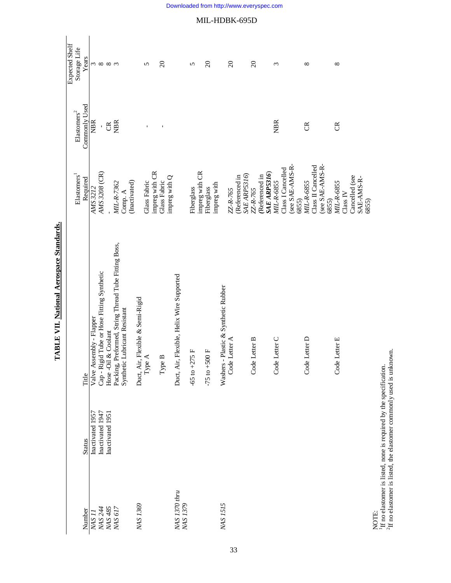|                                      |                  |                                                      |                                     |                                             | Expected Shelf                           |
|--------------------------------------|------------------|------------------------------------------------------|-------------------------------------|---------------------------------------------|------------------------------------------|
| Number                               | <b>Status</b>    | Title                                                | Elastomers <sup>1</sup><br>Required | Commonly Used<br>$\mathrm{E}$ astomers $^2$ | Storage Life<br>Years                    |
| NAS <sub>II</sub>                    | Inactivated 1957 | Valve Assembly - Flapper                             | <b>AMS 3212</b>                     | <b>NBR</b>                                  |                                          |
|                                      |                  |                                                      |                                     |                                             |                                          |
| NAS 244<br>NAS 485                   | Inactivated 1947 | Cap - Rigid Tube or Hose Fitting Synthetic           | AMS 3208 (CR)                       |                                             | $\frac{1}{2}$ $\infty$ $\infty$ $\infty$ |
|                                      | Inactivated 1951 | Hose-Oil & Coolant                                   |                                     | $\mathfrak{B}$                              |                                          |
| NAS 617                              |                  | Packing, Preformed, String Thread Tube Fitting Boss, | MIL-R-7362                          | <b>NBR</b>                                  |                                          |
|                                      |                  | Synthetic Lubricant Resistant                        | Comp. A                             |                                             |                                          |
|                                      |                  |                                                      | (Inactivated)                       |                                             |                                          |
| NAS <sub>1369</sub>                  |                  | Duct, Air, Flexible & Semi-Rigid                     |                                     |                                             |                                          |
|                                      |                  | Type A                                               | <b>Glass Fabric</b>                 | $\mathbf{I}$                                | $\mathbf{r}$                             |
|                                      |                  |                                                      | impreg with CR                      |                                             |                                          |
|                                      |                  | Type B                                               | Glass Fabric                        |                                             | $\Omega$                                 |
|                                      |                  |                                                      | impreg with Q                       |                                             |                                          |
| NAS 1370 thru<br>NAS <sub>1379</sub> |                  | Duct, Air, Flexible, Helix Wire Supported            |                                     |                                             |                                          |
|                                      |                  | $-65$ to $+275$ F                                    | Fiberglass                          |                                             | 5                                        |
|                                      |                  |                                                      | impreg with CR                      |                                             |                                          |
|                                      |                  | $-75$ to $+500$ F                                    | Fiberglass                          |                                             | $\overline{c}$                           |
|                                      |                  |                                                      | impreg with                         |                                             |                                          |
| <b>NAS 1515</b>                      |                  | Washers - Plastic & Synthetic Rubber                 |                                     |                                             |                                          |
|                                      |                  | Code Letter A                                        | ZZ-R-765                            |                                             | $\overline{c}$                           |
|                                      |                  |                                                      | (Referenced in                      |                                             |                                          |
|                                      |                  |                                                      | <b>SAE ARP5316</b>                  |                                             |                                          |
|                                      |                  | Code Letter B                                        | ZZ-R-765                            |                                             | $\overline{c}$                           |
|                                      |                  |                                                      | (Referenced in                      |                                             |                                          |
|                                      |                  |                                                      | <b>SAE ARP5316</b>                  |                                             |                                          |
|                                      |                  | Code Letter C                                        | MIL-R-6855                          | <b>NBR</b>                                  | $\epsilon$                               |
|                                      |                  |                                                      | Class I Cancelled                   |                                             |                                          |
|                                      |                  |                                                      | (see SAE-AMS-R-                     |                                             |                                          |
|                                      |                  |                                                      | 6855)                               |                                             |                                          |
|                                      |                  | Code Letter D                                        | MIL-R-6855                          | g                                           | ${}^{\circ}$                             |
|                                      |                  |                                                      | Class II Cancelled                  |                                             |                                          |
|                                      |                  |                                                      | (see SAE-AMS-R-                     |                                             |                                          |
|                                      |                  |                                                      | 6855)                               |                                             |                                          |
|                                      |                  | Code Letter E                                        | MIL-R-6855                          | g                                           | $\infty$                                 |
|                                      |                  |                                                      | Class IV                            |                                             |                                          |
|                                      |                  |                                                      | Cancelled (see                      |                                             |                                          |
|                                      |                  |                                                      | SAE-AMS-R-                          |                                             |                                          |
| NOTE:                                |                  |                                                      | 6855)                               |                                             |                                          |

TABLE VII. National Aerospace Standards. **TABLE VII. National Aerospace Standards.**

NOTE:<br><sup>1</sup>If no elastomer is listed, none is required by the specification.<br><sup>2</sup>If no elastomer is listed, the elastomer commonly used is unknown. 1If no elastomer is listed, none is required by the specification.

 ${}^{2}$ If no elastomer is listed, the elastomer commonly used is unknown.

Downloaded from http://www.everyspec.com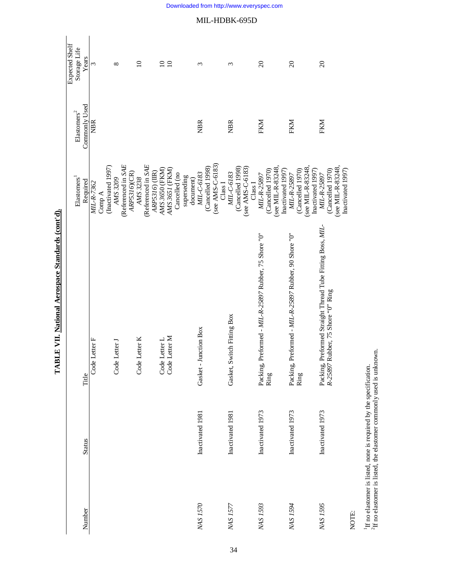| Expected Shelf<br>Storage Life | Years         | 3             |        |                    | ${}^{\circ}$  |                    |              | $\overline{10}$ |                    |                | $\overline{10}$                | $\overline{10}$ |               |             |           | 3                     |                  |                  |                    | 3                             |                  |                  |                    | $\overline{c}$                                                |                                        | $\overline{c}$                                        |                                       |                   | $\overline{c}$                                                                                  |                   |                  |
|--------------------------------|---------------|---------------|--------|--------------------|---------------|--------------------|--------------|-----------------|--------------------|----------------|--------------------------------|-----------------|---------------|-------------|-----------|-----------------------|------------------|------------------|--------------------|-------------------------------|------------------|------------------|--------------------|---------------------------------------------------------------|----------------------------------------|-------------------------------------------------------|---------------------------------------|-------------------|-------------------------------------------------------------------------------------------------|-------------------|------------------|
| $\mathrm{Elastomers}^2$        | Commonly Used | <b>NBR</b>    |        |                    |               |                    |              |                 |                    |                |                                |                 |               |             |           | <b>NBR</b>            |                  |                  |                    | <b>NBR</b>                    |                  |                  |                    | FKM                                                           |                                        | FKM                                                   |                                       |                   | FKM                                                                                             |                   |                  |
| Elastomers <sup>1</sup>        | Required      | MIL-R-7362    | Comp A | (Inactivated 1997) | AMS 3209      | (Referenced in SAE | ARP5316)(CR) | AMS 3238        | (Referenced in SAE | ARP5316) (IIR) | AMS 3650 (FKM)                 | AMS 3651 (FKM)  | Cancelled (no | superseding | document) | MIL-C-6183            | (Cancelled 1998) | (see AMS-C-6183) | Class <sub>I</sub> | MIL-C-6183                    | (Cancelled 1998) | (see AMS-C-6183) | Class <sub>I</sub> | (Cancelled 1970)<br>MIL-R-25897                               | (see MIL-R-83248,<br>Inactivated 1997) | MIL-R-25897                                           | (see MIL-R-83248)<br>(Cancelled 1970) | Inactivated 1997) | (Cancelled 1970)<br>MIL-R-25897                                                                 | (see MIL-R-83248, | Inactivated 1997 |
|                                | Title         | Code Letter F |        |                    | Code Letter J |                    |              | Code Letter K   |                    |                | Code Letter L<br>Code Letter M |                 |               |             |           | Gasket - Junction Box |                  |                  |                    | Switch Fitting Box<br>Gasket, |                  |                  |                    | Packing, Preformed - MIL-R-25897 Rubber, 75 Shore "0"<br>Ring |                                        | Packing, Preformed - MIL-R-25897 Rubber, 90 Shore "0" | Ring                                  |                   | Packing, Preformed Straight Thread Tube Fitting Boss, MIL-<br>R-25897 Rubber, 75 Shore "O" Ring |                   |                  |
|                                | <b>Status</b> |               |        |                    |               |                    |              |                 |                    |                |                                |                 |               |             |           | Inactivated 1981      |                  |                  |                    | Inactivated 1981              |                  |                  |                    | Inactivated 1973                                              |                                        | Inactivated 1973                                      |                                       |                   | Inactivated 1973                                                                                |                   |                  |
|                                | Number        |               |        |                    |               |                    |              |                 |                    |                |                                |                 |               |             |           | NAS 1570              |                  |                  |                    | NAS 1577                      |                  |                  |                    | NAS <sub>1593</sub>                                           |                                        | NAS <sub>1594</sub>                                   |                                       |                   | NAS 1595                                                                                        |                   |                  |

TABLE VII. National Aerospace Standards (cont'd). **TABLE VII. National Aerospace Standards (cont'd).**

NOTE:

 $^1\rm H$  no elastomer is listed, none is required by the specification.  $^2\rm H$  no elastomer is listed, the elastomer commonly used is unknown.  ${}^{2}$ If no elastomer is listed, the elastomer commonly used is unknown. 1If no elastomer is listed, none is required by the specification.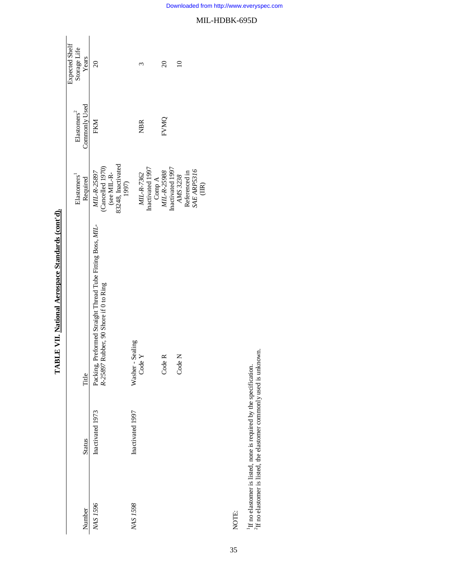| Number        | <b>Status</b>    | Title                                                                                               | Elastomers <sup>1</sup><br>Required                                                            | Commonly Used<br>$\rm \mathbf{Elastomers}^2$ | Expected Shelf<br>Storage Life<br>Years |
|---------------|------------------|-----------------------------------------------------------------------------------------------------|------------------------------------------------------------------------------------------------|----------------------------------------------|-----------------------------------------|
| NAS 1596      | Inactivated 1973 | Packing, Preformed Straight Thread Tube Fitting Boss, MIL-<br>R-25897 Rubber, 90 Shore if 0 to Ring | 83248, Inactivated<br>$\left(\text{Cancelled 1970}\right)$ (see MIL-R-<br>MIL-R-25897<br>1997) | FKM                                          | $\overline{20}$                         |
| NAS 1598      | Inactivated 1997 | Sealing<br>Code $Y$<br>Washer-                                                                      | Inactivated 1997<br>$MIL-R-7362$                                                               | <b>NBR</b>                                   | ς                                       |
|               |                  | Code R                                                                                              | Inactivated 1997<br>Comp A<br>$MIL-R-25988$                                                    | FVMQ                                         | $\overline{c}$                          |
|               |                  | Code N                                                                                              | <b>SAE ARP5316</b><br>Referenced in<br>AMS 3238<br>$\widetilde{\Xi}$                           |                                              | $\supseteq$                             |
| $\frac{1}{2}$ |                  |                                                                                                     |                                                                                                |                                              |                                         |

TABLE VII. National Aerospace Standards (cont'd). **TABLE VII. National Aerospace Standards (cont'd).**

NOTE:

35

 $^1\rm H$  no elastomer is listed, none is required by the specification.  $^2\rm H$  no elastomer is listed, the elastomer commonly used is unknown.  ${}^{2}$ If no elastomer is listed, the elastomer commonly used is unknown. 1If no elastomer is listed, none is required by the specification.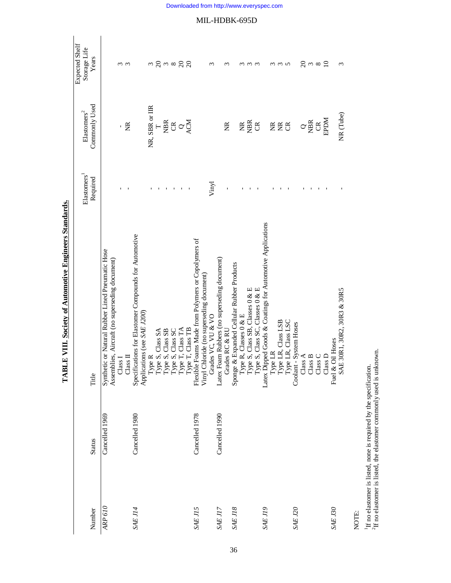|                          |                |                                                                                                                                                                                                                                                      | Elastomers <sup>1</sup> | ${\rm El}$ astomers $^2$       | Expected Shelf<br>Storage Life  |
|--------------------------|----------------|------------------------------------------------------------------------------------------------------------------------------------------------------------------------------------------------------------------------------------------------------|-------------------------|--------------------------------|---------------------------------|
| Number                   | <b>Status</b>  | Title                                                                                                                                                                                                                                                | Required                | Commonly Used                  | Years                           |
| ARP 610                  | Cancelled 1969 | Synthetic or Natural Rubber Lined Pneumatic Hose                                                                                                                                                                                                     |                         |                                |                                 |
|                          |                | Assemblies, Aircraft (no superseding document)                                                                                                                                                                                                       |                         |                                |                                 |
|                          |                | $\rm Class\,I$                                                                                                                                                                                                                                       |                         |                                | ო ო                             |
|                          |                | Class II                                                                                                                                                                                                                                             |                         | Ĕ                              |                                 |
| SAEJI4                   | Cancelled 1980 | Specifications for Elastomer Compounds for Automotive<br>Applications (see SAE J200)                                                                                                                                                                 |                         |                                |                                 |
|                          |                |                                                                                                                                                                                                                                                      |                         |                                |                                 |
|                          |                |                                                                                                                                                                                                                                                      |                         | NR, SBR or IIR                 |                                 |
|                          |                |                                                                                                                                                                                                                                                      | $\blacksquare$          |                                |                                 |
|                          |                |                                                                                                                                                                                                                                                      | ٠                       |                                |                                 |
|                          |                |                                                                                                                                                                                                                                                      | $\mathbf I$             | $\frac{1}{2}$ is $\frac{1}{2}$ | $m \gtrsim m \approx \gtrsim 2$ |
|                          |                |                                                                                                                                                                                                                                                      | $\mathbf{L}$            |                                |                                 |
|                          |                |                                                                                                                                                                                                                                                      |                         |                                |                                 |
| SAE JI5                  | Cancelled 1978 | Type R, Class SA<br>Type R, Class SA<br>Type S, Class SS<br>Type S, Class SS<br>Type S, Class SC<br>Type S, Class SC<br>Type T, Class TB<br>Type T, Class TB<br>Type T, Class TB<br>Type T, Class TB<br>Cirades VC, VU & VO<br>Latex Foam Rolubers ( |                         |                                |                                 |
|                          |                |                                                                                                                                                                                                                                                      |                         |                                |                                 |
|                          |                |                                                                                                                                                                                                                                                      | Vinyl                   |                                | ς                               |
| SAEJI7                   | Cancelled 1990 |                                                                                                                                                                                                                                                      |                         |                                |                                 |
|                          |                |                                                                                                                                                                                                                                                      |                         | g                              | ς                               |
| SAE J18                  |                |                                                                                                                                                                                                                                                      |                         |                                |                                 |
|                          |                |                                                                                                                                                                                                                                                      |                         | $\widetilde{\Xi}$              | $\omega$                        |
|                          |                |                                                                                                                                                                                                                                                      | $\mathbf I$             | <b>NBR</b>                     | $\omega$ $\omega$               |
|                          |                |                                                                                                                                                                                                                                                      |                         | $\beta$                        |                                 |
| $\operatorname{SAE}$ J19 |                |                                                                                                                                                                                                                                                      |                         |                                |                                 |
|                          |                |                                                                                                                                                                                                                                                      |                         |                                |                                 |
|                          |                |                                                                                                                                                                                                                                                      |                         | EEB                            | $\omega$ $\omega$               |
|                          |                |                                                                                                                                                                                                                                                      |                         |                                |                                 |
| $\operatorname{SAE}$ J20 |                |                                                                                                                                                                                                                                                      |                         |                                |                                 |
|                          |                |                                                                                                                                                                                                                                                      |                         | $\rm \alpha_{\widetilde{B}}$   | $\overline{c}$                  |
|                          |                | $\begin{array}{c} \textrm{Class A} \\ \textrm{Class B} \end{array}$                                                                                                                                                                                  | ٠                       |                                | $\frac{1}{2}$ $\frac{1}{2}$     |
|                          |                | $\textsc{Class} \gets$                                                                                                                                                                                                                               |                         | $\beta$                        |                                 |
|                          |                | Class D                                                                                                                                                                                                                                              |                         | <b>RPDM</b>                    |                                 |
| SAE J30                  |                | Fuel & Oil Hoses                                                                                                                                                                                                                                     |                         |                                |                                 |
|                          |                | 30R1, 30R2, 30R3 & 30R5<br><b>SAE</b>                                                                                                                                                                                                                |                         | NR (Tube)                      | 3                               |
|                          |                |                                                                                                                                                                                                                                                      |                         |                                |                                 |

TABLE VIII. Society of Automotive Engineers Standards. **TABLE VIII. Society of Automotive Engineers Standards.**

NOTE:

 $^1\rm H$  no elastomer is listed, none is required by the specification.  $^2\rm H$  no elastomer is listed, the elastomer commonly used is unknown.  ${}^{2}\text{H}$  no elastomer is listed, the elastomer commonly used is unknown. 1If no elastomer is listed, none is required by the specification.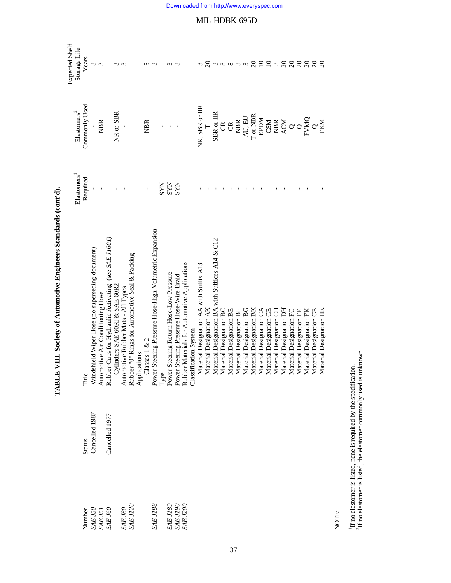|                 |                |                                                        |                         |                                              | Expected Shelf          |
|-----------------|----------------|--------------------------------------------------------|-------------------------|----------------------------------------------|-------------------------|
|                 |                |                                                        | Elastomers <sup>1</sup> | $\rm \mathbf{Elastomers}^2$                  | Storage Life            |
| Number          | <b>Status</b>  | Title                                                  | Required                | Commonly Used                                | Years                   |
| SAE J50         | Cancelled 1987 | Windshield Wiper Hose (no superseding document)        |                         |                                              |                         |
| SAE J51         |                | Automotive Air Conditioning Hose                       |                         | <b>NBR</b>                                   | ო ო                     |
| <b>SAE J60</b>  | Cancelled 1977 | Rubber Cups for Hydraulic Activating (see SAE J1601)   |                         |                                              |                         |
|                 |                | Cylinders SAE 60R1 & SAE 60R2                          |                         | NR or SBR                                    |                         |
| <b>SAE J80</b>  |                | Automotive Rubber Mats - All Types                     |                         |                                              | ო ო                     |
| <b>SAE J120</b> |                | Rubber "0" Rings for Automotive Seal & Packing         |                         |                                              |                         |
|                 |                | Applications                                           |                         |                                              |                         |
|                 |                | Classes $1 & 2$                                        |                         | <b>NBR</b>                                   | ∽                       |
| SAEJ188         |                | Power Steering Pressure Hose-High Volumetric Expansion |                         |                                              | $\mathfrak{g}$          |
|                 |                | Туре                                                   | <b>SYN</b>              |                                              |                         |
| <b>SAE J189</b> |                | Power Steering Return Hose-Low Pressure                | <b>SYN</b>              |                                              | m                       |
| SAE J190        |                | Power Steering Pressure Hose-Wire Braid                | <b>SYN</b>              |                                              | m                       |
| SAE J200        |                | Rubber Materials for Automotive Applications           |                         |                                              |                         |
|                 |                | Classification System                                  |                         |                                              |                         |
|                 |                | Material Designation AA with Suffix A13                |                         | NR, SBR or IIR                               |                         |
|                 |                | Material Designation AK                                |                         |                                              | $\overline{c}$          |
|                 |                | Material Designation BA with Suffices A14 & C12        |                         | SBR or IIR                                   |                         |
|                 |                | Material Designation BC                                |                         | g                                            |                         |
|                 |                | Material Designation BE                                |                         | $\mathfrak{S}$                               |                         |
|                 |                | Material Designation BF                                |                         | <b>NBR</b>                                   | $\omega \propto \infty$ |
|                 |                | Material Designation BG                                |                         | AU, EU                                       | $\epsilon$              |
|                 |                | Material Designation BK                                |                         | T or NBR                                     |                         |
|                 |                | Material Designation CA                                |                         | EPDM                                         | 222n                    |
|                 |                | Material Designation CE                                |                         |                                              |                         |
|                 |                | Material Designation CH                                |                         |                                              |                         |
|                 |                | Material Designation DH                                |                         | <b>CSM</b><br>ACA<br>CHACO<br>CHACO<br>CHACO |                         |
|                 |                | Material Designation FC                                |                         |                                              |                         |
|                 |                | Material Designation FE                                |                         |                                              |                         |
|                 |                | Material Designation FK                                |                         |                                              | នននននន                  |
|                 |                | Material Designation GE                                |                         |                                              |                         |
|                 |                | erial Designation HK<br>Mate                           |                         |                                              |                         |

TABLE VIII. Society of Automotive Engineers Standards (cont'd). **TABLE VIII. Society of Automotive Engineers Standards (cont'd).**

NOTE:

 $^1\rm H$  no elastomer is listed, none is required by the specification.  $^2\rm H$  no elastomer is listed, the elastomer commonly used is unknown.  ${}^{2}$ If no elastomer is listed, the elastomer commonly used is unknown. 1If no elastomer is listed, none is required by the specification.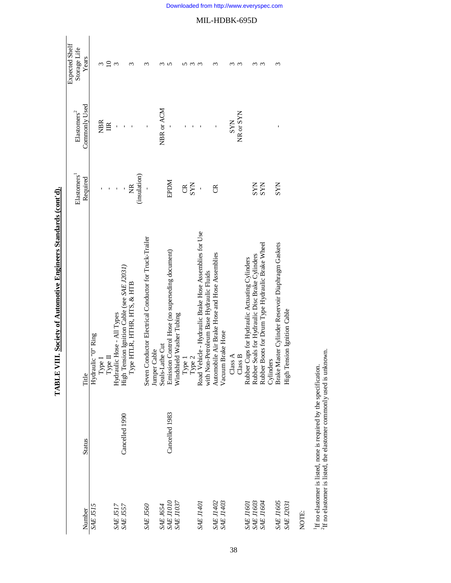|                        |                |                                                        | Elastomers <sup>1</sup> | ${\rm El}$ astomers $^2$ | Expected Shelf        |
|------------------------|----------------|--------------------------------------------------------|-------------------------|--------------------------|-----------------------|
| Number                 | <b>Status</b>  | Title                                                  | Required                | Commonly Used            | Storage Life<br>Years |
| <b>SAE J515</b>        |                | Hydraulic "O" Ring                                     |                         |                          |                       |
|                        |                | Type I                                                 |                         | <b>NBR</b>               | 3                     |
|                        |                | Type $\Pi$                                             |                         | $\mathbb{E}$             | $\overline{10}$       |
| <b>SAE J517</b>        |                | Hydraulic Hose - All Types                             |                         |                          | $\mathfrak{g}$        |
| <b>SAE J557</b>        | Cancelled 1990 | High Tension Ignition Cable (see SAE J2031)            |                         |                          |                       |
|                        |                | Туре НТLR, НТНR, НТS, & НТВ                            | $\widetilde{\Xi}$       |                          | $\mathfrak{m}$        |
|                        |                |                                                        | (insulation)            |                          |                       |
| SAE J560               |                | Seven Conductor Electrical Conductor for Truck-Trailer |                         |                          | S                     |
|                        |                | Jumper Cable                                           |                         |                          |                       |
| SAE J654<br>SAE J1010  |                | Seals-Lathe Cut                                        |                         | NBR or ACM               |                       |
|                        | Cancelled 1983 | Emission Control Hose (no superseding document)        | <b>NGGE</b>             |                          | ທ                     |
| <b>SAE J1037</b>       |                | Windshield Washer Tubing                               |                         |                          |                       |
|                        |                |                                                        | g                       |                          |                       |
|                        |                | Type 1<br>Type 2                                       | <b>SYN</b>              |                          |                       |
| <b>TOFIT 3YS</b>       |                | Road Vehicle - Hydraulic Brake Hose Assemblies for Use | $\overline{1}$          |                          |                       |
|                        |                | with Non-Petroleum Base Hydraulic Fluids               |                         |                          |                       |
| SAE J1402              |                | Automobile Air Brake Hose and Hose Assemblies          | g                       | ı                        | S                     |
| <b>SAE J1403</b>       |                | Vacuum Brake Hose                                      |                         |                          |                       |
|                        |                | Class $A$                                              |                         | <b>SYN</b>               |                       |
|                        |                | Class B                                                |                         | NR or SYN                | $\sim$                |
| <b>SAE J1601</b>       |                | Rubber Cups for Hydraulic Actuating Cylinders          |                         |                          |                       |
| SAE J1603<br>SAE J1604 |                | Rubber Seals for Hydraulic Disc Brake Cylinders        | <b>SYN</b>              |                          |                       |
|                        |                | Rubber Boots for Drum Type Hydraulic Brake Wheel       | <b>SYN</b>              |                          | $\omega$              |
|                        |                | Cylinders                                              |                         |                          |                       |
| <b>SAE J1605</b>       |                | Brake Master Cylinder Reservoir Diaphragm Gaskets      | <b>NAS</b>              |                          | ξ                     |
| <b>SAE J2031</b>       |                | High Tension Ignition Cable                            |                         |                          |                       |
| NOTE:                  |                |                                                        |                         |                          |                       |

TABLE VIII. Society of Automotive Engineers Standards (cont'd). **TABLE VIII. Society of Automotive Engineers Standards (cont'd).**

 $^1\rm H$  no elastomer is listed, none is required by the specification.  $^2\rm H$  no elastomer is listed, the elastomer commonly used is unknown. 1If no elastomer is listed, none is required by the specification.

 ${}^{2}\text{H}$  no elastomer is listed, the elastomer commonly used is unknown.

Downloaded from http://www.everyspec.com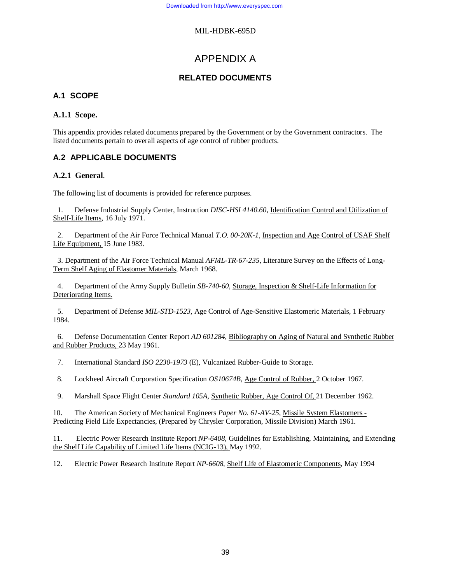# APPENDIX A

# **RELATED DOCUMENTS**

# **A.1 SCOPE**

### **A.1.1 Scope.**

This appendix provides related documents prepared by the Government or by the Government contractors. The listed documents pertain to overall aspects of age control of rubber products.

# **A.2 APPLICABLE DOCUMENTS**

### **A.2.1 General**.

The following list of documents is provided for reference purposes.

1. Defense Industrial Supply Center, Instruction *DISC-HSI 4140.60*, Identification Control and Utilization of Shelf-Life Items, 16 July 1971.

2. Department of the Air Force Technical Manual *T.O. 00-20K-1*, Inspection and Age Control of USAF Shelf Life Equipment, 15 June 1983.

3. Department of the Air Force Technical Manual *AFML-TR-67-235*, Literature Survey on the Effects of Long-Term Shelf Aging of Elastomer Materials, March 1968.

4. Department of the Army Supply Bulletin *SB-740-60*, Storage, Inspection & Shelf-Life Information for Deteriorating Items.

5. Department of Defense *MIL-STD-1523*, Age Control of Age-Sensitive Elastomeric Materials, 1 February 1984.

6. Defense Documentation Center Report *AD 601284*, Bibliography on Aging of Natural and Synthetic Rubber and Rubber Products, 23 May 1961.

7. International Standard *ISO 2230-1973* (E), Vulcanized Rubber-Guide to Storage.

8. Lockheed Aircraft Corporation Specification *OS10674B*, Age Control of Rubber, 2 October 1967.

9. Marshall Space Flight Center *Standard 105A*, Synthetic Rubber, Age Control Of, 21 December 1962.

10. The American Society of Mechanical Engineers *Paper No. 61-AV-25*, Missile System Elastomers - Predicting Field Life Expectancies, (Prepared by Chrysler Corporation, Missile Division) March 1961.

11. Electric Power Research Institute Report *NP-6408,* Guidelines for Establishing, Maintaining, and Extending the Shelf Life Capability of Limited Life Items (NCIG-13), May 1992.

12. Electric Power Research Institute Report *NP-6608*, Shelf Life of Elastomeric Components, May 1994